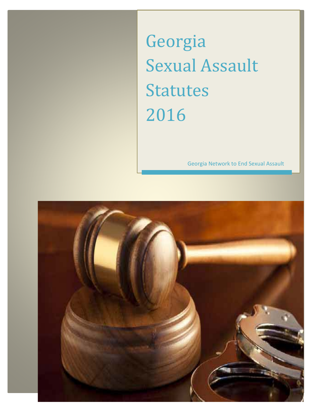Georgia Sexual Assault Statutes 2016

Georgia Network to End Sexual Assault

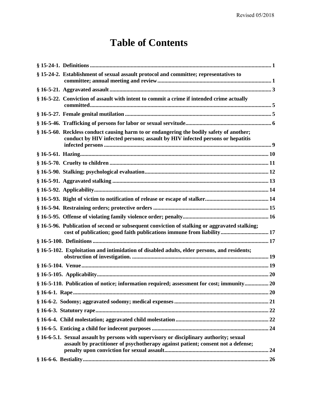# **Table of Contents**

| § 15-24-2. Establishment of sexual assault protocol and committee; representatives to                                                                                        |
|------------------------------------------------------------------------------------------------------------------------------------------------------------------------------|
|                                                                                                                                                                              |
| § 16-5-22. Conviction of assault with intent to commit a crime if intended crime actually                                                                                    |
|                                                                                                                                                                              |
|                                                                                                                                                                              |
| § 16-5-60. Reckless conduct causing harm to or endangering the bodily safety of another;<br>conduct by HIV infected persons; assault by HIV infected persons or hepatitis    |
|                                                                                                                                                                              |
|                                                                                                                                                                              |
|                                                                                                                                                                              |
|                                                                                                                                                                              |
|                                                                                                                                                                              |
|                                                                                                                                                                              |
|                                                                                                                                                                              |
|                                                                                                                                                                              |
| § 16-5-96. Publication of second or subsequent conviction of stalking or aggravated stalking;<br>cost of publication; good faith publications immune from liability 17       |
|                                                                                                                                                                              |
| § 16-5-102. Exploitation and intimidation of disabled adults, elder persons, and residents;                                                                                  |
|                                                                                                                                                                              |
|                                                                                                                                                                              |
| § 16-5-110. Publication of notice; information required; assessment for cost; immunity 20                                                                                    |
|                                                                                                                                                                              |
|                                                                                                                                                                              |
|                                                                                                                                                                              |
|                                                                                                                                                                              |
|                                                                                                                                                                              |
| § 16-6-5.1. Sexual assault by persons with supervisory or disciplinary authority; sexual<br>assault by practitioner of psychotherapy against patient; consent not a defense; |
|                                                                                                                                                                              |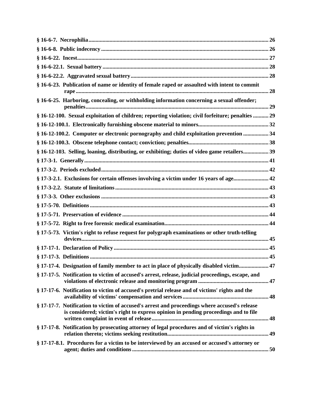| § 16-6-23. Publication of name or identity of female raped or assaulted with intent to commit                                                                                        |  |
|--------------------------------------------------------------------------------------------------------------------------------------------------------------------------------------|--|
| § 16-6-25. Harboring, concealing, or withholding information concerning a sexual offender;                                                                                           |  |
| § 16-12-100. Sexual exploitation of children; reporting violation; civil forfeiture; penalties  29                                                                                   |  |
|                                                                                                                                                                                      |  |
| § 16-12-100.2. Computer or electronic pornography and child exploitation prevention  34                                                                                              |  |
|                                                                                                                                                                                      |  |
| § 16-12-103. Selling, loaning, distributing, or exhibiting; duties of video game retailers 39                                                                                        |  |
|                                                                                                                                                                                      |  |
|                                                                                                                                                                                      |  |
| § 17-3-2.1. Exclusions for certain offenses involving a victim under 16 years of age 42                                                                                              |  |
|                                                                                                                                                                                      |  |
|                                                                                                                                                                                      |  |
|                                                                                                                                                                                      |  |
|                                                                                                                                                                                      |  |
|                                                                                                                                                                                      |  |
| § 17-5-73. Victim's right to refuse request for polygraph examinations or other truth-telling                                                                                        |  |
|                                                                                                                                                                                      |  |
|                                                                                                                                                                                      |  |
| § 17-17-4. Designation of family member to act in place of physically disabled victim 47                                                                                             |  |
| § 17-17-5. Notification to victim of accused's arrest, release, judicial proceedings, escape, and                                                                                    |  |
| § 17-17-6. Notification to victim of accused's pretrial release and of victims' rights and the                                                                                       |  |
| § 17-17-7. Notification to victim of accused's arrest and proceedings where accused's release<br>is considered; victim's right to express opinion in pending proceedings and to file |  |
| § 17-17-8. Notification by prosecuting attorney of legal procedures and of victim's rights in                                                                                        |  |
| § 17-17-8.1. Procedures for a victim to be interviewed by an accused or accused's attorney or                                                                                        |  |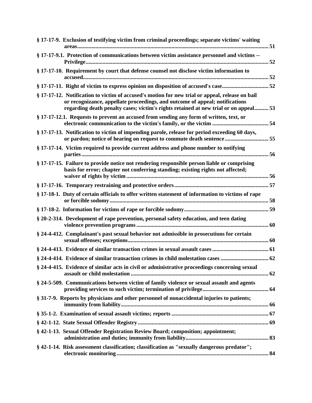| § 17-17-9. Exclusion of testifying victim from criminal proceedings; separate victims' waiting                                                                                                                                                                          |  |
|-------------------------------------------------------------------------------------------------------------------------------------------------------------------------------------------------------------------------------------------------------------------------|--|
| § 17-17-9.1. Protection of communications between victim assistance personnel and victims --                                                                                                                                                                            |  |
| § 17-17-10. Requirement by court that defense counsel not disclose victim information to                                                                                                                                                                                |  |
| § 17-17-11. Right of victim to express opinion on disposition of accused's case52                                                                                                                                                                                       |  |
| § 17-17-12. Notification to victim of accused's motion for new trial or appeal, release on bail<br>or recognizance, appellate proceedings, and outcome of appeal; notifications<br>regarding death penalty cases; victim's rights retained at new trial or on appeal 53 |  |
| § 17-17-12.1. Requests to prevent an accused from sending any form of written, text, or                                                                                                                                                                                 |  |
| § 17-17-13. Notification to victim of impending parole, release for period exceeding 60 days,                                                                                                                                                                           |  |
| § 17-17-14. Victim required to provide current address and phone number to notifying                                                                                                                                                                                    |  |
| § 17-17-15. Failure to provide notice not rendering responsible person liable or comprising<br>basis for error; chapter not conferring standing; existing rights not affected;                                                                                          |  |
|                                                                                                                                                                                                                                                                         |  |
| § 17-18-1. Duty of certain officials to offer written statement of information to victims of rape                                                                                                                                                                       |  |
|                                                                                                                                                                                                                                                                         |  |
| § 20-2-314. Development of rape prevention, personal safety education, and teen dating                                                                                                                                                                                  |  |
| § 24-4-412. Complainant's past sexual behavior not admissible in prosecutions for certain                                                                                                                                                                               |  |
|                                                                                                                                                                                                                                                                         |  |
| § 24-4-414. Evidence of similar transaction crimes in child molestation cases  62                                                                                                                                                                                       |  |
| § 24-4-415. Evidence of similar acts in civil or administrative proceedings concerning sexual                                                                                                                                                                           |  |
| § 24-5-509. Communications between victim of family violence or sexual assault and agents                                                                                                                                                                               |  |
| § 31-7-9. Reports by physicians and other personnel of nonaccidental injuries to patients;                                                                                                                                                                              |  |
|                                                                                                                                                                                                                                                                         |  |
|                                                                                                                                                                                                                                                                         |  |
| § 42-1-13. Sexual Offender Registration Review Board; composition; appointment;                                                                                                                                                                                         |  |
| § 42-1-14. Risk assessment classification; classification as "sexually dangerous predator";                                                                                                                                                                             |  |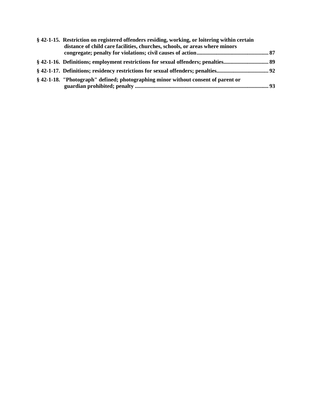| § 42-1-15. Restriction on registered offenders residing, working, or loitering within certain |  |
|-----------------------------------------------------------------------------------------------|--|
| distance of child care facilities, churches, schools, or areas where minors                   |  |
|                                                                                               |  |
|                                                                                               |  |
|                                                                                               |  |
| § 42-1-18. "Photograph" defined; photographing minor without consent of parent or             |  |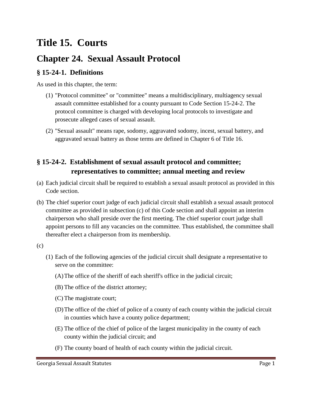# **Title 15. Courts**

## **Chapter 24. Sexual Assault Protocol**

#### <span id="page-7-0"></span>**§ 15-24-1. Definitions**

As used in this chapter, the term:

- (1) "Protocol committee" or "committee" means a multidisciplinary, multiagency sexual assault committee established for a county pursuant to Code Section [15-24-2.](#page-7-2) The protocol committee is charged with developing local protocols to investigate and prosecute alleged cases of sexual assault.
- (2) "Sexual assault" means rape, sodomy, aggravated sodomy, incest, sexual battery, and aggravated sexual battery as those terms are defined in Chapter 6 of Title 16.

## <span id="page-7-2"></span><span id="page-7-1"></span>**§ 15-24-2. Establishment of sexual assault protocol and committee; representatives to committee; annual meeting and review**

- (a) Each judicial circuit shall be required to establish a sexual assault protocol as provided in this Code section.
- (b) The chief superior court judge of each judicial circuit shall establish a sexual assault protocol committee as provided in subsection (c) of this Code section and shall appoint an interim chairperson who shall preside over the first meeting. The chief superior court judge shall appoint persons to fill any vacancies on the committee. Thus established, the committee shall thereafter elect a chairperson from its membership.

#### (c)

- (1) Each of the following agencies of the judicial circuit shall designate a representative to serve on the committee:
	- (A)The office of the sheriff of each sheriff's office in the judicial circuit;
	- (B) The office of the district attorney;
	- (C) The magistrate court;
	- (D)The office of the chief of police of a county of each county within the judicial circuit in counties which have a county police department;
	- (E) The office of the chief of police of the largest municipality in the county of each county within the judicial circuit; and
	- (F) The county board of health of each county within the judicial circuit.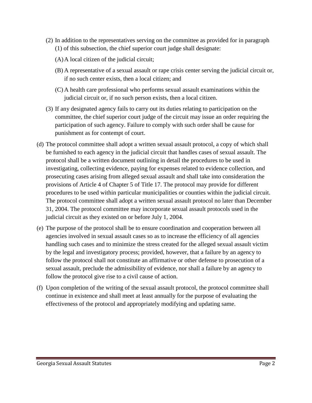- (2) In addition to the representatives serving on the committee as provided for in paragraph (1) of this subsection, the chief superior court judge shall designate:
	- (A)A local citizen of the judicial circuit;
	- (B) A representative of a sexual assault or rape crisis center serving the judicial circuit or, if no such center exists, then a local citizen; and
	- (C) A health care professional who performs sexual assault examinations within the judicial circuit or, if no such person exists, then a local citizen.
- (3) If any designated agency fails to carry out its duties relating to participation on the committee, the chief superior court judge of the circuit may issue an order requiring the participation of such agency. Failure to comply with such order shall be cause for punishment as for contempt of court.
- (d) The protocol committee shall adopt a written sexual assault protocol, a copy of which shall be furnished to each agency in the judicial circuit that handles cases of sexual assault. The protocol shall be a written document outlining in detail the procedures to be used in investigating, collecting evidence, paying for expenses related to evidence collection, and prosecuting cases arising from alleged sexual assault and shall take into consideration the provisions of Article 4 of Chapter 5 of Title 17. The protocol may provide for different procedures to be used within particular municipalities or counties within the judicial circuit. The protocol committee shall adopt a written sexual assault protocol no later than December 31, 2004. The protocol committee may incorporate sexual assault protocols used in the judicial circuit as they existed on or before July 1, 2004.
- (e) The purpose of the protocol shall be to ensure coordination and cooperation between all agencies involved in sexual assault cases so as to increase the efficiency of all agencies handling such cases and to minimize the stress created for the alleged sexual assault victim by the legal and investigatory process; provided, however, that a failure by an agency to follow the protocol shall not constitute an affirmative or other defense to prosecution of a sexual assault, preclude the admissibility of evidence, nor shall a failure by an agency to follow the protocol give rise to a civil cause of action.
- (f) Upon completion of the writing of the sexual assault protocol, the protocol committee shall continue in existence and shall meet at least annually for the purpose of evaluating the effectiveness of the protocol and appropriately modifying and updating same.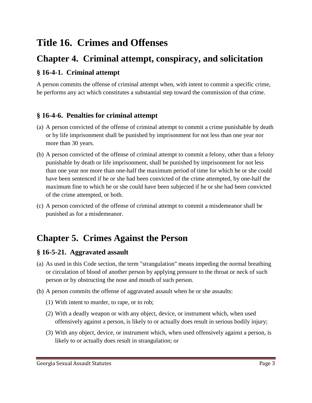# **Title 16. Crimes and Offenses**

## **Chapter 4. Criminal attempt, conspiracy, and solicitation**

#### **§ 16-4-1. Criminal attempt**

A person commits the offense of criminal attempt when, with intent to commit a specific crime, he performs any act which constitutes a substantial step toward the commission of that crime.

#### **§ 16-4-6. Penalties for criminal attempt**

- (a) A person convicted of the offense of criminal attempt to commit a crime punishable by death or by life imprisonment shall be punished by imprisonment for not less than one year nor more than 30 years.
- (b) A person convicted of the offense of criminal attempt to commit a felony, other than a felony punishable by death or life imprisonment, shall be punished by imprisonment for not less than one year nor more than one-half the maximum period of time for which he or she could have been sentenced if he or she had been convicted of the crime attempted, by one-half the maximum fine to which he or she could have been subjected if he or she had been convicted of the crime attempted, or both.
- (c) A person convicted of the offense of criminal attempt to commit a misdemeanor shall be punished as for a misdemeanor.

## **Chapter 5. Crimes Against the Person**

#### <span id="page-9-0"></span>**§ 16-5-21. Aggravated assault**

- (a) As used in this Code section, the term "strangulation" means impeding the normal breathing or circulation of blood of another person by applying pressure to the throat or neck of such person or by obstructing the nose and mouth of such person.
- (b) A person commits the offense of aggravated assault when he or she assaults:
	- (1) With intent to murder, to rape, or to rob;
	- (2) With a deadly weapon or with any object, device, or instrument which, when used offensively against a person, is likely to or actually does result in serious bodily injury;
	- (3) With any object, device, or instrument which, when used offensively against a person, is likely to or actually does result in strangulation; or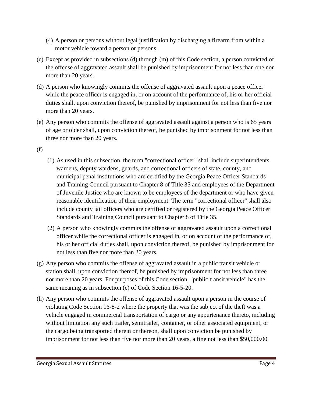- (4) A person or persons without legal justification by discharging a firearm from within a motor vehicle toward a person or persons.
- (c) Except as provided in subsections (d) through (m) of this Code section, a person convicted of the offense of aggravated assault shall be punished by imprisonment for not less than one nor more than 20 years.
- (d) A person who knowingly commits the offense of aggravated assault upon a peace officer while the peace officer is engaged in, or on account of the performance of, his or her official duties shall, upon conviction thereof, be punished by imprisonment for not less than five nor more than 20 years.
- (e) Any person who commits the offense of aggravated assault against a person who is 65 years of age or older shall, upon conviction thereof, be punished by imprisonment for not less than three nor more than 20 years.
- (f)
- (1) As used in this subsection, the term "correctional officer" shall include superintendents, wardens, deputy wardens, guards, and correctional officers of state, county, and municipal penal institutions who are certified by the Georgia Peace Officer Standards and Training Council pursuant to Chapter 8 of Title 35 and employees of the Department of Juvenile Justice who are known to be employees of the department or who have given reasonable identification of their employment. The term "correctional officer" shall also include county jail officers who are certified or registered by the Georgia Peace Officer Standards and Training Council pursuant to Chapter 8 of Title 35.
- (2) A person who knowingly commits the offense of aggravated assault upon a correctional officer while the correctional officer is engaged in, or on account of the performance of, his or her official duties shall, upon conviction thereof, be punished by imprisonment for not less than five nor more than 20 years.
- (g) Any person who commits the offense of aggravated assault in a public transit vehicle or station shall, upon conviction thereof, be punished by imprisonment for not less than three nor more than 20 years. For purposes of this Code section, "public transit vehicle" has the same meaning as in subsection (c) of Code Section 16-5-20.
- (h) Any person who commits the offense of aggravated assault upon a person in the course of violating Code Section 16-8-2 where the property that was the subject of the theft was a vehicle engaged in commercial transportation of cargo or any appurtenance thereto, including without limitation any such trailer, semitrailer, container, or other associated equipment, or the cargo being transported therein or thereon, shall upon conviction be punished by imprisonment for not less than five nor more than 20 years, a fine not less than \$50,000.00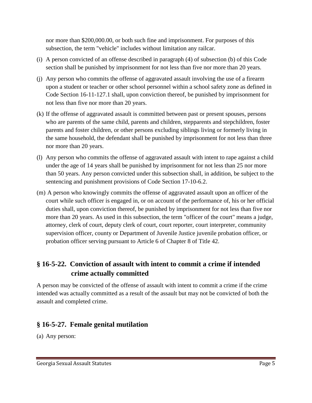nor more than \$200,000.00, or both such fine and imprisonment. For purposes of this subsection, the term "vehicle" includes without limitation any railcar.

- (i) A person convicted of an offense described in paragraph (4) of subsection (b) of this Code section shall be punished by imprisonment for not less than five nor more than 20 years.
- (j) Any person who commits the offense of aggravated assault involving the use of a firearm upon a student or teacher or other school personnel within a school safety zone as defined in Code Section 16-11-127.1 shall, upon conviction thereof, be punished by imprisonment for not less than five nor more than 20 years.
- (k) If the offense of aggravated assault is committed between past or present spouses, persons who are parents of the same child, parents and children, stepparents and stepchildren, foster parents and foster children, or other persons excluding siblings living or formerly living in the same household, the defendant shall be punished by imprisonment for not less than three nor more than 20 years.
- (l) Any person who commits the offense of aggravated assault with intent to rape against a child under the age of 14 years shall be punished by imprisonment for not less than 25 nor more than 50 years. Any person convicted under this subsection shall, in addition, be subject to the sentencing and punishment provisions of Code Section 17-10-6.2.
- (m) A person who knowingly commits the offense of aggravated assault upon an officer of the court while such officer is engaged in, or on account of the performance of, his or her official duties shall, upon conviction thereof, be punished by imprisonment for not less than five nor more than 20 years. As used in this subsection, the term "officer of the court" means a judge, attorney, clerk of court, deputy clerk of court, court reporter, court interpreter, community supervision officer, county or Department of Juvenile Justice juvenile probation officer, or probation officer serving pursuant to Article 6 of Chapter 8 of Title 42.

## <span id="page-11-0"></span>**§ 16-5-22. Conviction of assault with intent to commit a crime if intended crime actually committed**

A person may be convicted of the offense of assault with intent to commit a crime if the crime intended was actually committed as a result of the assault but may not be convicted of both the assault and completed crime.

## <span id="page-11-1"></span>**§ 16-5-27. Female genital mutilation**

(a) Any person: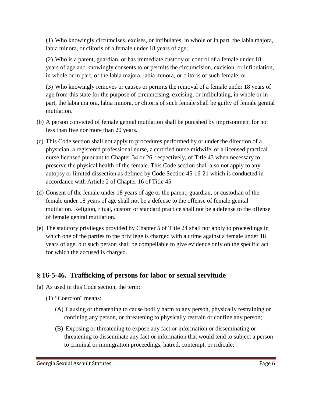(1) Who knowingly circumcises, excises, or infibulates, in whole or in part, the labia majora, labia minora, or clitoris of a female under 18 years of age;

(2) Who is a parent, guardian, or has immediate custody or control of a female under 18 years of age and knowingly consents to or permits the circumcision, excision, or infibulation, in whole or in part, of the labia majora, labia minora, or clitoris of such female; or

(3) Who knowingly removes or causes or permits the removal of a female under 18 years of age from this state for the purpose of circumcising, excising, or infibulating, in whole or in part, the labia majora, labia minora, or clitoris of such female shall be guilty of female genital mutilation.

- (b) A person convicted of female genital mutilation shall be punished by imprisonment for not less than five nor more than 20 years.
- (c) This Code section shall not apply to procedures performed by or under the direction of a physician, a registered professional nurse, a certified nurse midwife, or a licensed practical nurse licensed pursuant to Chapter 34 or 26, respectively, of Title 43 when necessary to preserve the physical health of the female. This Code section shall also not apply to any autopsy or limited dissection as defined by Code Section 45-16-21 which is conducted in accordance with Article 2 of Chapter 16 of Title 45.
- (d) Consent of the female under 18 years of age or the parent, guardian, or custodian of the female under 18 years of age shall not be a defense to the offense of female genital mutilation. Religion, ritual, custom or standard practice shall not be a defense to the offense of female genital mutilation.
- (e) The statutory privileges provided by Chapter 5 of Title 24 shall not apply to proceedings in which one of the parties to the privilege is charged with a crime against a female under 18 years of age, but such person shall be compellable to give evidence only on the specific act for which the accused is charged.

## <span id="page-12-0"></span>**§ 16-5-46. Trafficking of persons for labor or sexual servitude**

- (a) As used in this Code section, the term:
	- (1) "Coercion" means:
		- (A) Causing or threatening to cause bodily harm to any person, physically restraining or confining any person, or threatening to physically restrain or confine any person;
		- (B) Exposing or threatening to expose any fact or information or disseminating or threatening to disseminate any fact or information that would tend to subject a person to criminal or immigration proceedings, hatred, contempt, or ridicule;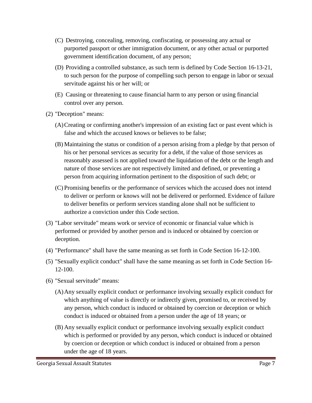- (C) Destroying, concealing, removing, confiscating, or possessing any actual or purported passport or other immigration document, or any other actual or purported government identification document, of any person;
- (D) Providing a controlled substance, as such term is defined by Code Section 16-13-21, to such person for the purpose of compelling such person to engage in labor or sexual servitude against his or her will; or
- (E) Causing or threatening to cause financial harm to any person or using financial control over any person.
- (2) "Deception" means:
	- (A)Creating or confirming another's impression of an existing fact or past event which is false and which the accused knows or believes to be false;
	- (B) Maintaining the status or condition of a person arising from a pledge by that person of his or her personal services as security for a debt, if the value of those services as reasonably assessed is not applied toward the liquidation of the debt or the length and nature of those services are not respectively limited and defined, or preventing a person from acquiring information pertinent to the disposition of such debt; or
	- (C) Promising benefits or the performance of services which the accused does not intend to deliver or perform or knows will not be delivered or performed. Evidence of failure to deliver benefits or perform services standing alone shall not be sufficient to authorize a conviction under this Code section.
- (3) "Labor servitude" means work or service of economic or financial value which is performed or provided by another person and is induced or obtained by coercion or deception.
- (4) "Performance" shall have the same meaning as set forth in Code Section [16-12-100.](#page-35-2)
- (5) "Sexually explicit conduct" shall have the same meaning as set forth in Code Section [16-](#page-35-2) [12-100.](#page-35-2)
- (6) "Sexual servitude" means:
	- (A)Any sexually explicit conduct or performance involving sexually explicit conduct for which anything of value is directly or indirectly given, promised to, or received by any person, which conduct is induced or obtained by coercion or deception or which conduct is induced or obtained from a person under the age of 18 years; or
	- (B) Any sexually explicit conduct or performance involving sexually explicit conduct which is performed or provided by any person, which conduct is induced or obtained by coercion or deception or which conduct is induced or obtained from a person under the age of 18 years.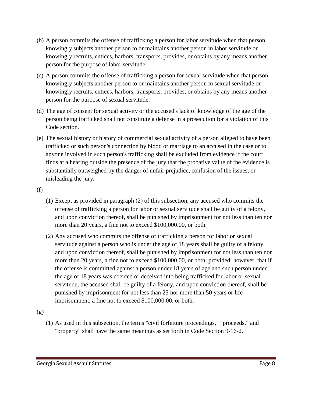- (b) A person commits the offense of trafficking a person for labor servitude when that person knowingly subjects another person to or maintains another person in labor servitude or knowingly recruits, entices, harbors, transports, provides, or obtains by any means another person for the purpose of labor servitude.
- (c) A person commits the offense of trafficking a person for sexual servitude when that person knowingly subjects another person to or maintains another person in sexual servitude or knowingly recruits, entices, harbors, transports, provides, or obtains by any means another person for the purpose of sexual servitude.
- (d) The age of consent for sexual activity or the accused's lack of knowledge of the age of the person being trafficked shall not constitute a defense in a prosecution for a violation of this Code section.
- (e) The sexual history or history of commercial sexual activity of a person alleged to have been trafficked or such person's connection by blood or marriage to an accused in the case or to anyone involved in such person's trafficking shall be excluded from evidence if the court finds at a hearing outside the presence of the jury that the probative value of the evidence is substantially outweighed by the danger of unfair prejudice, confusion of the issues, or misleading the jury.
- (f)
- (1) Except as provided in paragraph (2) of this subsection, any accused who commits the offense of trafficking a person for labor or sexual servitude shall be guilty of a felony, and upon conviction thereof, shall be punished by imprisonment for not less than ten nor more than 20 years, a fine not to exceed \$100,000.00, or both.
- (2) Any accused who commits the offense of trafficking a person for labor or sexual servitude against a person who is under the age of 18 years shall be guilty of a felony, and upon conviction thereof, shall be punished by imprisonment for not less than ten nor more than 20 years, a fine not to exceed \$100,000.00, or both; provided, however, that if the offense is committed against a person under 18 years of age and such person under the age of 18 years was coerced or deceived into being trafficked for labor or sexual servitude, the accused shall be guilty of a felony, and upon conviction thereof, shall be punished by imprisonment for not less than 25 nor more than 50 years or life imprisonment, a fine not to exceed \$100,000.00, or both.
- (g)
- (1) As used in this subsection, the terms "civil forfeiture proceedings," "proceeds," and "property" shall have the same meanings as set forth in Code Section 9-16-2.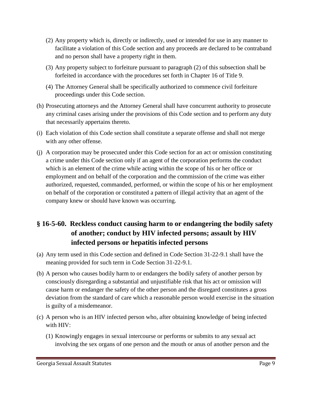- (2) Any property which is, directly or indirectly, used or intended for use in any manner to facilitate a violation of this Code section and any proceeds are declared to be contraband and no person shall have a property right in them.
- (3) Any property subject to forfeiture pursuant to paragraph (2) of this subsection shall be forfeited in accordance with the procedures set forth in Chapter 16 of Title 9.
- (4) The Attorney General shall be specifically authorized to commence civil forfeiture proceedings under this Code section.
- (h) Prosecuting attorneys and the Attorney General shall have concurrent authority to prosecute any criminal cases arising under the provisions of this Code section and to perform any duty that necessarily appertains thereto.
- (i) Each violation of this Code section shall constitute a separate offense and shall not merge with any other offense.
- (j) A corporation may be prosecuted under this Code section for an act or omission constituting a crime under this Code section only if an agent of the corporation performs the conduct which is an element of the crime while acting within the scope of his or her office or employment and on behalf of the corporation and the commission of the crime was either authorized, requested, commanded, performed, or within the scope of his or her employment on behalf of the corporation or constituted a pattern of illegal activity that an agent of the company knew or should have known was occurring.

## <span id="page-15-0"></span>**§ 16-5-60. Reckless conduct causing harm to or endangering the bodily safety of another; conduct by HIV infected persons; assault by HIV infected persons or hepatitis infected persons**

- (a) Any term used in this Code section and defined in Code Section 31-22-9.1 shall have the meaning provided for such term in Code Section 31-22-9.1.
- (b) A person who causes bodily harm to or endangers the bodily safety of another person by consciously disregarding a substantial and unjustifiable risk that his act or omission will cause harm or endanger the safety of the other person and the disregard constitutes a gross deviation from the standard of care which a reasonable person would exercise in the situation is guilty of a misdemeanor.
- (c) A person who is an HIV infected person who, after obtaining knowledge of being infected with HIV:
	- (1) Knowingly engages in sexual intercourse or performs or submits to any sexual act involving the sex organs of one person and the mouth or anus of another person and the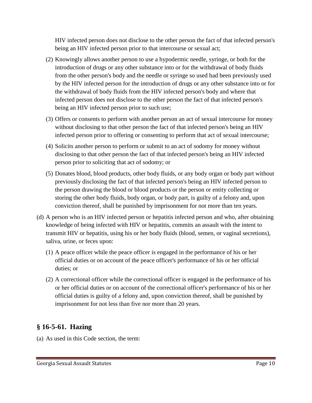HIV infected person does not disclose to the other person the fact of that infected person's being an HIV infected person prior to that intercourse or sexual act;

- (2) Knowingly allows another person to use a hypodermic needle, syringe, or both for the introduction of drugs or any other substance into or for the withdrawal of body fluids from the other person's body and the needle or syringe so used had been previously used by the HIV infected person for the introduction of drugs or any other substance into or for the withdrawal of body fluids from the HIV infected person's body and where that infected person does not disclose to the other person the fact of that infected person's being an HIV infected person prior to such use;
- (3) Offers or consents to perform with another person an act of sexual intercourse for money without disclosing to that other person the fact of that infected person's being an HIV infected person prior to offering or consenting to perform that act of sexual intercourse;
- (4) Solicits another person to perform or submit to an act of sodomy for money without disclosing to that other person the fact of that infected person's being an HIV infected person prior to soliciting that act of sodomy; or
- (5) Donates blood, blood products, other body fluids, or any body organ or body part without previously disclosing the fact of that infected person's being an HIV infected person to the person drawing the blood or blood products or the person or entity collecting or storing the other body fluids, body organ, or body part, is guilty of a felony and, upon conviction thereof, shall be punished by imprisonment for not more than ten years.
- (d) A person who is an HIV infected person or hepatitis infected person and who, after obtaining knowledge of being infected with HIV or hepatitis, commits an assault with the intent to transmit HIV or hepatitis, using his or her body fluids (blood, semen, or vaginal secretions), saliva, urine, or feces upon:
	- (1) A peace officer while the peace officer is engaged in the performance of his or her official duties or on account of the peace officer's performance of his or her official duties; or
	- (2) A correctional officer while the correctional officer is engaged in the performance of his or her official duties or on account of the correctional officer's performance of his or her official duties is guilty of a felony and, upon conviction thereof, shall be punished by imprisonment for not less than five nor more than 20 years.

## <span id="page-16-0"></span>**§ 16-5-61. Hazing**

(a) As used in this Code section, the term: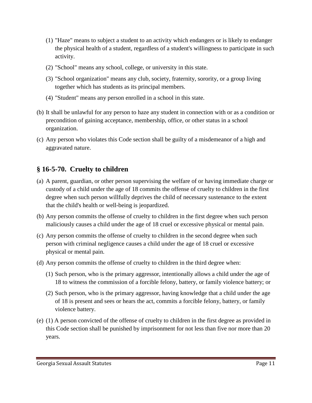- (1) "Haze" means to subject a student to an activity which endangers or is likely to endanger the physical health of a student, regardless of a student's willingness to participate in such activity.
- (2) "School" means any school, college, or university in this state.
- (3) "School organization" means any club, society, fraternity, sorority, or a group living together which has students as its principal members.
- (4) "Student" means any person enrolled in a school in this state.
- (b) It shall be unlawful for any person to haze any student in connection with or as a condition or precondition of gaining acceptance, membership, office, or other status in a school organization.
- (c) Any person who violates this Code section shall be guilty of a misdemeanor of a high and aggravated nature.

#### <span id="page-17-0"></span>**§ 16-5-70. Cruelty to children**

- (a) A parent, guardian, or other person supervising the welfare of or having immediate charge or custody of a child under the age of 18 commits the offense of cruelty to children in the first degree when such person willfully deprives the child of necessary sustenance to the extent that the child's health or well-being is jeopardized.
- (b) Any person commits the offense of cruelty to children in the first degree when such person maliciously causes a child under the age of 18 cruel or excessive physical or mental pain.
- (c) Any person commits the offense of cruelty to children in the second degree when such person with criminal negligence causes a child under the age of 18 cruel or excessive physical or mental pain.
- (d) Any person commits the offense of cruelty to children in the third degree when:
	- (1) Such person, who is the primary aggressor, intentionally allows a child under the age of 18 to witness the commission of a forcible felony, battery, or family violence battery; or
	- (2) Such person, who is the primary aggressor, having knowledge that a child under the age of 18 is present and sees or hears the act, commits a forcible felony, battery, or family violence battery.
- (e) (1) A person convicted of the offense of cruelty to children in the first degree as provided in this Code section shall be punished by imprisonment for not less than five nor more than 20 years.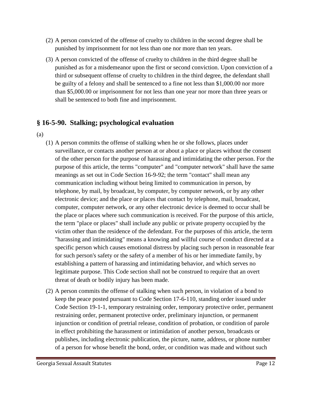- (2) A person convicted of the offense of cruelty to children in the second degree shall be punished by imprisonment for not less than one nor more than ten years.
- (3) A person convicted of the offense of cruelty to children in the third degree shall be punished as for a misdemeanor upon the first or second conviction. Upon conviction of a third or subsequent offense of cruelty to children in the third degree, the defendant shall be guilty of a felony and shall be sentenced to a fine not less than \$1,000.00 nor more than \$5,000.00 or imprisonment for not less than one year nor more than three years or shall be sentenced to both fine and imprisonment.

#### <span id="page-18-0"></span>**§ 16-5-90. Stalking; psychological evaluation**

- (a)
	- (1) A person commits the offense of stalking when he or she follows, places under surveillance, or contacts another person at or about a place or places without the consent of the other person for the purpose of harassing and intimidating the other person. For the purpose of this article, the terms "computer" and "computer network" shall have the same meanings as set out in Code Section 16-9-92; the term "contact" shall mean any communication including without being limited to communication in person, by telephone, by mail, by broadcast, by computer, by computer network, or by any other electronic device; and the place or places that contact by telephone, mail, broadcast, computer, computer network, or any other electronic device is deemed to occur shall be the place or places where such communication is received. For the purpose of this article, the term "place or places" shall include any public or private property occupied by the victim other than the residence of the defendant. For the purposes of this article, the term "harassing and intimidating" means a knowing and willful course of conduct directed at a specific person which causes emotional distress by placing such person in reasonable fear for such person's safety or the safety of a member of his or her immediate family, by establishing a pattern of harassing and intimidating behavior, and which serves no legitimate purpose. This Code section shall not be construed to require that an overt threat of death or bodily injury has been made.
	- (2) A person commits the offense of stalking when such person, in violation of a bond to keep the peace posted pursuant to Code Section 17-6-110, standing order issued under Code Section 19-1-1, temporary restraining order, temporary protective order, permanent restraining order, permanent protective order, preliminary injunction, or permanent injunction or condition of pretrial release, condition of probation, or condition of parole in effect prohibiting the harassment or intimidation of another person, broadcasts or publishes, including electronic publication, the picture, name, address, or phone number of a person for whose benefit the bond, order, or condition was made and without such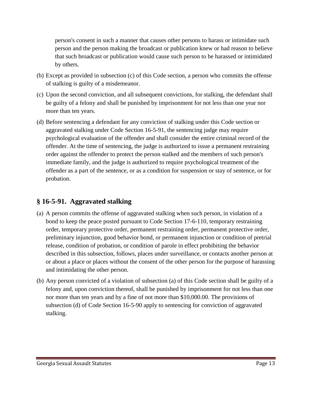person's consent in such a manner that causes other persons to harass or intimidate such person and the person making the broadcast or publication knew or had reason to believe that such broadcast or publication would cause such person to be harassed or intimidated by others.

- (b) Except as provided in subsection (c) of this Code section, a person who commits the offense of stalking is guilty of a misdemeanor.
- (c) Upon the second conviction, and all subsequent convictions, for stalking, the defendant shall be guilty of a felony and shall be punished by imprisonment for not less than one year nor more than ten years.
- (d) Before sentencing a defendant for any conviction of stalking under this Code section or aggravated stalking under Code Section 16-5-91, the sentencing judge may require psychological evaluation of the offender and shall consider the entire criminal record of the offender. At the time of sentencing, the judge is authorized to issue a permanent restraining order against the offender to protect the person stalked and the members of such person's immediate family, and the judge is authorized to require psychological treatment of the offender as a part of the sentence, or as a condition for suspension or stay of sentence, or for probation.

## <span id="page-19-0"></span>**§ 16-5-91. Aggravated stalking**

- (a) A person commits the offense of aggravated stalking when such person, in violation of a bond to keep the peace posted pursuant to Code Section 17-6-110, temporary restraining order, temporary protective order, permanent restraining order, permanent protective order, preliminary injunction, good behavior bond, or permanent injunction or condition of pretrial release, condition of probation, or condition of parole in effect prohibiting the behavior described in this subsection, follows, places under surveillance, or contacts another person at or about a place or places without the consent of the other person for the purpose of harassing and intimidating the other person.
- (b) Any person convicted of a violation of subsection (a) of this Code section shall be guilty of a felony and, upon conviction thereof, shall be punished by imprisonment for not less than one nor more than ten years and by a fine of not more than \$10,000.00. The provisions of subsection (d) of Code Section 16-5-90 apply to sentencing for conviction of aggravated stalking.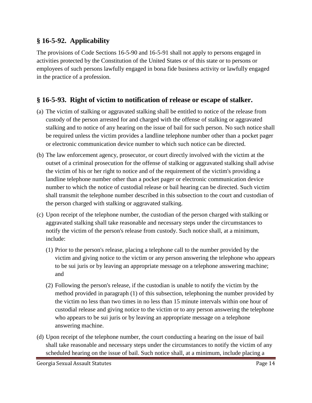#### <span id="page-20-0"></span>**§ 16-5-92. Applicability**

The provisions of Code Sections 16-5-90 and 16-5-91 shall not apply to persons engaged in activities protected by the Constitution of the United States or of this state or to persons or employees of such persons lawfully engaged in bona fide business activity or lawfully engaged in the practice of a profession.

#### <span id="page-20-1"></span>**§ 16-5-93. Right of victim to notification of release or escape of stalker.**

- (a) The victim of stalking or aggravated stalking shall be entitled to notice of the release from custody of the person arrested for and charged with the offense of stalking or aggravated stalking and to notice of any hearing on the issue of bail for such person. No such notice shall be required unless the victim provides a landline telephone number other than a pocket pager or electronic communication device number to which such notice can be directed.
- (b) The law enforcement agency, prosecutor, or court directly involved with the victim at the outset of a criminal prosecution for the offense of stalking or aggravated stalking shall advise the victim of his or her right to notice and of the requirement of the victim's providing a landline telephone number other than a pocket pager or electronic communication device number to which the notice of custodial release or bail hearing can be directed. Such victim shall transmit the telephone number described in this subsection to the court and custodian of the person charged with stalking or aggravated stalking.
- (c) Upon receipt of the telephone number, the custodian of the person charged with stalking or aggravated stalking shall take reasonable and necessary steps under the circumstances to notify the victim of the person's release from custody. Such notice shall, at a minimum, include:
	- (1) Prior to the person's release, placing a telephone call to the number provided by the victim and giving notice to the victim or any person answering the telephone who appears to be sui juris or by leaving an appropriate message on a telephone answering machine; and
	- (2) Following the person's release, if the custodian is unable to notify the victim by the method provided in paragraph (1) of this subsection, telephoning the number provided by the victim no less than two times in no less than 15 minute intervals within one hour of custodial release and giving notice to the victim or to any person answering the telephone who appears to be sui juris or by leaving an appropriate message on a telephone answering machine.
- (d) Upon receipt of the telephone number, the court conducting a hearing on the issue of bail shall take reasonable and necessary steps under the circumstances to notify the victim of any scheduled hearing on the issue of bail. Such notice shall, at a minimum, include placing a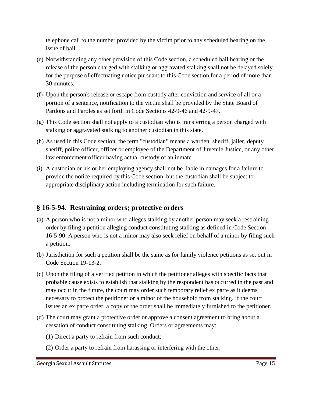telephone call to the number provided by the victim prior to any scheduled hearing on the issue of bail.

- (e) Notwithstanding any other provision of this Code section, a scheduled bail hearing or the release of the person charged with stalking or aggravated stalking shall not be delayed solely for the purpose of effectuating notice pursuant to this Code section for a period of more than 30 minutes.
- (f) Upon the person's release or escape from custody after conviction and service of all or a portion of a sentence, notification to the victim shall be provided by the State Board of Pardons and Paroles as set forth in Code Sections 42-9-46 and 42-9-47.
- (g) This Code section shall not apply to a custodian who is transferring a person charged with stalking or aggravated stalking to another custodian in this state.
- (h) As used in this Code section, the term "custodian" means a warden, sheriff, jailer, deputy sheriff, police officer, officer or employee of the Department of Juvenile Justice, or any other law enforcement officer having actual custody of an inmate.
- (i) A custodian or his or her employing agency shall not be liable in damages for a failure to provide the notice required by this Code section, but the custodian shall be subject to appropriate disciplinary action including termination for such failure.

#### <span id="page-21-0"></span>**§ 16-5-94. Restraining orders; protective orders**

- (a) A person who is not a minor who alleges stalking by another person may seek a restraining order by filing a petition alleging conduct constituting stalking as defined in Code Section 16-5-90. A person who is not a minor may also seek relief on behalf of a minor by filing such a petition.
- (b) Jurisdiction for such a petition shall be the same as for family violence petitions as set out in Code Section 19-13-2.
- (c) Upon the filing of a verified petition in which the petitioner alleges with specific facts that probable cause exists to establish that stalking by the respondent has occurred in the past and may occur in the future, the court may order such temporary relief ex parte as it deems necessary to protect the petitioner or a minor of the household from stalking. If the court issues an ex parte order, a copy of the order shall be immediately furnished to the petitioner.
- (d) The court may grant a protective order or approve a consent agreement to bring about a cessation of conduct constituting stalking. Orders or agreements may:
	- (1) Direct a party to refrain from such conduct;
	- (2) Order a party to refrain from harassing or interfering with the other;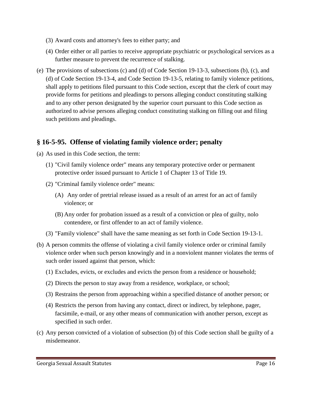- (3) Award costs and attorney's fees to either party; and
- (4) Order either or all parties to receive appropriate psychiatric or psychological services as a further measure to prevent the recurrence of stalking.
- (e) The provisions of subsections (c) and (d) of Code Section 19-13-3, subsections (b), (c), and (d) of Code Section 19-13-4, and Code Section 19-13-5, relating to family violence petitions, shall apply to petitions filed pursuant to this Code section, except that the clerk of court may provide forms for petitions and pleadings to persons alleging conduct constituting stalking and to any other person designated by the superior court pursuant to this Code section as authorized to advise persons alleging conduct constituting stalking on filling out and filing such petitions and pleadings.

#### <span id="page-22-0"></span>**§ 16-5-95. Offense of violating family violence order; penalty**

- (a) As used in this Code section, the term:
	- (1) "Civil family violence order" means any temporary protective order or permanent protective order issued pursuant to Article 1 of Chapter 13 of Title 19.
	- (2) "Criminal family violence order" means:
		- (A) Any order of pretrial release issued as a result of an arrest for an act of family violence; or
		- (B) Any order for probation issued as a result of a conviction or plea of guilty, nolo contendere, or first offender to an act of family violence.
	- (3) "Family violence" shall have the same meaning as set forth in Code Section 19-13-1.
- (b) A person commits the offense of violating a civil family violence order or criminal family violence order when such person knowingly and in a nonviolent manner violates the terms of such order issued against that person, which:
	- (1) Excludes, evicts, or excludes and evicts the person from a residence or household;
	- (2) Directs the person to stay away from a residence, workplace, or school;
	- (3) Restrains the person from approaching within a specified distance of another person; or
	- (4) Restricts the person from having any contact, direct or indirect, by telephone, pager, facsimile, e-mail, or any other means of communication with another person, except as specified in such order.
- (c) Any person convicted of a violation of subsection (b) of this Code section shall be guilty of a misdemeanor.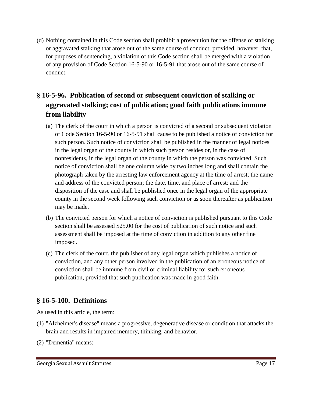(d) Nothing contained in this Code section shall prohibit a prosecution for the offense of stalking or aggravated stalking that arose out of the same course of conduct; provided, however, that, for purposes of sentencing, a violation of this Code section shall be merged with a violation of any provision of Code Section 16-5-90 or 16-5-91 that arose out of the same course of conduct.

## <span id="page-23-0"></span>**§ 16-5-96. Publication of second or subsequent conviction of stalking or aggravated stalking; cost of publication; good faith publications immune from liability**

- (a) The clerk of the court in which a person is convicted of a second or subsequent violation of Code Section 16-5-90 or 16-5-91 shall cause to be published a notice of conviction for such person. Such notice of conviction shall be published in the manner of legal notices in the legal organ of the county in which such person resides or, in the case of nonresidents, in the legal organ of the county in which the person was convicted. Such notice of conviction shall be one column wide by two inches long and shall contain the photograph taken by the arresting law enforcement agency at the time of arrest; the name and address of the convicted person; the date, time, and place of arrest; and the disposition of the case and shall be published once in the legal organ of the appropriate county in the second week following such conviction or as soon thereafter as publication may be made.
- (b) The convicted person for which a notice of conviction is published pursuant to this Code section shall be assessed \$25.00 for the cost of publication of such notice and such assessment shall be imposed at the time of conviction in addition to any other fine imposed.
- (c) The clerk of the court, the publisher of any legal organ which publishes a notice of conviction, and any other person involved in the publication of an erroneous notice of conviction shall be immune from civil or criminal liability for such erroneous publication, provided that such publication was made in good faith.

## <span id="page-23-1"></span>**§ 16-5-100. Definitions**

As used in this article, the term:

- (1) "Alzheimer's disease" means a progressive, degenerative disease or condition that attacks the brain and results in impaired memory, thinking, and behavior.
- (2) "Dementia" means: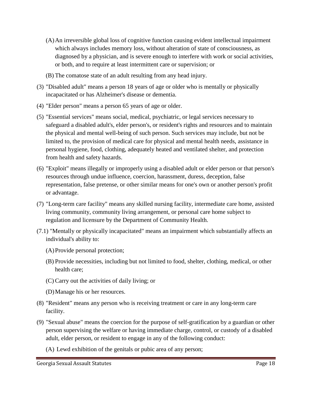- (A)An irreversible global loss of cognitive function causing evident intellectual impairment which always includes memory loss, without alteration of state of consciousness, as diagnosed by a physician, and is severe enough to interfere with work or social activities, or both, and to require at least intermittent care or supervision; or
- (B) The comatose state of an adult resulting from any head injury.
- (3) "Disabled adult" means a person 18 years of age or older who is mentally or physically incapacitated or has Alzheimer's disease or dementia.
- (4) "Elder person" means a person 65 years of age or older.
- (5) "Essential services" means social, medical, psychiatric, or legal services necessary to safeguard a disabled adult's, elder person's, or resident's rights and resources and to maintain the physical and mental well-being of such person. Such services may include, but not be limited to, the provision of medical care for physical and mental health needs, assistance in personal hygiene, food, clothing, adequately heated and ventilated shelter, and protection from health and safety hazards.
- (6) "Exploit" means illegally or improperly using a disabled adult or elder person or that person's resources through undue influence, coercion, harassment, duress, deception, false representation, false pretense, or other similar means for one's own or another person's profit or advantage.
- (7) "Long-term care facility" means any skilled nursing facility, intermediate care home, assisted living community, community living arrangement, or personal care home subject to regulation and licensure by the Department of Community Health.
- (7.1) "Mentally or physically incapacitated" means an impairment which substantially affects an individual's ability to:
	- (A)Provide personal protection;
	- (B) Provide necessities, including but not limited to food, shelter, clothing, medical, or other health care;
	- (C) Carry out the activities of daily living; or
	- (D)Manage his or her resources.
- (8) "Resident" means any person who is receiving treatment or care in any long-term care facility.
- (9) "Sexual abuse" means the coercion for the purpose of self-gratification by a guardian or other person supervising the welfare or having immediate charge, control, or custody of a disabled adult, elder person, or resident to engage in any of the following conduct:
	- (A) Lewd exhibition of the genitals or pubic area of any person;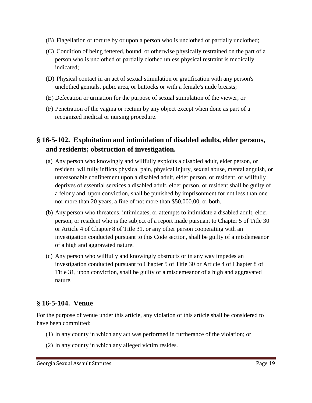- (B) Flagellation or torture by or upon a person who is unclothed or partially unclothed;
- (C) Condition of being fettered, bound, or otherwise physically restrained on the part of a person who is unclothed or partially clothed unless physical restraint is medically indicated;
- (D) Physical contact in an act of sexual stimulation or gratification with any person's unclothed genitals, pubic area, or buttocks or with a female's nude breasts;
- (E) Defecation or urination for the purpose of sexual stimulation of the viewer; or
- (F) Penetration of the vagina or rectum by any object except when done as part of a recognized medical or nursing procedure.

## <span id="page-25-0"></span>**§ 16-5-102. Exploitation and intimidation of disabled adults, elder persons, and residents; obstruction of investigation.**

- (a) Any person who knowingly and willfully exploits a disabled adult, elder person, or resident, willfully inflicts physical pain, physical injury, sexual abuse, mental anguish, or unreasonable confinement upon a disabled adult, elder person, or resident, or willfully deprives of essential services a disabled adult, elder person, or resident shall be guilty of a felony and, upon conviction, shall be punished by imprisonment for not less than one nor more than 20 years, a fine of not more than \$50,000.00, or both.
- (b) Any person who threatens, intimidates, or attempts to intimidate a disabled adult, elder person, or resident who is the subject of a report made pursuant to Chapter 5 of Title 30 or Article 4 of Chapter 8 of Title 31, or any other person cooperating with an investigation conducted pursuant to this Code section, shall be guilty of a misdemeanor of a high and aggravated nature.
- (c) Any person who willfully and knowingly obstructs or in any way impedes an investigation conducted pursuant to Chapter 5 of Title 30 or Article 4 of Chapter 8 of Title 31, upon conviction, shall be guilty of a misdemeanor of a high and aggravated nature.

## <span id="page-25-1"></span>**§ 16-5-104. Venue**

For the purpose of venue under this article, any violation of this article shall be considered to have been committed:

- (1) In any county in which any act was performed in furtherance of the violation; or
- (2) In any county in which any alleged victim resides.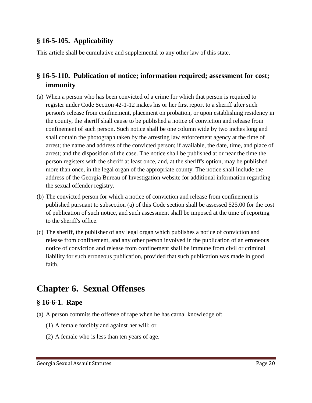#### <span id="page-26-0"></span>**§ 16-5-105. Applicability**

This article shall be cumulative and supplemental to any other law of this state.

## <span id="page-26-1"></span>**§ 16-5-110. Publication of notice; information required; assessment for cost; immunity**

- (a) When a person who has been convicted of a crime for which that person is required to register under Code Section 42-1-12 makes his or her first report to a sheriff after such person's release from confinement, placement on probation, or upon establishing residency in the county, the sheriff shall cause to be published a notice of conviction and release from confinement of such person. Such notice shall be one column wide by two inches long and shall contain the photograph taken by the arresting law enforcement agency at the time of arrest; the name and address of the convicted person; if available, the date, time, and place of arrest; and the disposition of the case. The notice shall be published at or near the time the person registers with the sheriff at least once, and, at the sheriff's option, may be published more than once, in the legal organ of the appropriate county. The notice shall include the address of the Georgia Bureau of Investigation website for additional information regarding the sexual offender registry.
- (b) The convicted person for which a notice of conviction and release from confinement is published pursuant to subsection (a) of this Code section shall be assessed \$25.00 for the cost of publication of such notice, and such assessment shall be imposed at the time of reporting to the sheriff's office.
- (c) The sheriff, the publisher of any legal organ which publishes a notice of conviction and release from confinement, and any other person involved in the publication of an erroneous notice of conviction and release from confinement shall be immune from civil or criminal liability for such erroneous publication, provided that such publication was made in good faith.

## **Chapter 6. Sexual Offenses**

#### <span id="page-26-2"></span>**§ 16-6-1. Rape**

- (a) A person commits the offense of rape when he has carnal knowledge of:
	- (1) A female forcibly and against her will; or
	- (2) A female who is less than ten years of age.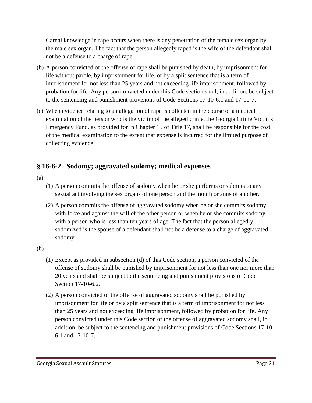Carnal knowledge in rape occurs when there is any penetration of the female sex organ by the male sex organ. The fact that the person allegedly raped is the wife of the defendant shall not be a defense to a charge of rape.

- (b) A person convicted of the offense of rape shall be punished by death, by imprisonment for life without parole, by imprisonment for life, or by a split sentence that is a term of imprisonment for not less than 25 years and not exceeding life imprisonment, followed by probation for life. Any person convicted under this Code section shall, in addition, be subject to the sentencing and punishment provisions of Code Sections 17-10-6.1 and 17-10-7.
- (c) When evidence relating to an allegation of rape is collected in the course of a medical examination of the person who is the victim of the alleged crime, the Georgia Crime Victims Emergency Fund, as provided for in Chapter 15 of Title 17, shall be responsible for the cost of the medical examination to the extent that expense is incurred for the limited purpose of collecting evidence.

## <span id="page-27-0"></span>**§ 16-6-2. Sodomy; aggravated sodomy; medical expenses**

- (a)
	- (1) A person commits the offense of sodomy when he or she performs or submits to any sexual act involving the sex organs of one person and the mouth or anus of another.
	- (2) A person commits the offense of aggravated sodomy when he or she commits sodomy with force and against the will of the other person or when he or she commits sodomy with a person who is less than ten years of age. The fact that the person allegedly sodomized is the spouse of a defendant shall not be a defense to a charge of aggravated sodomy.

#### (b)

- (1) Except as provided in subsection (d) of this Code section, a person convicted of the offense of sodomy shall be punished by imprisonment for not less than one nor more than 20 years and shall be subject to the sentencing and punishment provisions of Code Section 17-10-6.2.
- (2) A person convicted of the offense of aggravated sodomy shall be punished by imprisonment for life or by a split sentence that is a term of imprisonment for not less than 25 years and not exceeding life imprisonment, followed by probation for life. Any person convicted under this Code section of the offense of aggravated sodomy shall, in addition, be subject to the sentencing and punishment provisions of Code Sections 17-10- 6.1 and 17-10-7.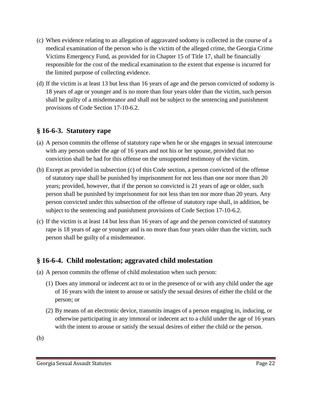- (c) When evidence relating to an allegation of aggravated sodomy is collected in the course of a medical examination of the person who is the victim of the alleged crime, the Georgia Crime Victims Emergency Fund, as provided for in Chapter 15 of Title 17, shall be financially responsible for the cost of the medical examination to the extent that expense is incurred for the limited purpose of collecting evidence.
- (d) If the victim is at least 13 but less than 16 years of age and the person convicted of sodomy is 18 years of age or younger and is no more than four years older than the victim, such person shall be guilty of a misdemeanor and shall not be subject to the sentencing and punishment provisions of Code Section 17-10-6.2.

#### <span id="page-28-0"></span>**§ 16-6-3. Statutory rape**

- (a) A person commits the offense of statutory rape when he or she engages in sexual intercourse with any person under the age of 16 years and not his or her spouse, provided that no conviction shall be had for this offense on the unsupported testimony of the victim.
- (b) Except as provided in subsection (c) of this Code section, a person convicted of the offense of statutory rape shall be punished by imprisonment for not less than one nor more than 20 years; provided, however, that if the person so convicted is 21 years of age or older, such person shall be punished by imprisonment for not less than ten nor more than 20 years. Any person convicted under this subsection of the offense of statutory rape shall, in addition, be subject to the sentencing and punishment provisions of Code Section 17-10-6.2.
- (c) If the victim is at least 14 but less than 16 years of age and the person convicted of statutory rape is 18 years of age or younger and is no more than four years older than the victim, such person shall be guilty of a misdemeanor.

#### <span id="page-28-1"></span>**§ 16-6-4. Child molestation; aggravated child molestation**

- (a) A person commits the offense of child molestation when such person:
	- (1) Does any immoral or indecent act to or in the presence of or with any child under the age of 16 years with the intent to arouse or satisfy the sexual desires of either the child or the person; or
	- (2) By means of an electronic device, transmits images of a person engaging in, inducing, or otherwise participating in any immoral or indecent act to a child under the age of 16 years with the intent to arouse or satisfy the sexual desires of either the child or the person.
- (b)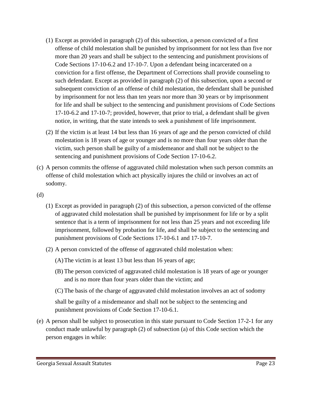- (1) Except as provided in paragraph (2) of this subsection, a person convicted of a first offense of child molestation shall be punished by imprisonment for not less than five nor more than 20 years and shall be subject to the sentencing and punishment provisions of Code Sections 17-10-6.2 and 17-10-7. Upon a defendant being incarcerated on a conviction for a first offense, the Department of Corrections shall provide counseling to such defendant. Except as provided in paragraph (2) of this subsection, upon a second or subsequent conviction of an offense of child molestation, the defendant shall be punished by imprisonment for not less than ten years nor more than 30 years or by imprisonment for life and shall be subject to the sentencing and punishment provisions of Code Sections 17-10-6.2 and 17-10-7; provided, however, that prior to trial, a defendant shall be given notice, in writing, that the state intends to seek a punishment of life imprisonment.
- (2) If the victim is at least 14 but less than 16 years of age and the person convicted of child molestation is 18 years of age or younger and is no more than four years older than the victim, such person shall be guilty of a misdemeanor and shall not be subject to the sentencing and punishment provisions of Code Section 17-10-6.2.
- (c) A person commits the offense of aggravated child molestation when such person commits an offense of child molestation which act physically injures the child or involves an act of sodomy.
- (d)
- (1) Except as provided in paragraph (2) of this subsection, a person convicted of the offense of aggravated child molestation shall be punished by imprisonment for life or by a split sentence that is a term of imprisonment for not less than 25 years and not exceeding life imprisonment, followed by probation for life, and shall be subject to the sentencing and punishment provisions of Code Sections 17-10-6.1 and 17-10-7.
- (2) A person convicted of the offense of aggravated child molestation when:
	- (A)The victim is at least 13 but less than 16 years of age;
	- (B) The person convicted of aggravated child molestation is 18 years of age or younger and is no more than four years older than the victim; and
	- (C) The basis of the charge of aggravated child molestation involves an act of sodomy

shall be guilty of a misdemeanor and shall not be subject to the sentencing and punishment provisions of Code Section 17-10-6.1.

(e) A person shall be subject to prosecution in this state pursuant to Code Section 17-2-1 for any conduct made unlawful by paragraph (2) of subsection (a) of this Code section which the person engages in while: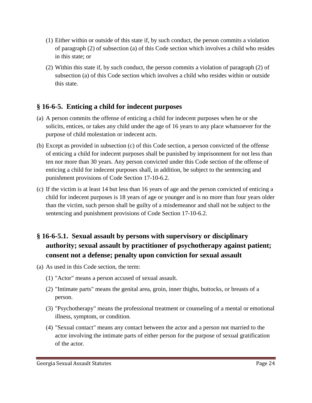- (1) Either within or outside of this state if, by such conduct, the person commits a violation of paragraph (2) of subsection (a) of this Code section which involves a child who resides in this state; or
- (2) Within this state if, by such conduct, the person commits a violation of paragraph (2) of subsection (a) of this Code section which involves a child who resides within or outside this state.

#### <span id="page-30-0"></span>**§ 16-6-5. Enticing a child for indecent purposes**

- (a) A person commits the offense of enticing a child for indecent purposes when he or she solicits, entices, or takes any child under the age of 16 years to any place whatsoever for the purpose of child molestation or indecent acts.
- (b) Except as provided in subsection (c) of this Code section, a person convicted of the offense of enticing a child for indecent purposes shall be punished by imprisonment for not less than ten nor more than 30 years. Any person convicted under this Code section of the offense of enticing a child for indecent purposes shall, in addition, be subject to the sentencing and punishment provisions of Code Section 17-10-6.2.
- (c) If the victim is at least 14 but less than 16 years of age and the person convicted of enticing a child for indecent purposes is 18 years of age or younger and is no more than four years older than the victim, such person shall be guilty of a misdemeanor and shall not be subject to the sentencing and punishment provisions of Code Section 17-10-6.2.

## <span id="page-30-1"></span>**§ 16-6-5.1. Sexual assault by persons with supervisory or disciplinary authority; sexual assault by practitioner of psychotherapy against patient; consent not a defense; penalty upon conviction for sexual assault**

- (a) As used in this Code section, the term:
	- (1) "Actor" means a person accused of sexual assault.
	- (2) "Intimate parts" means the genital area, groin, inner thighs, buttocks, or breasts of a person.
	- (3) "Psychotherapy" means the professional treatment or counseling of a mental or emotional illness, symptom, or condition.
	- (4) "Sexual contact" means any contact between the actor and a person not married to the actor involving the intimate parts of either person for the purpose of sexual gratification of the actor.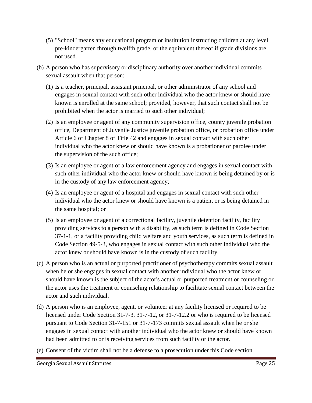- (5) "School" means any educational program or institution instructing children at any level, pre-kindergarten through twelfth grade, or the equivalent thereof if grade divisions are not used.
- (b) A person who has supervisory or disciplinary authority over another individual commits sexual assault when that person:
	- (1) Is a teacher, principal, assistant principal, or other administrator of any school and engages in sexual contact with such other individual who the actor knew or should have known is enrolled at the same school; provided, however, that such contact shall not be prohibited when the actor is married to such other individual;
	- (2) Is an employee or agent of any community supervision office, county juvenile probation office, Department of Juvenile Justice juvenile probation office, or probation office under Article 6 of Chapter 8 of Title 42 and engages in sexual contact with such other individual who the actor knew or should have known is a probationer or parolee under the supervision of the such office;
	- (3) Is an employee or agent of a law enforcement agency and engages in sexual contact with such other individual who the actor knew or should have known is being detained by or is in the custody of any law enforcement agency;
	- (4) Is an employee or agent of a hospital and engages in sexual contact with such other individual who the actor knew or should have known is a patient or is being detained in the same hospital; or
	- (5) Is an employee or agent of a correctional facility, juvenile detention facility, facility providing services to a person with a disability, as such term is defined in Code Section 37-1-1, or a facility providing child welfare and youth services, as such term is defined in Code Section 49-5-3, who engages in sexual contact with such other individual who the actor knew or should have known is in the custody of such facility.
- (c) A person who is an actual or purported practitioner of psychotherapy commits sexual assault when he or she engages in sexual contact with another individual who the actor knew or should have known is the subject of the actor's actual or purported treatment or counseling or the actor uses the treatment or counseling relationship to facilitate sexual contact between the actor and such individual.
- (d) A person who is an employee, agent, or volunteer at any facility licensed or required to be licensed under Code Section 31-7-3, 31-7-12, or 31-7-12.2 or who is required to be licensed pursuant to Code Section 31-7-151 or 31-7-173 commits sexual assault when he or she engages in sexual contact with another individual who the actor knew or should have known had been admitted to or is receiving services from such facility or the actor.
- (e) Consent of the victim shall not be a defense to a prosecution under this Code section.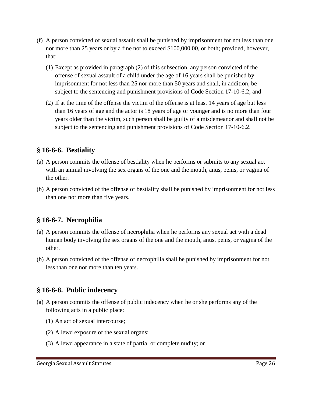- (f) A person convicted of sexual assault shall be punished by imprisonment for not less than one nor more than 25 years or by a fine not to exceed \$100,000.00, or both; provided, however, that:
	- (1) Except as provided in paragraph (2) of this subsection, any person convicted of the offense of sexual assault of a child under the age of 16 years shall be punished by imprisonment for not less than 25 nor more than 50 years and shall, in addition, be subject to the sentencing and punishment provisions of Code Section 17-10-6.2; and
	- (2) If at the time of the offense the victim of the offense is at least 14 years of age but less than 16 years of age and the actor is 18 years of age or younger and is no more than four years older than the victim, such person shall be guilty of a misdemeanor and shall not be subject to the sentencing and punishment provisions of Code Section 17-10-6.2.

## <span id="page-32-0"></span>**§ 16-6-6. Bestiality**

- (a) A person commits the offense of bestiality when he performs or submits to any sexual act with an animal involving the sex organs of the one and the mouth, anus, penis, or vagina of the other.
- (b) A person convicted of the offense of bestiality shall be punished by imprisonment for not less than one nor more than five years.

## <span id="page-32-1"></span>**§ 16-6-7. Necrophilia**

- (a) A person commits the offense of necrophilia when he performs any sexual act with a dead human body involving the sex organs of the one and the mouth, anus, penis, or vagina of the other.
- (b) A person convicted of the offense of necrophilia shall be punished by imprisonment for not less than one nor more than ten years.

#### <span id="page-32-2"></span>**§ 16-6-8. Public indecency**

- (a) A person commits the offense of public indecency when he or she performs any of the following acts in a public place:
	- (1) An act of sexual intercourse;
	- (2) A lewd exposure of the sexual organs;
	- (3) A lewd appearance in a state of partial or complete nudity; or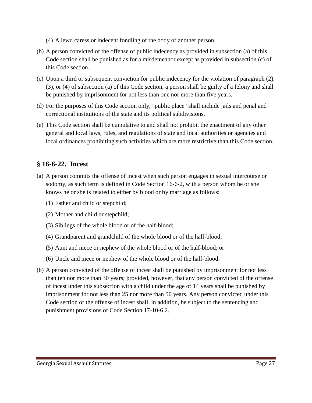- (4) A lewd caress or indecent fondling of the body of another person.
- (b) A person convicted of the offense of public indecency as provided in subsection (a) of this Code section shall be punished as for a misdemeanor except as provided in subsection (c) of this Code section.
- (c) Upon a third or subsequent conviction for public indecency for the violation of paragraph (2), (3), or (4) of subsection (a) of this Code section, a person shall be guilty of a felony and shall be punished by imprisonment for not less than one nor more than five years.
- (d) For the purposes of this Code section only, "public place" shall include jails and penal and correctional institutions of the state and its political subdivisions.
- (e) This Code section shall be cumulative to and shall not prohibit the enactment of any other general and local laws, rules, and regulations of state and local authorities or agencies and local ordinances prohibiting such activities which are more restrictive than this Code section.

## <span id="page-33-0"></span>**§ 16-6-22. Incest**

- (a) A person commits the offense of incest when such person engages in sexual intercourse or sodomy, as such term is defined in Code Section 16-6-2, with a person whom he or she knows he or she is related to either by blood or by marriage as follows:
	- (1) Father and child or stepchild;
	- (2) Mother and child or stepchild;
	- (3) Siblings of the whole blood or of the half-blood;
	- (4) Grandparent and grandchild of the whole blood or of the half-blood;
	- (5) Aunt and niece or nephew of the whole blood or of the half-blood; or
	- (6) Uncle and niece or nephew of the whole blood or of the half-blood.
- (b) A person convicted of the offense of incest shall be punished by imprisonment for not less than ten nor more than 30 years; provided, however, that any person convicted of the offense of incest under this subsection with a child under the age of 14 years shall be punished by imprisonment for not less than 25 nor more than 50 years. Any person convicted under this Code section of the offense of incest shall, in addition, be subject to the sentencing and punishment provisions of Code Section 17-10-6.2.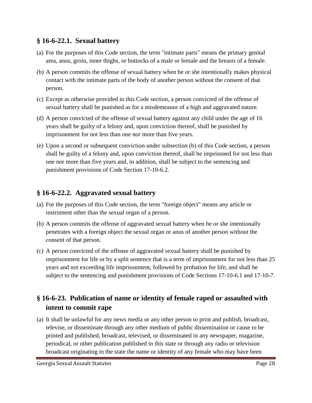#### <span id="page-34-0"></span>**§ 16-6-22.1. Sexual battery**

- (a) For the purposes of this Code section, the term "intimate parts" means the primary genital area, anus, groin, inner thighs, or buttocks of a male or female and the breasts of a female.
- (b) A person commits the offense of sexual battery when he or she intentionally makes physical contact with the intimate parts of the body of another person without the consent of that person.
- (c) Except as otherwise provided in this Code section, a person convicted of the offense of sexual battery shall be punished as for a misdemeanor of a high and aggravated nature.
- (d) A person convicted of the offense of sexual battery against any child under the age of 16 years shall be guilty of a felony and, upon conviction thereof, shall be punished by imprisonment for not less than one nor more than five years.
- (e) Upon a second or subsequent conviction under subsection (b) of this Code section, a person shall be guilty of a felony and, upon conviction thereof, shall be imprisoned for not less than one nor more than five years and, in addition, shall be subject to the sentencing and punishment provisions of Code Section 17-10-6.2.

## <span id="page-34-1"></span>**§ 16-6-22.2. Aggravated sexual battery**

- (a) For the purposes of this Code section, the term "foreign object" means any article or instrument other than the sexual organ of a person.
- (b) A person commits the offense of aggravated sexual battery when he or she intentionally penetrates with a foreign object the sexual organ or anus of another person without the consent of that person.
- (c) A person convicted of the offense of aggravated sexual battery shall be punished by imprisonment for life or by a split sentence that is a term of imprisonment for not less than 25 years and not exceeding life imprisonment, followed by probation for life, and shall be subject to the sentencing and punishment provisions of Code Sections 17-10-6.1 and 17-10-7.

## <span id="page-34-2"></span>**§ 16-6-23. Publication of name or identity of female raped or assaulted with intent to commit rape**

(a) It shall be unlawful for any news media or any other person to print and publish, broadcast, televise, or disseminate through any other medium of public dissemination or cause to be printed and published, broadcast, televised, or disseminated in any newspaper, magazine, periodical, or other publication published in this state or through any radio or television broadcast originating in the state the name or identity of any female who may have been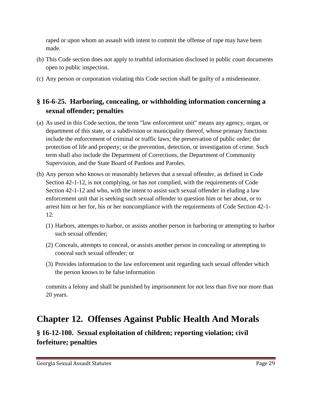raped or upon whom an assault with intent to commit the offense of rape may have been made.

- (b) This Code section does not apply to truthful information disclosed in public court documents open to public inspection.
- (c) Any person or corporation violating this Code section shall be guilty of a misdemeanor.

## <span id="page-35-0"></span>**§ 16-6-25. Harboring, concealing, or withholding information concerning a sexual offender; penalties**

- (a) As used in this Code section, the term "law enforcement unit" means any agency, organ, or department of this state, or a subdivision or municipality thereof, whose primary functions include the enforcement of criminal or traffic laws; the preservation of public order; the protection of life and property; or the prevention, detection, or investigation of crime. Such term shall also include the Department of Corrections, the Department of Community Supervision, and the State Board of Pardons and Paroles.
- (b) Any person who knows or reasonably believes that a sexual offender, as defined in Code Section 42-1-12, is not complying, or has not complied, with the requirements of Code Section 42-1-12 and who, with the intent to assist such sexual offender in eluding a law enforcement unit that is seeking such sexual offender to question him or her about, or to arrest him or her for, his or her noncompliance with the requirements of Code Section 42-1- 12:
	- (1) Harbors, attempts to harbor, or assists another person in harboring or attempting to harbor such sexual offender;
	- (2) Conceals, attempts to conceal, or assists another person in concealing or attempting to conceal such sexual offender; or
	- (3) Provides information to the law enforcement unit regarding such sexual offender which the person knows to be false information

commits a felony and shall be punished by imprisonment for not less than five nor more than 20 years.

# **Chapter 12. Offenses Against Public Health And Morals**

## <span id="page-35-2"></span><span id="page-35-1"></span>**§ 16-12-100. Sexual exploitation of children; reporting violation; civil forfeiture; penalties**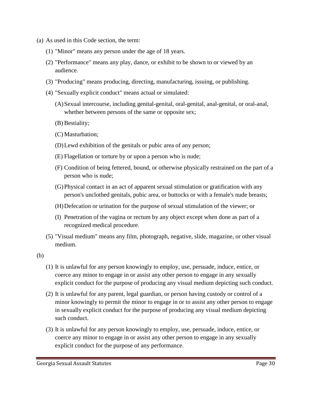- (a) As used in this Code section, the term:
	- (1) "Minor" means any person under the age of 18 years.
	- (2) "Performance" means any play, dance, or exhibit to be shown to or viewed by an audience.
	- (3) "Producing" means producing, directing, manufacturing, issuing, or publishing.
	- (4) "Sexually explicit conduct" means actual or simulated:
		- (A)Sexual intercourse, including genital-genital, oral-genital, anal-genital, or oral-anal, whether between persons of the same or opposite sex;
		- (B) Bestiality;
		- (C) Masturbation;
		- (D)Lewd exhibition of the genitals or pubic area of any person;
		- (E) Flagellation or torture by or upon a person who is nude;
		- (F) Condition of being fettered, bound, or otherwise physically restrained on the part of a person who is nude;
		- (G)Physical contact in an act of apparent sexual stimulation or gratification with any person's unclothed genitals, pubic area, or buttocks or with a female's nude breasts;
		- (H)Defecation or urination for the purpose of sexual stimulation of the viewer; or
		- (I) Penetration of the vagina or rectum by any object except when done as part of a recognized medical procedure.
	- (5) "Visual medium" means any film, photograph, negative, slide, magazine, or other visual medium.
- (b)
	- (1) It is unlawful for any person knowingly to employ, use, persuade, induce, entice, or coerce any minor to engage in or assist any other person to engage in any sexually explicit conduct for the purpose of producing any visual medium depicting such conduct.
	- (2) It is unlawful for any parent, legal guardian, or person having custody or control of a minor knowingly to permit the minor to engage in or to assist any other person to engage in sexually explicit conduct for the purpose of producing any visual medium depicting such conduct.
	- (3) It is unlawful for any person knowingly to employ, use, persuade, induce, entice, or coerce any minor to engage in or assist any other person to engage in any sexually explicit conduct for the purpose of any performance.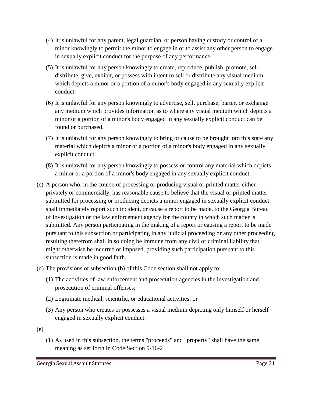- (4) It is unlawful for any parent, legal guardian, or person having custody or control of a minor knowingly to permit the minor to engage in or to assist any other person to engage in sexually explicit conduct for the purpose of any performance.
- (5) It is unlawful for any person knowingly to create, reproduce, publish, promote, sell, distribute, give, exhibit, or possess with intent to sell or distribute any visual medium which depicts a minor or a portion of a minor's body engaged in any sexually explicit conduct.
- (6) It is unlawful for any person knowingly to advertise, sell, purchase, barter, or exchange any medium which provides information as to where any visual medium which depicts a minor or a portion of a minor's body engaged in any sexually explicit conduct can be found or purchased.
- (7) It is unlawful for any person knowingly to bring or cause to be brought into this state any material which depicts a minor or a portion of a minor's body engaged in any sexually explicit conduct.
- (8) It is unlawful for any person knowingly to possess or control any material which depicts a minor or a portion of a minor's body engaged in any sexually explicit conduct.
- (c) A person who, in the course of processing or producing visual or printed matter either privately or commercially, has reasonable cause to believe that the visual or printed matter submitted for processing or producing depicts a minor engaged in sexually explicit conduct shall immediately report such incident, or cause a report to be made, to the Georgia Bureau of Investigation or the law enforcement agency for the county in which such matter is submitted. Any person participating in the making of a report or causing a report to be made pursuant to this subsection or participating in any judicial proceeding or any other proceeding resulting therefrom shall in so doing be immune from any civil or criminal liability that might otherwise be incurred or imposed, providing such participation pursuant to this subsection is made in good faith.
- (d) The provisions of subsection (b) of this Code section shall not apply to:
	- (1) The activities of law enforcement and prosecution agencies in the investigation and prosecution of criminal offenses;
	- (2) Legitimate medical, scientific, or educational activities; or
	- (3) Any person who creates or possesses a visual medium depicting only himself or herself engaged in sexually explicit conduct.

(e)

(1) As used in this subsection, the terms "proceeds" and "property" shall have the same meaning as set forth in Code Section 9-16-2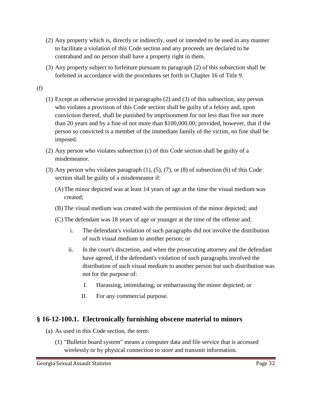- (2) Any property which is, directly or indirectly, used or intended to be used in any manner to facilitate a violation of this Code section and any proceeds are declared to be contraband and no person shall have a property right in them.
- (3) Any property subject to forfeiture pursuant to paragraph (2) of this subsection shall be forfeited in accordance with the procedures set forth in Chapter 16 of Title 9.

#### (f)

- (1) Except as otherwise provided in paragraphs (2) and (3) of this subsection, any person who violates a provision of this Code section shall be guilty of a felony and, upon conviction thereof, shall be punished by imprisonment for not less than five nor more than 20 years and by a fine of not more than \$100,000.00; provided, however, that if the person so convicted is a member of the immediate family of the victim, no fine shall be imposed.
- (2) Any person who violates subsection (c) of this Code section shall be guilty of a misdemeanor.
- (3) Any person who violates paragraph (1), (5), (7), or (8) of subsection (b) of this Code section shall be guilty of a misdemeanor if:
	- (A)The minor depicted was at least 14 years of age at the time the visual medium was created;
	- (B) The visual medium was created with the permission of the minor depicted; and
	- (C) The defendant was 18 years of age or younger at the time of the offense and:
		- i. The defendant's violation of such paragraphs did not involve the distribution of such visual medium to another person; or
		- ii. In the court's discretion, and when the prosecuting attorney and the defendant have agreed, if the defendant's violation of such paragraphs involved the distribution of such visual medium to another person but such distribution was not for the purpose of:
			- I. Harassing, intimidating, or embarrassing the minor depicted; or
			- II. For any commercial purpose.

#### **§ 16-12-100.1. Electronically furnishing obscene material to minors**

- (a) As used in this Code section, the term:
	- (1) "Bulletin board system" means a computer data and file service that is accessed wirelessly or by physical connection to store and transmit information.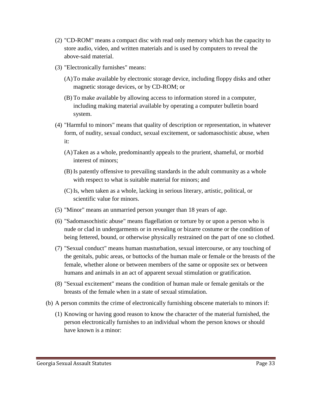- (2) "CD-ROM" means a compact disc with read only memory which has the capacity to store audio, video, and written materials and is used by computers to reveal the above-said material.
- (3) "Electronically furnishes" means:
	- (A)To make available by electronic storage device, including floppy disks and other magnetic storage devices, or by CD-ROM; or
	- (B) To make available by allowing access to information stored in a computer, including making material available by operating a computer bulletin board system.
- (4) "Harmful to minors" means that quality of description or representation, in whatever form, of nudity, sexual conduct, sexual excitement, or sadomasochistic abuse, when it:
	- (A)Taken as a whole, predominantly appeals to the prurient, shameful, or morbid interest of minors;
	- (B) Is patently offensive to prevailing standards in the adult community as a whole with respect to what is suitable material for minors; and
	- (C) Is, when taken as a whole, lacking in serious literary, artistic, political, or scientific value for minors.
- (5) "Minor" means an unmarried person younger than 18 years of age.
- (6) "Sadomasochistic abuse" means flagellation or torture by or upon a person who is nude or clad in undergarments or in revealing or bizarre costume or the condition of being fettered, bound, or otherwise physically restrained on the part of one so clothed.
- (7) "Sexual conduct" means human masturbation, sexual intercourse, or any touching of the genitals, pubic areas, or buttocks of the human male or female or the breasts of the female, whether alone or between members of the same or opposite sex or between humans and animals in an act of apparent sexual stimulation or gratification.
- (8) "Sexual excitement" means the condition of human male or female genitals or the breasts of the female when in a state of sexual stimulation.
- (b) A person commits the crime of electronically furnishing obscene materials to minors if:
	- (1) Knowing or having good reason to know the character of the material furnished, the person electronically furnishes to an individual whom the person knows or should have known is a minor: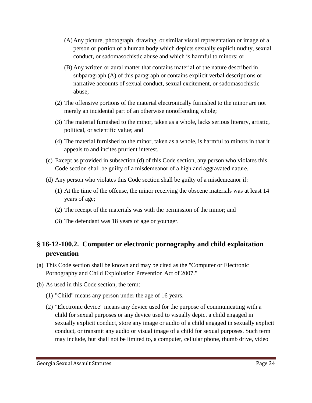- (A)Any picture, photograph, drawing, or similar visual representation or image of a person or portion of a human body which depicts sexually explicit nudity, sexual conduct, or sadomasochistic abuse and which is harmful to minors; or
- (B) Any written or aural matter that contains material of the nature described in subparagraph (A) of this paragraph or contains explicit verbal descriptions or narrative accounts of sexual conduct, sexual excitement, or sadomasochistic abuse;
- (2) The offensive portions of the material electronically furnished to the minor are not merely an incidental part of an otherwise nonoffending whole;
- (3) The material furnished to the minor, taken as a whole, lacks serious literary, artistic, political, or scientific value; and
- (4) The material furnished to the minor, taken as a whole, is harmful to minors in that it appeals to and incites prurient interest.
- (c) Except as provided in subsection (d) of this Code section, any person who violates this Code section shall be guilty of a misdemeanor of a high and aggravated nature.
- (d) Any person who violates this Code section shall be guilty of a misdemeanor if:
	- (1) At the time of the offense, the minor receiving the obscene materials was at least 14 years of age;
	- (2) The receipt of the materials was with the permission of the minor; and
	- (3) The defendant was 18 years of age or younger.

## **§ 16-12-100.2. Computer or electronic pornography and child exploitation prevention**

- (a) This Code section shall be known and may be cited as the "Computer or Electronic Pornography and Child Exploitation Prevention Act of 2007."
- (b) As used in this Code section, the term:
	- (1) "Child" means any person under the age of 16 years.
	- (2) "Electronic device" means any device used for the purpose of communicating with a child for sexual purposes or any device used to visually depict a child engaged in sexually explicit conduct, store any image or audio of a child engaged in sexually explicit conduct, or transmit any audio or visual image of a child for sexual purposes. Such term may include, but shall not be limited to, a computer, cellular phone, thumb drive, video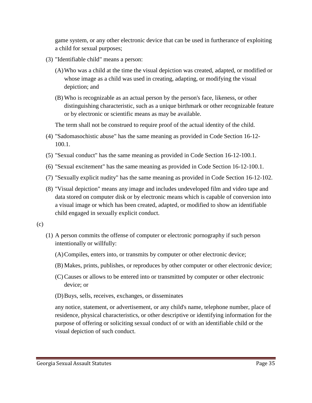game system, or any other electronic device that can be used in furtherance of exploiting a child for sexual purposes;

- (3) "Identifiable child" means a person:
	- (A)Who was a child at the time the visual depiction was created, adapted, or modified or whose image as a child was used in creating, adapting, or modifying the visual depiction; and
	- (B) Who is recognizable as an actual person by the person's face, likeness, or other distinguishing characteristic, such as a unique birthmark or other recognizable feature or by electronic or scientific means as may be available.

The term shall not be construed to require proof of the actual identity of the child.

- (4) "Sadomasochistic abuse" has the same meaning as provided in Code Section 16-12- 100.1.
- (5) "Sexual conduct" has the same meaning as provided in Code Section 16-12-100.1.
- (6) "Sexual excitement" has the same meaning as provided in Code Section 16-12-100.1.
- (7) "Sexually explicit nudity" has the same meaning as provided in Code Section 16-12-102.
- (8) "Visual depiction" means any image and includes undeveloped film and video tape and data stored on computer disk or by electronic means which is capable of conversion into a visual image or which has been created, adapted, or modified to show an identifiable child engaged in sexually explicit conduct.
- (c)
- (1) A person commits the offense of computer or electronic pornography if such person intentionally or willfully:
	- (A)Compiles, enters into, or transmits by computer or other electronic device;
	- (B) Makes, prints, publishes, or reproduces by other computer or other electronic device;
	- (C) Causes or allows to be entered into or transmitted by computer or other electronic device; or
	- (D)Buys, sells, receives, exchanges, or disseminates

any notice, statement, or advertisement, or any child's name, telephone number, place of residence, physical characteristics, or other descriptive or identifying information for the purpose of offering or soliciting sexual conduct of or with an identifiable child or the visual depiction of such conduct.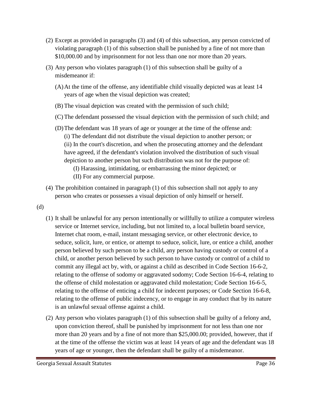- (2) Except as provided in paragraphs (3) and (4) of this subsection, any person convicted of violating paragraph (1) of this subsection shall be punished by a fine of not more than \$10,000.00 and by imprisonment for not less than one nor more than 20 years.
- (3) Any person who violates paragraph (1) of this subsection shall be guilty of a misdemeanor if:
	- (A)At the time of the offense, any identifiable child visually depicted was at least 14 years of age when the visual depiction was created;
	- (B) The visual depiction was created with the permission of such child;
	- (C) The defendant possessed the visual depiction with the permission of such child; and
	- (D)The defendant was 18 years of age or younger at the time of the offense and: (i) The defendant did not distribute the visual depiction to another person; or (ii) In the court's discretion, and when the prosecuting attorney and the defendant have agreed, if the defendant's violation involved the distribution of such visual depiction to another person but such distribution was not for the purpose of:
		- (I) Harassing, intimidating, or embarrassing the minor depicted; or (II) For any commercial purpose.
- (4) The prohibition contained in paragraph (1) of this subsection shall not apply to any person who creates or possesses a visual depiction of only himself or herself.
- (d)
- (1) It shall be unlawful for any person intentionally or willfully to utilize a computer wireless service or Internet service, including, but not limited to, a local bulletin board service, Internet chat room, e-mail, instant messaging service, or other electronic device, to seduce, solicit, lure, or entice, or attempt to seduce, solicit, lure, or entice a child, another person believed by such person to be a child, any person having custody or control of a child, or another person believed by such person to have custody or control of a child to commit any illegal act by, with, or against a child as described in Code Section 16-6-2, relating to the offense of sodomy or aggravated sodomy; Code Section 16-6-4, relating to the offense of child molestation or aggravated child molestation; Code Section 16-6-5, relating to the offense of enticing a child for indecent purposes; or Code Section 16-6-8, relating to the offense of public indecency, or to engage in any conduct that by its nature is an unlawful sexual offense against a child.
- (2) Any person who violates paragraph (1) of this subsection shall be guilty of a felony and, upon conviction thereof, shall be punished by imprisonment for not less than one nor more than 20 years and by a fine of not more than \$25,000.00; provided, however, that if at the time of the offense the victim was at least 14 years of age and the defendant was 18 years of age or younger, then the defendant shall be guilty of a misdemeanor.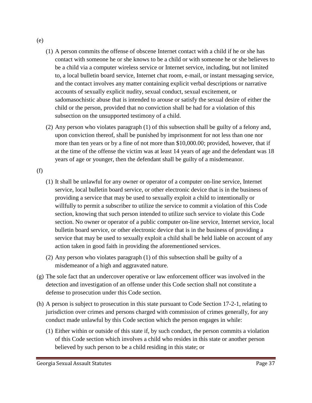- (e)
- (1) A person commits the offense of obscene Internet contact with a child if he or she has contact with someone he or she knows to be a child or with someone he or she believes to be a child via a computer wireless service or Internet service, including, but not limited to, a local bulletin board service, Internet chat room, e-mail, or instant messaging service, and the contact involves any matter containing explicit verbal descriptions or narrative accounts of sexually explicit nudity, sexual conduct, sexual excitement, or sadomasochistic abuse that is intended to arouse or satisfy the sexual desire of either the child or the person, provided that no conviction shall be had for a violation of this subsection on the unsupported testimony of a child.
- (2) Any person who violates paragraph (1) of this subsection shall be guilty of a felony and, upon conviction thereof, shall be punished by imprisonment for not less than one nor more than ten years or by a fine of not more than \$10,000.00; provided, however, that if at the time of the offense the victim was at least 14 years of age and the defendant was 18 years of age or younger, then the defendant shall be guilty of a misdemeanor.
- (f)
- (1) It shall be unlawful for any owner or operator of a computer on-line service, Internet service, local bulletin board service, or other electronic device that is in the business of providing a service that may be used to sexually exploit a child to intentionally or willfully to permit a subscriber to utilize the service to commit a violation of this Code section, knowing that such person intended to utilize such service to violate this Code section. No owner or operator of a public computer on-line service, Internet service, local bulletin board service, or other electronic device that is in the business of providing a service that may be used to sexually exploit a child shall be held liable on account of any action taken in good faith in providing the aforementioned services.
- (2) Any person who violates paragraph (1) of this subsection shall be guilty of a misdemeanor of a high and aggravated nature.
- (g) The sole fact that an undercover operative or law enforcement officer was involved in the detection and investigation of an offense under this Code section shall not constitute a defense to prosecution under this Code section.
- (h) A person is subject to prosecution in this state pursuant to Code Section 17-2-1, relating to jurisdiction over crimes and persons charged with commission of crimes generally, for any conduct made unlawful by this Code section which the person engages in while:
	- (1) Either within or outside of this state if, by such conduct, the person commits a violation of this Code section which involves a child who resides in this state or another person believed by such person to be a child residing in this state; or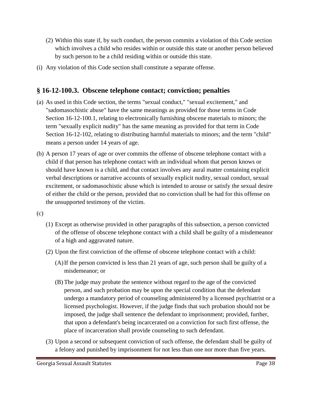- (2) Within this state if, by such conduct, the person commits a violation of this Code section which involves a child who resides within or outside this state or another person believed by such person to be a child residing within or outside this state.
- (i) Any violation of this Code section shall constitute a separate offense.

#### **§ 16-12-100.3. Obscene telephone contact; conviction; penalties**

- (a) As used in this Code section, the terms "sexual conduct," "sexual excitement," and "sadomasochistic abuse" have the same meanings as provided for those terms in Code Section 16-12-100.1, relating to electronically furnishing obscene materials to minors; the term "sexually explicit nudity" has the same meaning as provided for that term in Code Section 16-12-102, relating to distributing harmful materials to minors; and the term "child" means a person under 14 years of age.
- (b) A person 17 years of age or over commits the offense of obscene telephone contact with a child if that person has telephone contact with an individual whom that person knows or should have known is a child, and that contact involves any aural matter containing explicit verbal descriptions or narrative accounts of sexually explicit nudity, sexual conduct, sexual excitement, or sadomasochistic abuse which is intended to arouse or satisfy the sexual desire of either the child or the person, provided that no conviction shall be had for this offense on the unsupported testimony of the victim.

 $(c)$ 

- (1) Except as otherwise provided in other paragraphs of this subsection, a person convicted of the offense of obscene telephone contact with a child shall be guilty of a misdemeanor of a high and aggravated nature.
- (2) Upon the first conviction of the offense of obscene telephone contact with a child:
	- (A)If the person convicted is less than 21 years of age, such person shall be guilty of a misdemeanor; or
	- (B) The judge may probate the sentence without regard to the age of the convicted person, and such probation may be upon the special condition that the defendant undergo a mandatory period of counseling administered by a licensed psychiatrist or a licensed psychologist. However, if the judge finds that such probation should not be imposed, the judge shall sentence the defendant to imprisonment; provided, further, that upon a defendant's being incarcerated on a conviction for such first offense, the place of incarceration shall provide counseling to such defendant.
- (3) Upon a second or subsequent conviction of such offense, the defendant shall be guilty of a felony and punished by imprisonment for not less than one nor more than five years.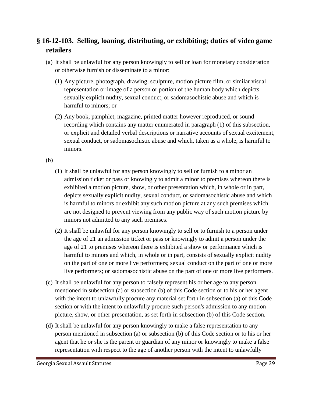#### **§ 16-12-103. Selling, loaning, distributing, or exhibiting; duties of video game retailers**

- (a) It shall be unlawful for any person knowingly to sell or loan for monetary consideration or otherwise furnish or disseminate to a minor:
	- (1) Any picture, photograph, drawing, sculpture, motion picture film, or similar visual representation or image of a person or portion of the human body which depicts sexually explicit nudity, sexual conduct, or sadomasochistic abuse and which is harmful to minors; or
	- (2) Any book, pamphlet, magazine, printed matter however reproduced, or sound recording which contains any matter enumerated in paragraph (1) of this subsection, or explicit and detailed verbal descriptions or narrative accounts of sexual excitement, sexual conduct, or sadomasochistic abuse and which, taken as a whole, is harmful to minors.

#### (b)

- (1) It shall be unlawful for any person knowingly to sell or furnish to a minor an admission ticket or pass or knowingly to admit a minor to premises whereon there is exhibited a motion picture, show, or other presentation which, in whole or in part, depicts sexually explicit nudity, sexual conduct, or sadomasochistic abuse and which is harmful to minors or exhibit any such motion picture at any such premises which are not designed to prevent viewing from any public way of such motion picture by minors not admitted to any such premises.
- (2) It shall be unlawful for any person knowingly to sell or to furnish to a person under the age of 21 an admission ticket or pass or knowingly to admit a person under the age of 21 to premises whereon there is exhibited a show or performance which is harmful to minors and which, in whole or in part, consists of sexually explicit nudity on the part of one or more live performers; sexual conduct on the part of one or more live performers; or sadomasochistic abuse on the part of one or more live performers.
- (c) It shall be unlawful for any person to falsely represent his or her age to any person mentioned in subsection (a) or subsection (b) of this Code section or to his or her agent with the intent to unlawfully procure any material set forth in subsection (a) of this Code section or with the intent to unlawfully procure such person's admission to any motion picture, show, or other presentation, as set forth in subsection (b) of this Code section.
- (d) It shall be unlawful for any person knowingly to make a false representation to any person mentioned in subsection (a) or subsection (b) of this Code section or to his or her agent that he or she is the parent or guardian of any minor or knowingly to make a false representation with respect to the age of another person with the intent to unlawfully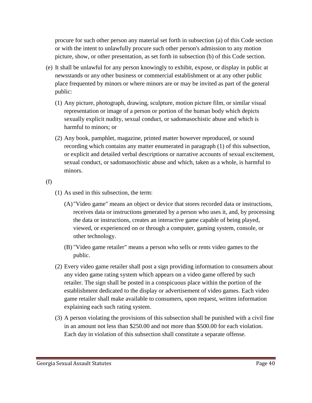procure for such other person any material set forth in subsection (a) of this Code section or with the intent to unlawfully procure such other person's admission to any motion picture, show, or other presentation, as set forth in subsection (b) of this Code section.

- (e) It shall be unlawful for any person knowingly to exhibit, expose, or display in public at newsstands or any other business or commercial establishment or at any other public place frequented by minors or where minors are or may be invited as part of the general public:
	- (1) Any picture, photograph, drawing, sculpture, motion picture film, or similar visual representation or image of a person or portion of the human body which depicts sexually explicit nudity, sexual conduct, or sadomasochistic abuse and which is harmful to minors; or
	- (2) Any book, pamphlet, magazine, printed matter however reproduced, or sound recording which contains any matter enumerated in paragraph (1) of this subsection, or explicit and detailed verbal descriptions or narrative accounts of sexual excitement, sexual conduct, or sadomasochistic abuse and which, taken as a whole, is harmful to minors.

(f)

- (1) As used in this subsection, the term:
	- (A) "Video game" means an object or device that stores recorded data or instructions, receives data or instructions generated by a person who uses it, and, by processing the data or instructions, creates an interactive game capable of being played, viewed, or experienced on or through a computer, gaming system, console, or other technology.
	- (B) "Video game retailer" means a person who sells or rents video games to the public.
- (2) Every video game retailer shall post a sign providing information to consumers about any video game rating system which appears on a video game offered by such retailer. The sign shall be posted in a conspicuous place within the portion of the establishment dedicated to the display or advertisement of video games. Each video game retailer shall make available to consumers, upon request, written information explaining each such rating system.
- (3) A person violating the provisions of this subsection shall be punished with a civil fine in an amount not less than \$250.00 and not more than \$500.00 for each violation. Each day in violation of this subsection shall constitute a separate offense.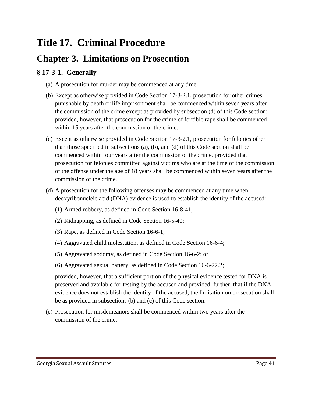# **Title 17. Criminal Procedure**

## **Chapter 3. Limitations on Prosecution**

#### **§ 17-3-1. Generally**

- (a) A prosecution for murder may be commenced at any time.
- (b) Except as otherwise provided in Code Section 17-3-2.1, prosecution for other crimes punishable by death or life imprisonment shall be commenced within seven years after the commission of the crime except as provided by subsection (d) of this Code section; provided, however, that prosecution for the crime of forcible rape shall be commenced within 15 years after the commission of the crime.
- (c) Except as otherwise provided in Code Section 17-3-2.1, prosecution for felonies other than those specified in subsections (a), (b), and (d) of this Code section shall be commenced within four years after the commission of the crime, provided that prosecution for felonies committed against victims who are at the time of the commission of the offense under the age of 18 years shall be commenced within seven years after the commission of the crime.
- (d) A prosecution for the following offenses may be commenced at any time when deoxyribonucleic acid (DNA) evidence is used to establish the identity of the accused:
	- (1) Armed robbery, as defined in Code Section 16-8-41;
	- (2) Kidnapping, as defined in Code Section 16-5-40;
	- (3) Rape, as defined in Code Section 16-6-1;
	- (4) Aggravated child molestation, as defined in Code Section 16-6-4;
	- (5) Aggravated sodomy, as defined in Code Section 16-6-2; or
	- (6) Aggravated sexual battery, as defined in Code Section 16-6-22.2;

provided, however, that a sufficient portion of the physical evidence tested for DNA is preserved and available for testing by the accused and provided, further, that if the DNA evidence does not establish the identity of the accused, the limitation on prosecution shall be as provided in subsections (b) and (c) of this Code section.

(e) Prosecution for misdemeanors shall be commenced within two years after the commission of the crime.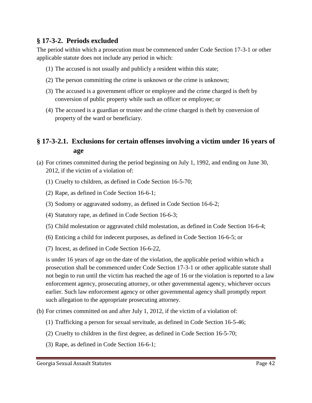#### **§ 17-3-2. Periods excluded**

The period within which a prosecution must be commenced under Code Section 17-3-1 or other applicable statute does not include any period in which:

- (1) The accused is not usually and publicly a resident within this state;
- (2) The person committing the crime is unknown or the crime is unknown;
- (3) The accused is a government officer or employee and the crime charged is theft by conversion of public property while such an officer or employee; or
- (4) The accused is a guardian or trustee and the crime charged is theft by conversion of property of the ward or beneficiary.

#### **§ 17-3-2.1. Exclusions for certain offenses involving a victim under 16 years of age**

- (a) For crimes committed during the period beginning on July 1, 1992, and ending on June 30, 2012, if the victim of a violation of:
	- (1) Cruelty to children, as defined in Code Section 16-5-70;
	- (2) Rape, as defined in Code Section 16-6-1;
	- (3) Sodomy or aggravated sodomy, as defined in Code Section 16-6-2;
	- (4) Statutory rape, as defined in Code Section 16-6-3;
	- (5) Child molestation or aggravated child molestation, as defined in Code Section 16-6-4;
	- (6) Enticing a child for indecent purposes, as defined in Code Section 16-6-5; or
	- (7) Incest, as defined in Code Section 16-6-22,

is under 16 years of age on the date of the violation, the applicable period within which a prosecution shall be commenced under Code Section 17-3-1 or other applicable statute shall not begin to run until the victim has reached the age of 16 or the violation is reported to a law enforcement agency, prosecuting attorney, or other governmental agency, whichever occurs earlier. Such law enforcement agency or other governmental agency shall promptly report such allegation to the appropriate prosecuting attorney.

- (b) For crimes committed on and after July 1, 2012, if the victim of a violation of:
	- (1) Trafficking a person for sexual servitude, as defined in Code Section 16-5-46;
	- (2) Cruelty to children in the first degree, as defined in Code Section 16-5-70;
	- (3) Rape, as defined in Code Section 16-6-1;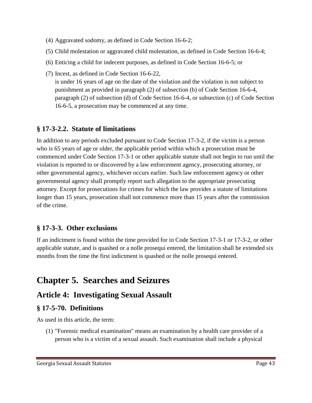- (4) Aggravated sodomy, as defined in Code Section 16-6-2;
- (5) Child molestation or aggravated child molestation, as defined in Code Section 16-6-4;
- (6) Enticing a child for indecent purposes, as defined in Code Section 16-6-5; or
- (7) Incest, as defined in Code Section 16-6-22, is under 16 years of age on the date of the violation and the violation is not subject to punishment as provided in paragraph (2) of subsection (b) of Code Section 16-6-4, paragraph (2) of subsection (d) of Code Section 16-6-4, or subsection (c) of Code Section 16-6-5, a prosecution may be commenced at any time.

#### **§ 17-3-2.2. Statute of limitations**

In addition to any periods excluded pursuant to Code Section 17-3-2, if the victim is a person who is 65 years of age or older, the applicable period within which a prosecution must be commenced under Code Section 17-3-1 or other applicable statute shall not begin to run until the violation is reported to or discovered by a law enforcement agency, prosecuting attorney, or other governmental agency, whichever occurs earlier. Such law enforcement agency or other governmental agency shall promptly report such allegation to the appropriate prosecuting attorney. Except for prosecutions for crimes for which the law provides a statute of limitations longer than 15 years, prosecution shall not commence more than 15 years after the commission of the crime.

#### **§ 17-3-3. Other exclusions**

If an indictment is found within the time provided for in Code Section 17-3-1 or 17-3-2, or other applicable statute, and is quashed or a nolle prosequi entered, the limitation shall be extended six months from the time the first indictment is quashed or the nolle prosequi entered.

## **Chapter 5. Searches and Seizures**

## **Article 4: Investigating Sexual Assault**

#### **§ 17-5-70. Definitions**

As used in this article, the term:

(1) "Forensic medical examination" means an examination by a health care provider of a person who is a victim of a sexual assault. Such examination shall include a physical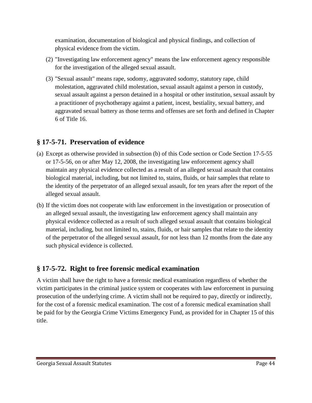examination, documentation of biological and physical findings, and collection of physical evidence from the victim.

- (2) "Investigating law enforcement agency" means the law enforcement agency responsible for the investigation of the alleged sexual assault.
- (3) "Sexual assault" means rape, sodomy, aggravated sodomy, statutory rape, child molestation, aggravated child molestation, sexual assault against a person in custody, sexual assault against a person detained in a hospital or other institution, sexual assault by a practitioner of psychotherapy against a patient, incest, bestiality, sexual battery, and aggravated sexual battery as those terms and offenses are set forth and defined in Chapter 6 of Title 16.

### **§ 17-5-71. Preservation of evidence**

- (a) Except as otherwise provided in subsection (b) of this Code section or Code Section 17-5-55 or 17-5-56, on or after May 12, 2008, the investigating law enforcement agency shall maintain any physical evidence collected as a result of an alleged sexual assault that contains biological material, including, but not limited to, stains, fluids, or hair samples that relate to the identity of the perpetrator of an alleged sexual assault, for ten years after the report of the alleged sexual assault.
- (b) If the victim does not cooperate with law enforcement in the investigation or prosecution of an alleged sexual assault, the investigating law enforcement agency shall maintain any physical evidence collected as a result of such alleged sexual assault that contains biological material, including, but not limited to, stains, fluids, or hair samples that relate to the identity of the perpetrator of the alleged sexual assault, for not less than 12 months from the date any such physical evidence is collected.

#### **§ 17-5-72. Right to free forensic medical examination**

A victim shall have the right to have a forensic medical examination regardless of whether the victim participates in the criminal justice system or cooperates with law enforcement in pursuing prosecution of the underlying crime. A victim shall not be required to pay, directly or indirectly, for the cost of a forensic medical examination. The cost of a forensic medical examination shall be paid for by the Georgia Crime Victims Emergency Fund, as provided for in Chapter 15 of this title.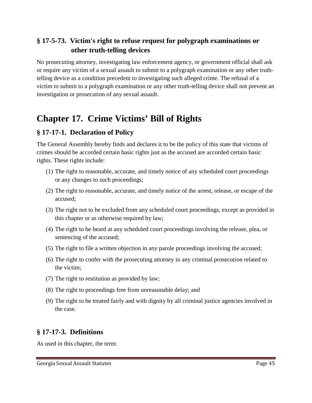#### **§ 17-5-73. Victim's right to refuse request for polygraph examinations or other truth-telling devices**

No prosecuting attorney, investigating law enforcement agency, or government official shall ask or require any victim of a sexual assault to submit to a polygraph examination or any other truthtelling device as a condition precedent to investigating such alleged crime. The refusal of a victim to submit to a polygraph examination or any other truth-telling device shall not prevent an investigation or prosecution of any sexual assault.

## **Chapter 17. Crime Victims' Bill of Rights**

#### **§ 17-17-1. Declaration of Policy**

The General Assembly hereby finds and declares it to be the policy of this state that victims of crimes should be accorded certain basic rights just as the accused are accorded certain basic rights. These rights include:

- (1) The right to reasonable, accurate, and timely notice of any scheduled court proceedings or any changes to such proceedings;
- (2) The right to reasonable, accurate, and timely notice of the arrest, release, or escape of the accused;
- (3) The right not to be excluded from any scheduled court proceedings, except as provided in this chapter or as otherwise required by law;
- (4) The right to be heard at any scheduled court proceedings involving the release, plea, or sentencing of the accused;
- (5) The right to file a written objection in any parole proceedings involving the accused;
- (6) The right to confer with the prosecuting attorney in any criminal prosecution related to the victim;
- (7) The right to restitution as provided by law;
- (8) The right to proceedings free from unreasonable delay; and
- (9) The right to be treated fairly and with dignity by all criminal justice agencies involved in the case.

#### **§ 17-17-3. Definitions**

As used in this chapter, the term: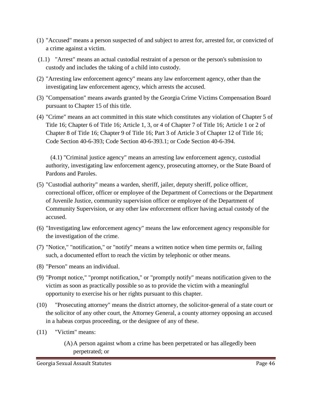- (1) "Accused" means a person suspected of and subject to arrest for, arrested for, or convicted of a crime against a victim.
- (1.1) "Arrest" means an actual custodial restraint of a person or the person's submission to custody and includes the taking of a child into custody.
- (2) "Arresting law enforcement agency" means any law enforcement agency, other than the investigating law enforcement agency, which arrests the accused.
- (3) "Compensation" means awards granted by the Georgia Crime Victims Compensation Board pursuant to Chapter 15 of this title.
- (4) "Crime" means an act committed in this state which constitutes any violation of Chapter 5 of Title 16; Chapter 6 of Title 16; Article 1, 3, or 4 of Chapter 7 of Title 16; Article 1 or 2 of Chapter 8 of Title 16; Chapter 9 of Title 16; Part 3 of Article 3 of Chapter 12 of Title 16; Code Section 40-6-393; Code Section 40-6-393.1; or Code Section 40-6-394.

 (4.1) "Criminal justice agency" means an arresting law enforcement agency, custodial authority, investigating law enforcement agency, prosecuting attorney, or the State Board of Pardons and Paroles.

- (5) "Custodial authority" means a warden, sheriff, jailer, deputy sheriff, police officer, correctional officer, officer or employee of the Department of Corrections or the Department of Juvenile Justice, community supervision officer or employee of the Department of Community Supervision, or any other law enforcement officer having actual custody of the accused.
- (6) "Investigating law enforcement agency" means the law enforcement agency responsible for the investigation of the crime.
- (7) "Notice," "notification," or "notify" means a written notice when time permits or, failing such, a documented effort to reach the victim by telephonic or other means.
- (8) "Person" means an individual.
- (9) "Prompt notice," "prompt notification," or "promptly notify" means notification given to the victim as soon as practically possible so as to provide the victim with a meaningful opportunity to exercise his or her rights pursuant to this chapter.
- (10) "Prosecuting attorney" means the district attorney, the solicitor-general of a state court or the solicitor of any other court, the Attorney General, a county attorney opposing an accused in a habeas corpus proceeding, or the designee of any of these.
- (11) "Victim" means:
	- (A)A person against whom a crime has been perpetrated or has allegedly been perpetrated; or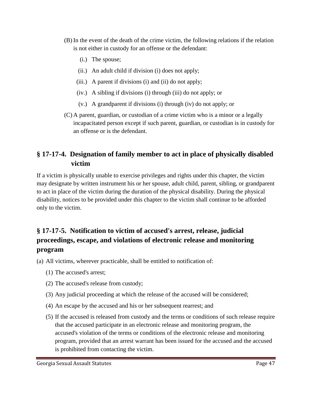- (B) In the event of the death of the crime victim, the following relations if the relation is not either in custody for an offense or the defendant:
	- (i.) The spouse;
	- (ii.) An adult child if division (i) does not apply;
	- (iii.) A parent if divisions (i) and (ii) do not apply;
	- (iv.) A sibling if divisions (i) through (iii) do not apply; or
	- (v.) A grandparent if divisions (i) through (iv) do not apply; or
- (C) A parent, guardian, or custodian of a crime victim who is a minor or a legally incapacitated person except if such parent, guardian, or custodian is in custody for an offense or is the defendant.

## **§ 17-17-4. Designation of family member to act in place of physically disabled victim**

If a victim is physically unable to exercise privileges and rights under this chapter, the victim may designate by written instrument his or her spouse, adult child, parent, sibling, or grandparent to act in place of the victim during the duration of the physical disability. During the physical disability, notices to be provided under this chapter to the victim shall continue to be afforded only to the victim.

## **§ 17-17-5. Notification to victim of accused's arrest, release, judicial proceedings, escape, and violations of electronic release and monitoring program**

- (a) All victims, wherever practicable, shall be entitled to notification of:
	- (1) The accused's arrest;
	- (2) The accused's release from custody;
	- (3) Any judicial proceeding at which the release of the accused will be considered;
	- (4) An escape by the accused and his or her subsequent rearrest; and
	- (5) If the accused is released from custody and the terms or conditions of such release require that the accused participate in an electronic release and monitoring program, the accused's violation of the terms or conditions of the electronic release and monitoring program, provided that an arrest warrant has been issued for the accused and the accused is prohibited from contacting the victim.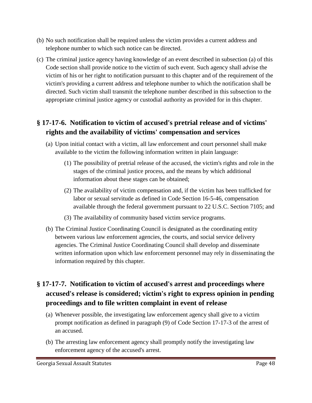- (b) No such notification shall be required unless the victim provides a current address and telephone number to which such notice can be directed.
- (c) The criminal justice agency having knowledge of an event described in subsection (a) of this Code section shall provide notice to the victim of such event. Such agency shall advise the victim of his or her right to notification pursuant to this chapter and of the requirement of the victim's providing a current address and telephone number to which the notification shall be directed. Such victim shall transmit the telephone number described in this subsection to the appropriate criminal justice agency or custodial authority as provided for in this chapter.

#### **§ 17-17-6. Notification to victim of accused's pretrial release and of victims' rights and the availability of victims' compensation and services**

- (a) Upon initial contact with a victim, all law enforcement and court personnel shall make available to the victim the following information written in plain language:
	- (1) The possibility of pretrial release of the accused, the victim's rights and role in the stages of the criminal justice process, and the means by which additional information about these stages can be obtained;
	- (2) The availability of victim compensation and, if the victim has been trafficked for labor or sexual servitude as defined in Code Section 16-5-46, compensation available through the federal government pursuant to 22 U.S.C. Section 7105; and
	- (3) The availability of community based victim service programs.
- (b) The Criminal Justice Coordinating Council is designated as the coordinating entity between various law enforcement agencies, the courts, and social service delivery agencies. The Criminal Justice Coordinating Council shall develop and disseminate written information upon which law enforcement personnel may rely in disseminating the information required by this chapter.

### **§ 17-17-7. Notification to victim of accused's arrest and proceedings where accused's release is considered; victim's right to express opinion in pending proceedings and to file written complaint in event of release**

- (a) Whenever possible, the investigating law enforcement agency shall give to a victim prompt notification as defined in paragraph (9) of Code Section 17-17-3 of the arrest of an accused.
- (b) The arresting law enforcement agency shall promptly notify the investigating law enforcement agency of the accused's arrest.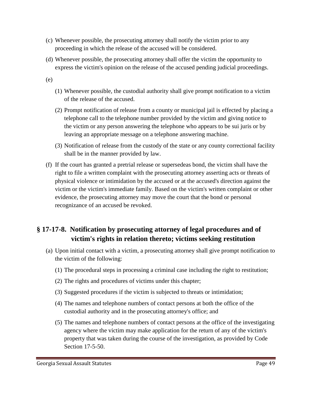- (c) Whenever possible, the prosecuting attorney shall notify the victim prior to any proceeding in which the release of the accused will be considered.
- (d) Whenever possible, the prosecuting attorney shall offer the victim the opportunity to express the victim's opinion on the release of the accused pending judicial proceedings.

(e)

- (1) Whenever possible, the custodial authority shall give prompt notification to a victim of the release of the accused.
- (2) Prompt notification of release from a county or municipal jail is effected by placing a telephone call to the telephone number provided by the victim and giving notice to the victim or any person answering the telephone who appears to be sui juris or by leaving an appropriate message on a telephone answering machine.
- (3) Notification of release from the custody of the state or any county correctional facility shall be in the manner provided by law.
- (f) If the court has granted a pretrial release or supersedeas bond, the victim shall have the right to file a written complaint with the prosecuting attorney asserting acts or threats of physical violence or intimidation by the accused or at the accused's direction against the victim or the victim's immediate family. Based on the victim's written complaint or other evidence, the prosecuting attorney may move the court that the bond or personal recognizance of an accused be revoked.

### **§ 17-17-8. Notification by prosecuting attorney of legal procedures and of victim's rights in relation thereto; victims seeking restitution**

- (a) Upon initial contact with a victim, a prosecuting attorney shall give prompt notification to the victim of the following:
	- (1) The procedural steps in processing a criminal case including the right to restitution;
	- (2) The rights and procedures of victims under this chapter;
	- (3) Suggested procedures if the victim is subjected to threats or intimidation;
	- (4) The names and telephone numbers of contact persons at both the office of the custodial authority and in the prosecuting attorney's office; and
	- (5) The names and telephone numbers of contact persons at the office of the investigating agency where the victim may make application for the return of any of the victim's property that was taken during the course of the investigation, as provided by Code Section 17-5-50.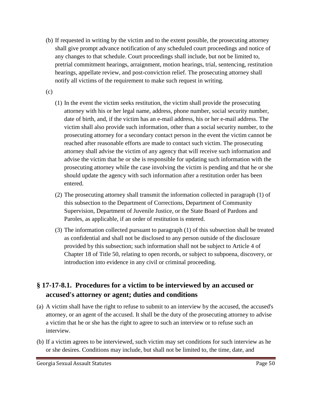- (b) If requested in writing by the victim and to the extent possible, the prosecuting attorney shall give prompt advance notification of any scheduled court proceedings and notice of any changes to that schedule. Court proceedings shall include, but not be limited to, pretrial commitment hearings, arraignment, motion hearings, trial, sentencing, restitution hearings, appellate review, and post-conviction relief. The prosecuting attorney shall notify all victims of the requirement to make such request in writing.
- (c)
	- (1) In the event the victim seeks restitution, the victim shall provide the prosecuting attorney with his or her legal name, address, phone number, social security number, date of birth, and, if the victim has an e-mail address, his or her e-mail address. The victim shall also provide such information, other than a social security number, to the prosecuting attorney for a secondary contact person in the event the victim cannot be reached after reasonable efforts are made to contact such victim. The prosecuting attorney shall advise the victim of any agency that will receive such information and advise the victim that he or she is responsible for updating such information with the prosecuting attorney while the case involving the victim is pending and that he or she should update the agency with such information after a restitution order has been entered.
	- (2) The prosecuting attorney shall transmit the information collected in paragraph (1) of this subsection to the Department of Corrections, Department of Community Supervision, Department of Juvenile Justice, or the State Board of Pardons and Paroles, as applicable, if an order of restitution is entered.
	- (3) The information collected pursuant to paragraph (1) of this subsection shall be treated as confidential and shall not be disclosed to any person outside of the disclosure provided by this subsection; such information shall not be subject to Article 4 of Chapter 18 of Title 50, relating to open records, or subject to subpoena, discovery, or introduction into evidence in any civil or criminal proceeding.

### **§ 17-17-8.1. Procedures for a victim to be interviewed by an accused or accused's attorney or agent; duties and conditions**

- (a) A victim shall have the right to refuse to submit to an interview by the accused, the accused's attorney, or an agent of the accused. It shall be the duty of the prosecuting attorney to advise a victim that he or she has the right to agree to such an interview or to refuse such an interview.
- (b) If a victim agrees to be interviewed, such victim may set conditions for such interview as he or she desires. Conditions may include, but shall not be limited to, the time, date, and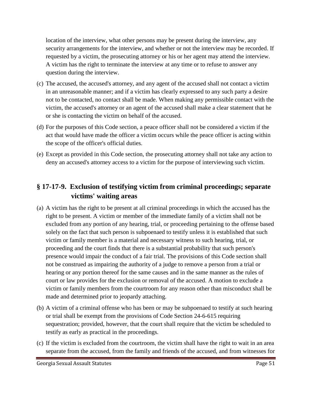location of the interview, what other persons may be present during the interview, any security arrangements for the interview, and whether or not the interview may be recorded. If requested by a victim, the prosecuting attorney or his or her agent may attend the interview. A victim has the right to terminate the interview at any time or to refuse to answer any question during the interview.

- (c) The accused, the accused's attorney, and any agent of the accused shall not contact a victim in an unreasonable manner; and if a victim has clearly expressed to any such party a desire not to be contacted, no contact shall be made. When making any permissible contact with the victim, the accused's attorney or an agent of the accused shall make a clear statement that he or she is contacting the victim on behalf of the accused.
- (d) For the purposes of this Code section, a peace officer shall not be considered a victim if the act that would have made the officer a victim occurs while the peace officer is acting within the scope of the officer's official duties.
- (e) Except as provided in this Code section, the prosecuting attorney shall not take any action to deny an accused's attorney access to a victim for the purpose of interviewing such victim.

### **§ 17-17-9. Exclusion of testifying victim from criminal proceedings; separate victims' waiting areas**

- (a) A victim has the right to be present at all criminal proceedings in which the accused has the right to be present. A victim or member of the immediate family of a victim shall not be excluded from any portion of any hearing, trial, or proceeding pertaining to the offense based solely on the fact that such person is subpoenaed to testify unless it is established that such victim or family member is a material and necessary witness to such hearing, trial, or proceeding and the court finds that there is a substantial probability that such person's presence would impair the conduct of a fair trial. The provisions of this Code section shall not be construed as impairing the authority of a judge to remove a person from a trial or hearing or any portion thereof for the same causes and in the same manner as the rules of court or law provides for the exclusion or removal of the accused. A motion to exclude a victim or family members from the courtroom for any reason other than misconduct shall be made and determined prior to jeopardy attaching.
- (b) A victim of a criminal offense who has been or may be subpoenaed to testify at such hearing or trial shall be exempt from the provisions of Code Section 24-6-615 requiring sequestration; provided, however, that the court shall require that the victim be scheduled to testify as early as practical in the proceedings.
- (c) If the victim is excluded from the courtroom, the victim shall have the right to wait in an area separate from the accused, from the family and friends of the accused, and from witnesses for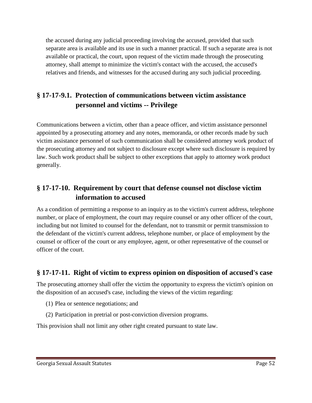the accused during any judicial proceeding involving the accused, provided that such separate area is available and its use in such a manner practical. If such a separate area is not available or practical, the court, upon request of the victim made through the prosecuting attorney, shall attempt to minimize the victim's contact with the accused, the accused's relatives and friends, and witnesses for the accused during any such judicial proceeding.

### **§ 17-17-9.1. Protection of communications between victim assistance personnel and victims -- Privilege**

Communications between a victim, other than a peace officer, and victim assistance personnel appointed by a prosecuting attorney and any notes, memoranda, or other records made by such victim assistance personnel of such communication shall be considered attorney work product of the prosecuting attorney and not subject to disclosure except where such disclosure is required by law. Such work product shall be subject to other exceptions that apply to attorney work product generally.

### **§ 17-17-10. Requirement by court that defense counsel not disclose victim information to accused**

As a condition of permitting a response to an inquiry as to the victim's current address, telephone number, or place of employment, the court may require counsel or any other officer of the court, including but not limited to counsel for the defendant, not to transmit or permit transmission to the defendant of the victim's current address, telephone number, or place of employment by the counsel or officer of the court or any employee, agent, or other representative of the counsel or officer of the court.

#### **§ 17-17-11. Right of victim to express opinion on disposition of accused's case**

The prosecuting attorney shall offer the victim the opportunity to express the victim's opinion on the disposition of an accused's case, including the views of the victim regarding:

- (1) Plea or sentence negotiations; and
- (2) Participation in pretrial or post-conviction diversion programs.

This provision shall not limit any other right created pursuant to state law.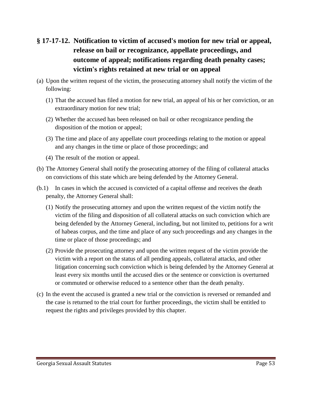## **§ 17-17-12. Notification to victim of accused's motion for new trial or appeal, release on bail or recognizance, appellate proceedings, and outcome of appeal; notifications regarding death penalty cases; victim's rights retained at new trial or on appeal**

- (a) Upon the written request of the victim, the prosecuting attorney shall notify the victim of the following:
	- (1) That the accused has filed a motion for new trial, an appeal of his or her conviction, or an extraordinary motion for new trial;
	- (2) Whether the accused has been released on bail or other recognizance pending the disposition of the motion or appeal;
	- (3) The time and place of any appellate court proceedings relating to the motion or appeal and any changes in the time or place of those proceedings; and
	- (4) The result of the motion or appeal.
- (b) The Attorney General shall notify the prosecuting attorney of the filing of collateral attacks on convictions of this state which are being defended by the Attorney General.
- (b.1) In cases in which the accused is convicted of a capital offense and receives the death penalty, the Attorney General shall:
	- (1) Notify the prosecuting attorney and upon the written request of the victim notify the victim of the filing and disposition of all collateral attacks on such conviction which are being defended by the Attorney General, including, but not limited to, petitions for a writ of habeas corpus, and the time and place of any such proceedings and any changes in the time or place of those proceedings; and
	- (2) Provide the prosecuting attorney and upon the written request of the victim provide the victim with a report on the status of all pending appeals, collateral attacks, and other litigation concerning such conviction which is being defended by the Attorney General at least every six months until the accused dies or the sentence or conviction is overturned or commuted or otherwise reduced to a sentence other than the death penalty.
- (c) In the event the accused is granted a new trial or the conviction is reversed or remanded and the case is returned to the trial court for further proceedings, the victim shall be entitled to request the rights and privileges provided by this chapter.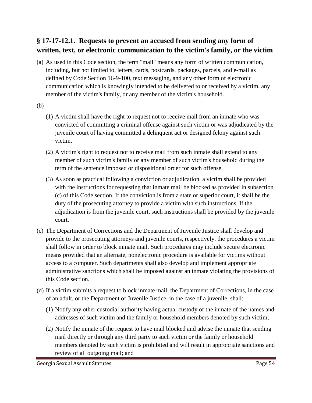#### **§ 17-17-12.1. Requests to prevent an accused from sending any form of written, text, or electronic communication to the victim's family, or the victim**

- (a) As used in this Code section, the term "mail" means any form of written communication, including, but not limited to, letters, cards, postcards, packages, parcels, and e-mail as defined by Code Section 16-9-100, text messaging, and any other form of electronic communication which is knowingly intended to be delivered to or received by a victim, any member of the victim's family, or any member of the victim's household.
- (b)
- (1) A victim shall have the right to request not to receive mail from an inmate who was convicted of committing a criminal offense against such victim or was adjudicated by the juvenile court of having committed a delinquent act or designed felony against such victim.
- (2) A victim's right to request not to receive mail from such inmate shall extend to any member of such victim's family or any member of such victim's household during the term of the sentence imposed or dispositional order for such offense.
- (3) As soon as practical following a conviction or adjudication, a victim shall be provided with the instructions for requesting that inmate mail be blocked as provided in subsection (c) of this Code section. If the conviction is from a state or superior court, it shall be the duty of the prosecuting attorney to provide a victim with such instructions. If the adjudication is from the juvenile court, such instructions shall be provided by the juvenile court.
- (c) The Department of Corrections and the Department of Juvenile Justice shall develop and provide to the prosecuting attorneys and juvenile courts, respectively, the procedures a victim shall follow in order to block inmate mail. Such procedures may include secure electronic means provided that an alternate, nonelectronic procedure is available for victims without access to a computer. Such departments shall also develop and implement appropriate administrative sanctions which shall be imposed against an inmate violating the provisions of this Code section.
- (d) If a victim submits a request to block inmate mail, the Department of Corrections, in the case of an adult, or the Department of Juvenile Justice, in the case of a juvenile, shall:
	- (1) Notify any other custodial authority having actual custody of the inmate of the names and addresses of such victim and the family or household members denoted by such victim;
	- (2) Notify the inmate of the request to have mail blocked and advise the inmate that sending mail directly or through any third party to such victim or the family or household members denoted by such victim is prohibited and will result in appropriate sanctions and review of all outgoing mail; and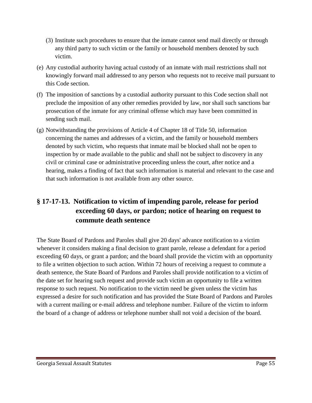- (3) Institute such procedures to ensure that the inmate cannot send mail directly or through any third party to such victim or the family or household members denoted by such victim.
- (e) Any custodial authority having actual custody of an inmate with mail restrictions shall not knowingly forward mail addressed to any person who requests not to receive mail pursuant to this Code section.
- (f) The imposition of sanctions by a custodial authority pursuant to this Code section shall not preclude the imposition of any other remedies provided by law, nor shall such sanctions bar prosecution of the inmate for any criminal offense which may have been committed in sending such mail.
- (g) Notwithstanding the provisions of Article 4 of Chapter 18 of Title 50, information concerning the names and addresses of a victim, and the family or household members denoted by such victim, who requests that inmate mail be blocked shall not be open to inspection by or made available to the public and shall not be subject to discovery in any civil or criminal case or administrative proceeding unless the court, after notice and a hearing, makes a finding of fact that such information is material and relevant to the case and that such information is not available from any other source.

## **§ 17-17-13. Notification to victim of impending parole, release for period exceeding 60 days, or pardon; notice of hearing on request to commute death sentence**

The State Board of Pardons and Paroles shall give 20 days' advance notification to a victim whenever it considers making a final decision to grant parole, release a defendant for a period exceeding 60 days, or grant a pardon; and the board shall provide the victim with an opportunity to file a written objection to such action. Within 72 hours of receiving a request to commute a death sentence, the State Board of Pardons and Paroles shall provide notification to a victim of the date set for hearing such request and provide such victim an opportunity to file a written response to such request. No notification to the victim need be given unless the victim has expressed a desire for such notification and has provided the State Board of Pardons and Paroles with a current mailing or e-mail address and telephone number. Failure of the victim to inform the board of a change of address or telephone number shall not void a decision of the board.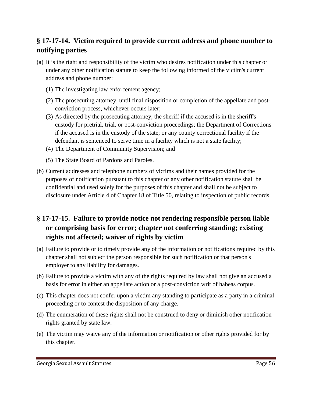### **§ 17-17-14. Victim required to provide current address and phone number to notifying parties**

- (a) It is the right and responsibility of the victim who desires notification under this chapter or under any other notification statute to keep the following informed of the victim's current address and phone number:
	- (1) The investigating law enforcement agency;
	- (2) The prosecuting attorney, until final disposition or completion of the appellate and postconviction process, whichever occurs later;
	- (3) As directed by the prosecuting attorney, the sheriff if the accused is in the sheriff's custody for pretrial, trial, or post-conviction proceedings; the Department of Corrections if the accused is in the custody of the state; or any county correctional facility if the defendant is sentenced to serve time in a facility which is not a state facility;
	- (4) The Department of Community Supervision; and
	- (5) The State Board of Pardons and Paroles.
- (b) Current addresses and telephone numbers of victims and their names provided for the purposes of notification pursuant to this chapter or any other notification statute shall be confidential and used solely for the purposes of this chapter and shall not be subject to disclosure under Article 4 of Chapter 18 of Title 50, relating to inspection of public records.

## **§ 17-17-15. Failure to provide notice not rendering responsible person liable or comprising basis for error; chapter not conferring standing; existing rights not affected; waiver of rights by victim**

- (a) Failure to provide or to timely provide any of the information or notifications required by this chapter shall not subject the person responsible for such notification or that person's employer to any liability for damages.
- (b) Failure to provide a victim with any of the rights required by law shall not give an accused a basis for error in either an appellate action or a post-conviction writ of habeas corpus.
- (c) This chapter does not confer upon a victim any standing to participate as a party in a criminal proceeding or to contest the disposition of any charge.
- (d) The enumeration of these rights shall not be construed to deny or diminish other notification rights granted by state law.
- (e) The victim may waive any of the information or notification or other rights provided for by this chapter.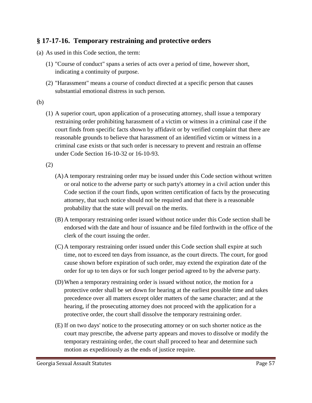#### **§ 17-17-16. Temporary restraining and protective orders**

- (a) As used in this Code section, the term:
	- (1) "Course of conduct" spans a series of acts over a period of time, however short, indicating a continuity of purpose.
	- (2) "Harassment" means a course of conduct directed at a specific person that causes substantial emotional distress in such person.

#### (b)

(1) A superior court, upon application of a prosecuting attorney, shall issue a temporary restraining order prohibiting harassment of a victim or witness in a criminal case if the court finds from specific facts shown by affidavit or by verified complaint that there are reasonable grounds to believe that harassment of an identified victim or witness in a criminal case exists or that such order is necessary to prevent and restrain an offense under Code Section 16-10-32 or 16-10-93.

(2)

- (A)A temporary restraining order may be issued under this Code section without written or oral notice to the adverse party or such party's attorney in a civil action under this Code section if the court finds, upon written certification of facts by the prosecuting attorney, that such notice should not be required and that there is a reasonable probability that the state will prevail on the merits.
- (B) A temporary restraining order issued without notice under this Code section shall be endorsed with the date and hour of issuance and be filed forthwith in the office of the clerk of the court issuing the order.
- (C) A temporary restraining order issued under this Code section shall expire at such time, not to exceed ten days from issuance, as the court directs. The court, for good cause shown before expiration of such order, may extend the expiration date of the order for up to ten days or for such longer period agreed to by the adverse party.
- (D)When a temporary restraining order is issued without notice, the motion for a protective order shall be set down for hearing at the earliest possible time and takes precedence over all matters except older matters of the same character; and at the hearing, if the prosecuting attorney does not proceed with the application for a protective order, the court shall dissolve the temporary restraining order.
- (E) If on two days' notice to the prosecuting attorney or on such shorter notice as the court may prescribe, the adverse party appears and moves to dissolve or modify the temporary restraining order, the court shall proceed to hear and determine such motion as expeditiously as the ends of justice require.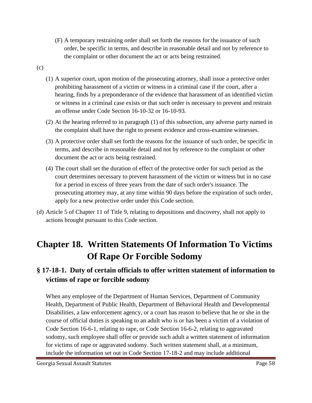(F) A temporary restraining order shall set forth the reasons for the issuance of such order, be specific in terms, and describe in reasonable detail and not by reference to the complaint or other document the act or acts being restrained.

#### (c)

- (1) A superior court, upon motion of the prosecuting attorney, shall issue a protective order prohibiting harassment of a victim or witness in a criminal case if the court, after a hearing, finds by a preponderance of the evidence that harassment of an identified victim or witness in a criminal case exists or that such order is necessary to prevent and restrain an offense under Code Section 16-10-32 or 16-10-93.
- (2) At the hearing referred to in paragraph (1) of this subsection, any adverse party named in the complaint shall have the right to present evidence and cross-examine witnesses.
- (3) A protective order shall set forth the reasons for the issuance of such order, be specific in terms, and describe in reasonable detail and not by reference to the complaint or other document the act or acts being restrained.
- (4) The court shall set the duration of effect of the protective order for such period as the court determines necessary to prevent harassment of the victim or witness but in no case for a period in excess of three years from the date of such order's issuance. The prosecuting attorney may, at any time within 90 days before the expiration of such order, apply for a new protective order under this Code section.
- (d) Article 5 of Chapter 11 of Title 9, relating to depositions and discovery, shall not apply to actions brought pursuant to this Code section.

# **Chapter 18. Written Statements Of Information To Victims Of Rape Or Forcible Sodomy**

## **§ 17-18-1. Duty of certain officials to offer written statement of information to victims of rape or forcible sodomy**

When any employee of the Department of Human Services, Department of Community Health, Department of Public Health, Department of Behavioral Health and Developmental Disabilities, a law enforcement agency, or a court has reason to believe that he or she in the course of official duties is speaking to an adult who is or has been a victim of a violation of Code Section 16-6-1, relating to rape, or Code Section 16-6-2, relating to aggravated sodomy, such employee shall offer or provide such adult a written statement of information for victims of rape or aggravated sodomy. Such written statement shall, at a minimum, include the information set out in Code Section 17-18-2 and may include additional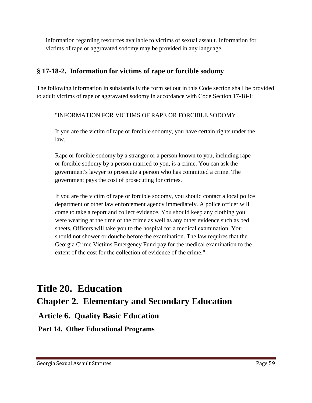information regarding resources available to victims of sexual assault. Information for victims of rape or aggravated sodomy may be provided in any language.

#### **§ 17-18-2. Information for victims of rape or forcible sodomy**

The following information in substantially the form set out in this Code section shall be provided to adult victims of rape or aggravated sodomy in accordance with Code Section 17-18-1:

#### "INFORMATION FOR VICTIMS OF RAPE OR FORCIBLE SODOMY

If you are the victim of rape or forcible sodomy, you have certain rights under the law.

Rape or forcible sodomy by a stranger or a person known to you, including rape or forcible sodomy by a person married to you, is a crime. You can ask the government's lawyer to prosecute a person who has committed a crime. The government pays the cost of prosecuting for crimes.

If you are the victim of rape or forcible sodomy, you should contact a local police department or other law enforcement agency immediately. A police officer will come to take a report and collect evidence. You should keep any clothing you were wearing at the time of the crime as well as any other evidence such as bed sheets. Officers will take you to the hospital for a medical examination. You should not shower or douche before the examination. The law requires that the Georgia Crime Victims Emergency Fund pay for the medical examination to the extent of the cost for the collection of evidence of the crime."

## **Title 20. Education Chapter 2. Elementary and Secondary Education**

## **Article 6. Quality Basic Education**

#### **Part 14. Other Educational Programs**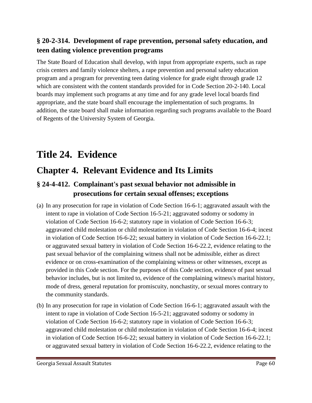### **§ 20-2-314. Development of rape prevention, personal safety education, and teen dating violence prevention programs**

The State Board of Education shall develop, with input from appropriate experts, such as rape crisis centers and family violence shelters, a rape prevention and personal safety education program and a program for preventing teen dating violence for grade eight through grade 12 which are consistent with the content standards provided for in Code Section 20-2-140. Local boards may implement such programs at any time and for any grade level local boards find appropriate, and the state board shall encourage the implementation of such programs. In addition, the state board shall make information regarding such programs available to the Board of Regents of the University System of Georgia.

# **Title 24. Evidence**

## **Chapter 4. Relevant Evidence and Its Limits**

### **§ 24-4-412. Complainant's past sexual behavior not admissible in prosecutions for certain sexual offenses; exceptions**

- (a) In any prosecution for rape in violation of Code Section 16-6-1; aggravated assault with the intent to rape in violation of Code Section 16-5-21; aggravated sodomy or sodomy in violation of Code Section 16-6-2; statutory rape in violation of Code Section 16-6-3; aggravated child molestation or child molestation in violation of Code Section 16-6-4; incest in violation of Code Section 16-6-22; sexual battery in violation of Code Section 16-6-22.1; or aggravated sexual battery in violation of Code Section 16-6-22.2, evidence relating to the past sexual behavior of the complaining witness shall not be admissible, either as direct evidence or on cross-examination of the complaining witness or other witnesses, except as provided in this Code section. For the purposes of this Code section, evidence of past sexual behavior includes, but is not limited to, evidence of the complaining witness's marital history, mode of dress, general reputation for promiscuity, nonchastity, or sexual mores contrary to the community standards.
- (b) In any prosecution for rape in violation of Code Section 16-6-1; aggravated assault with the intent to rape in violation of Code Section 16-5-21; aggravated sodomy or sodomy in violation of Code Section 16-6-2; statutory rape in violation of Code Section 16-6-3; aggravated child molestation or child molestation in violation of Code Section 16-6-4; incest in violation of Code Section 16-6-22; sexual battery in violation of Code Section 16-6-22.1; or aggravated sexual battery in violation of Code Section 16-6-22.2, evidence relating to the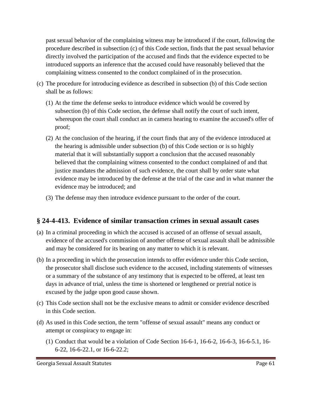past sexual behavior of the complaining witness may be introduced if the court, following the procedure described in subsection (c) of this Code section, finds that the past sexual behavior directly involved the participation of the accused and finds that the evidence expected to be introduced supports an inference that the accused could have reasonably believed that the complaining witness consented to the conduct complained of in the prosecution.

- (c) The procedure for introducing evidence as described in subsection (b) of this Code section shall be as follows:
	- (1) At the time the defense seeks to introduce evidence which would be covered by subsection (b) of this Code section, the defense shall notify the court of such intent, whereupon the court shall conduct an in camera hearing to examine the accused's offer of proof;
	- (2) At the conclusion of the hearing, if the court finds that any of the evidence introduced at the hearing is admissible under subsection (b) of this Code section or is so highly material that it will substantially support a conclusion that the accused reasonably believed that the complaining witness consented to the conduct complained of and that justice mandates the admission of such evidence, the court shall by order state what evidence may be introduced by the defense at the trial of the case and in what manner the evidence may be introduced; and
	- (3) The defense may then introduce evidence pursuant to the order of the court.

#### **§ 24-4-413. Evidence of similar transaction crimes in sexual assault cases**

- (a) In a criminal proceeding in which the accused is accused of an offense of sexual assault, evidence of the accused's commission of another offense of sexual assault shall be admissible and may be considered for its bearing on any matter to which it is relevant.
- (b) In a proceeding in which the prosecution intends to offer evidence under this Code section, the prosecutor shall disclose such evidence to the accused, including statements of witnesses or a summary of the substance of any testimony that is expected to be offered, at least ten days in advance of trial, unless the time is shortened or lengthened or pretrial notice is excused by the judge upon good cause shown.
- (c) This Code section shall not be the exclusive means to admit or consider evidence described in this Code section.
- (d) As used in this Code section, the term "offense of sexual assault" means any conduct or attempt or conspiracy to engage in:
	- (1) Conduct that would be a violation of Code Section 16-6-1, 16-6-2, 16-6-3, 16-6-5.1, 16- 6-22, 16-6-22.1, or 16-6-22.2;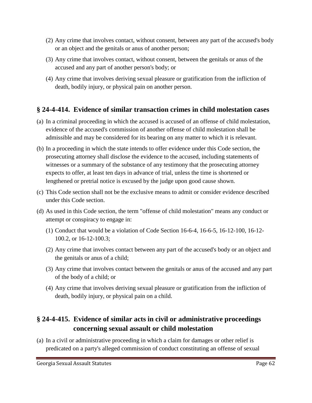- (2) Any crime that involves contact, without consent, between any part of the accused's body or an object and the genitals or anus of another person;
- (3) Any crime that involves contact, without consent, between the genitals or anus of the accused and any part of another person's body; or
- (4) Any crime that involves deriving sexual pleasure or gratification from the infliction of death, bodily injury, or physical pain on another person.

#### **§ 24-4-414. Evidence of similar transaction crimes in child molestation cases**

- (a) In a criminal proceeding in which the accused is accused of an offense of child molestation, evidence of the accused's commission of another offense of child molestation shall be admissible and may be considered for its bearing on any matter to which it is relevant.
- (b) In a proceeding in which the state intends to offer evidence under this Code section, the prosecuting attorney shall disclose the evidence to the accused, including statements of witnesses or a summary of the substance of any testimony that the prosecuting attorney expects to offer, at least ten days in advance of trial, unless the time is shortened or lengthened or pretrial notice is excused by the judge upon good cause shown.
- (c) This Code section shall not be the exclusive means to admit or consider evidence described under this Code section.
- (d) As used in this Code section, the term "offense of child molestation" means any conduct or attempt or conspiracy to engage in:
	- (1) Conduct that would be a violation of Code Section 16-6-4, 16-6-5, 16-12-100, 16-12- 100.2, or 16-12-100.3;
	- (2) Any crime that involves contact between any part of the accused's body or an object and the genitals or anus of a child;
	- (3) Any crime that involves contact between the genitals or anus of the accused and any part of the body of a child; or
	- (4) Any crime that involves deriving sexual pleasure or gratification from the infliction of death, bodily injury, or physical pain on a child.

## **§ 24-4-415. Evidence of similar acts in civil or administrative proceedings concerning sexual assault or child molestation**

(a) In a civil or administrative proceeding in which a claim for damages or other relief is predicated on a party's alleged commission of conduct constituting an offense of sexual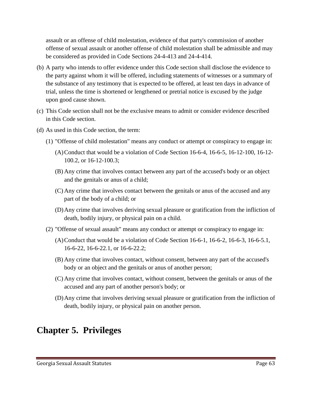assault or an offense of child molestation, evidence of that party's commission of another offense of sexual assault or another offense of child molestation shall be admissible and may be considered as provided in Code Sections 24-4-413 and 24-4-414.

- (b) A party who intends to offer evidence under this Code section shall disclose the evidence to the party against whom it will be offered, including statements of witnesses or a summary of the substance of any testimony that is expected to be offered, at least ten days in advance of trial, unless the time is shortened or lengthened or pretrial notice is excused by the judge upon good cause shown.
- (c) This Code section shall not be the exclusive means to admit or consider evidence described in this Code section.
- (d) As used in this Code section, the term:
	- (1) "Offense of child molestation" means any conduct or attempt or conspiracy to engage in:
		- (A)Conduct that would be a violation of Code Section 16-6-4, 16-6-5, 16-12-100, 16-12- 100.2, or 16-12-100.3;
		- (B) Any crime that involves contact between any part of the accused's body or an object and the genitals or anus of a child;
		- (C) Any crime that involves contact between the genitals or anus of the accused and any part of the body of a child; or
		- (D)Any crime that involves deriving sexual pleasure or gratification from the infliction of death, bodily injury, or physical pain on a child.
	- (2) "Offense of sexual assault" means any conduct or attempt or conspiracy to engage in:
		- (A)Conduct that would be a violation of Code Section 16-6-1, 16-6-2, 16-6-3, 16-6-5.1, 16-6-22, 16-6-22.1, or 16-6-22.2;
		- (B) Any crime that involves contact, without consent, between any part of the accused's body or an object and the genitals or anus of another person;
		- (C) Any crime that involves contact, without consent, between the genitals or anus of the accused and any part of another person's body; or
		- (D)Any crime that involves deriving sexual pleasure or gratification from the infliction of death, bodily injury, or physical pain on another person.

## **Chapter 5. Privileges**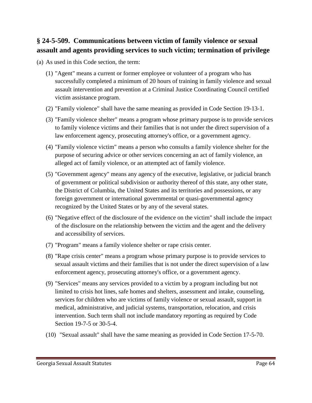#### **§ 24-5-509. Communications between victim of family violence or sexual assault and agents providing services to such victim; termination of privilege**

- (a) As used in this Code section, the term:
	- (1) "Agent" means a current or former employee or volunteer of a program who has successfully completed a minimum of 20 hours of training in family violence and sexual assault intervention and prevention at a Criminal Justice Coordinating Council certified victim assistance program.
	- (2) "Family violence" shall have the same meaning as provided in Code Section 19-13-1.
	- (3) "Family violence shelter" means a program whose primary purpose is to provide services to family violence victims and their families that is not under the direct supervision of a law enforcement agency, prosecuting attorney's office, or a government agency.
	- (4) "Family violence victim" means a person who consults a family violence shelter for the purpose of securing advice or other services concerning an act of family violence, an alleged act of family violence, or an attempted act of family violence.
	- (5) "Government agency" means any agency of the executive, legislative, or judicial branch of government or political subdivision or authority thereof of this state, any other state, the District of Columbia, the United States and its territories and possessions, or any foreign government or international governmental or quasi-governmental agency recognized by the United States or by any of the several states.
	- (6) "Negative effect of the disclosure of the evidence on the victim" shall include the impact of the disclosure on the relationship between the victim and the agent and the delivery and accessibility of services.
	- (7) "Program" means a family violence shelter or rape crisis center.
	- (8) "Rape crisis center" means a program whose primary purpose is to provide services to sexual assault victims and their families that is not under the direct supervision of a law enforcement agency, prosecuting attorney's office, or a government agency.
	- (9) "Services" means any services provided to a victim by a program including but not limited to crisis hot lines, safe homes and shelters, assessment and intake, counseling, services for children who are victims of family violence or sexual assault, support in medical, administrative, and judicial systems, transportation, relocation, and crisis intervention. Such term shall not include mandatory reporting as required by Code Section 19-7-5 or 30-5-4.
	- (10) "Sexual assault" shall have the same meaning as provided in Code Section 17-5-70.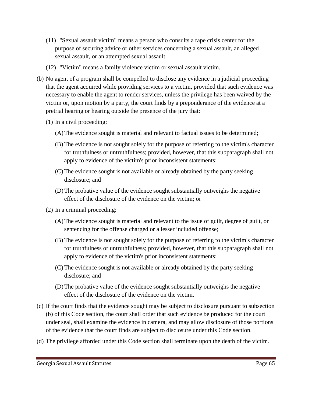- (11) "Sexual assault victim" means a person who consults a rape crisis center for the purpose of securing advice or other services concerning a sexual assault, an alleged sexual assault, or an attempted sexual assault.
- (12) "Victim" means a family violence victim or sexual assault victim.
- (b) No agent of a program shall be compelled to disclose any evidence in a judicial proceeding that the agent acquired while providing services to a victim, provided that such evidence was necessary to enable the agent to render services, unless the privilege has been waived by the victim or, upon motion by a party, the court finds by a preponderance of the evidence at a pretrial hearing or hearing outside the presence of the jury that:
	- (1) In a civil proceeding:
		- (A)The evidence sought is material and relevant to factual issues to be determined;
		- (B) The evidence is not sought solely for the purpose of referring to the victim's character for truthfulness or untruthfulness; provided, however, that this subparagraph shall not apply to evidence of the victim's prior inconsistent statements;
		- (C) The evidence sought is not available or already obtained by the party seeking disclosure; and
		- (D)The probative value of the evidence sought substantially outweighs the negative effect of the disclosure of the evidence on the victim; or
	- (2) In a criminal proceeding:
		- (A)The evidence sought is material and relevant to the issue of guilt, degree of guilt, or sentencing for the offense charged or a lesser included offense;
		- (B) The evidence is not sought solely for the purpose of referring to the victim's character for truthfulness or untruthfulness; provided, however, that this subparagraph shall not apply to evidence of the victim's prior inconsistent statements;
		- (C) The evidence sought is not available or already obtained by the party seeking disclosure; and
		- (D)The probative value of the evidence sought substantially outweighs the negative effect of the disclosure of the evidence on the victim.
- (c) If the court finds that the evidence sought may be subject to disclosure pursuant to subsection (b) of this Code section, the court shall order that such evidence be produced for the court under seal, shall examine the evidence in camera, and may allow disclosure of those portions of the evidence that the court finds are subject to disclosure under this Code section.
- (d) The privilege afforded under this Code section shall terminate upon the death of the victim.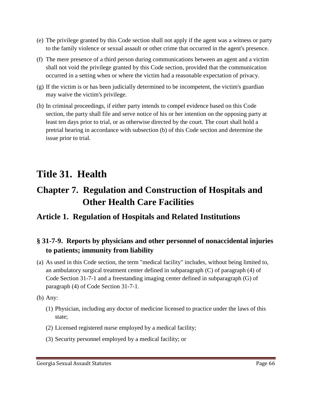- (e) The privilege granted by this Code section shall not apply if the agent was a witness or party to the family violence or sexual assault or other crime that occurred in the agent's presence.
- (f) The mere presence of a third person during communications between an agent and a victim shall not void the privilege granted by this Code section, provided that the communication occurred in a setting when or where the victim had a reasonable expectation of privacy.
- (g) If the victim is or has been judicially determined to be incompetent, the victim's guardian may waive the victim's privilege.
- (h) In criminal proceedings, if either party intends to compel evidence based on this Code section, the party shall file and serve notice of his or her intention on the opposing party at least ten days prior to trial, or as otherwise directed by the court. The court shall hold a pretrial hearing in accordance with subsection (b) of this Code section and determine the issue prior to trial.

# **Title 31. Health**

## **Chapter 7. Regulation and Construction of Hospitals and Other Health Care Facilities**

## **Article 1. Regulation of Hospitals and Related Institutions**

## **§ 31-7-9. Reports by physicians and other personnel of nonaccidental injuries to patients; immunity from liability**

- (a) As used in this Code section, the term "medical facility" includes, without being limited to, an ambulatory surgical treatment center defined in subparagraph (C) of paragraph (4) of Code Section 31-7-1 and a freestanding imaging center defined in subparagraph (G) of paragraph (4) of Code Section 31-7-1.
- (b) Any:
	- (1) Physician, including any doctor of medicine licensed to practice under the laws of this state;
	- (2) Licensed registered nurse employed by a medical facility;
	- (3) Security personnel employed by a medical facility; or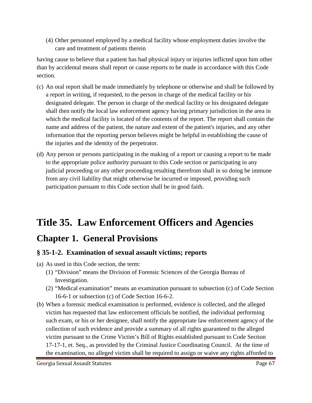(4) Other personnel employed by a medical facility whose employment duties involve the care and treatment of patients therein

having cause to believe that a patient has had physical injury or injuries inflicted upon him other than by accidental means shall report or cause reports to be made in accordance with this Code section.

- (c) An oral report shall be made immediately by telephone or otherwise and shall be followed by a report in writing, if requested, to the person in charge of the medical facility or his designated delegate. The person in charge of the medical facility or his designated delegate shall then notify the local law enforcement agency having primary jurisdiction in the area in which the medical facility is located of the contents of the report. The report shall contain the name and address of the patient, the nature and extent of the patient's injuries, and any other information that the reporting person believes might be helpful in establishing the cause of the injuries and the identity of the perpetrator.
- (d) Any person or persons participating in the making of a report or causing a report to be made to the appropriate police authority pursuant to this Code section or participating in any judicial proceeding or any other proceeding resulting therefrom shall in so doing be immune from any civil liability that might otherwise be incurred or imposed, providing such participation pursuant to this Code section shall be in good faith.

# **Title 35. Law Enforcement Officers and Agencies**

## **Chapter 1. General Provisions**

## **§ 35-1-2. Examination of sexual assault victims; reports**

- (a) As used in this Code section, the term:
	- (1) "Division" means the Division of Forensic Sciences of the Georgia Bureau of Investigation.
	- (2) "Medical examination" means an examination pursuant to subsection (c) of Code Section 16-6-1 or subsection (c) of Code Section 16-6-2.
- (b) When a forensic medical examination is performed, evidence is collected, and the alleged victim has requested that law enforcement officials be notified, the individual performing such exam, or his or her designee, shall notify the appropriate law enforcement agency of the collection of such evidence and provide a summary of all rights guaranteed to the alleged victim pursuant to the Crime Victim's Bill of Rights established pursuant to Code Section 17-17-1, et. Seq., as provided by the Criminal Justice Coordinating Council. At the time of the examination, no alleged victim shall be required to assign or waive any rights afforded to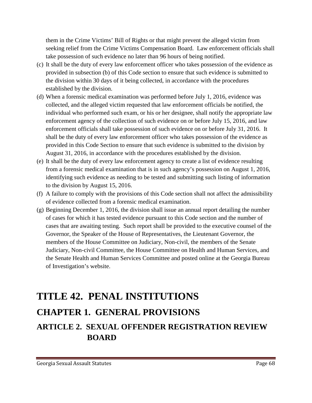them in the Crime Victims' Bill of Rights or that might prevent the alleged victim from seeking relief from the Crime Victims Compensation Board. Law enforcement officials shall take possession of such evidence no later than 96 hours of being notified.

- (c) It shall be the duty of every law enforcement officer who takes possession of the evidence as provided in subsection (b) of this Code section to ensure that such evidence is submitted to the division within 30 days of it being collected, in accordance with the procedures established by the division.
- (d) When a forensic medical examination was performed before July 1, 2016, evidence was collected, and the alleged victim requested that law enforcement officials be notified, the individual who performed such exam, or his or her designee, shall notify the appropriate law enforcement agency of the collection of such evidence on or before July 15, 2016, and law enforcement officials shall take possession of such evidence on or before July 31, 2016. It shall be the duty of every law enforcement officer who takes possession of the evidence as provided in this Code Section to ensure that such evidence is submitted to the division by August 31, 2016, in accordance with the procedures established by the division.
- (e) It shall be the duty of every law enforcement agency to create a list of evidence resulting from a forensic medical examination that is in such agency's possession on August 1, 2016, identifying such evidence as needing to be tested and submitting such listing of information to the division by August 15, 2016.
- (f) A failure to comply with the provisions of this Code section shall not affect the admissibility of evidence collected from a forensic medical examination.
- (g) Beginning December 1, 2016, the division shall issue an annual report detailing the number of cases for which it has tested evidence pursuant to this Code section and the number of cases that are awaiting testing. Such report shall be provided to the executive counsel of the Governor, the Speaker of the House of Representatives, the Lieutenant Governor, the members of the House Committee on Judiciary, Non-civil, the members of the Senate Judiciary, Non-civil Committee, the House Committee on Health and Human Services, and the Senate Health and Human Services Committee and posted online at the Georgia Bureau of Investigation's website.

# **TITLE 42. PENAL INSTITUTIONS CHAPTER 1. GENERAL PROVISIONS ARTICLE 2. SEXUAL OFFENDER REGISTRATION REVIEW BOARD**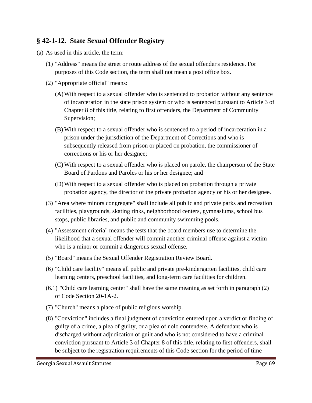## **§ 42-1-12. State Sexual Offender Registry**

- (a) As used in this article, the term:
	- (1) "Address" means the street or route address of the sexual offender's residence. For purposes of this Code section, the term shall not mean a post office box.
	- (2) "Appropriate official" means:
		- (A)With respect to a sexual offender who is sentenced to probation without any sentence of incarceration in the state prison system or who is sentenced pursuant to Article 3 of Chapter 8 of this title, relating to first offenders, the Department of Community Supervision;
		- (B) With respect to a sexual offender who is sentenced to a period of incarceration in a prison under the jurisdiction of the Department of Corrections and who is subsequently released from prison or placed on probation, the commissioner of corrections or his or her designee;
		- (C) With respect to a sexual offender who is placed on parole, the chairperson of the State Board of Pardons and Paroles or his or her designee; and
		- (D)With respect to a sexual offender who is placed on probation through a private probation agency, the director of the private probation agency or his or her designee.
	- (3) "Area where minors congregate" shall include all public and private parks and recreation facilities, playgrounds, skating rinks, neighborhood centers, gymnasiums, school bus stops, public libraries, and public and community swimming pools.
	- (4) "Assessment criteria" means the tests that the board members use to determine the likelihood that a sexual offender will commit another criminal offense against a victim who is a minor or commit a dangerous sexual offense.
	- (5) "Board" means the Sexual Offender Registration Review Board.
	- (6) "Child care facility" means all public and private pre-kindergarten facilities, child care learning centers, preschool facilities, and long-term care facilities for children.
	- (6.1) "Child care learning center" shall have the same meaning as set forth in paragraph (2) of Code Section 20-1A-2.
	- (7) "Church" means a place of public religious worship.
	- (8) "Conviction" includes a final judgment of conviction entered upon a verdict or finding of guilty of a crime, a plea of guilty, or a plea of nolo contendere. A defendant who is discharged without adjudication of guilt and who is not considered to have a criminal conviction pursuant to Article 3 of Chapter 8 of this title, relating to first offenders, shall be subject to the registration requirements of this Code section for the period of time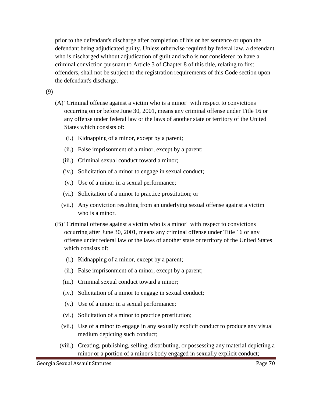prior to the defendant's discharge after completion of his or her sentence or upon the defendant being adjudicated guilty. Unless otherwise required by federal law, a defendant who is discharged without adjudication of guilt and who is not considered to have a criminal conviction pursuant to Article 3 of Chapter 8 of this title, relating to first offenders, shall not be subject to the registration requirements of this Code section upon the defendant's discharge.

(9)

- (A) "Criminal offense against a victim who is a minor" with respect to convictions occurring on or before June 30, 2001, means any criminal offense under Title 16 or any offense under federal law or the laws of another state or territory of the United States which consists of:
	- (i.) Kidnapping of a minor, except by a parent;
	- (ii.) False imprisonment of a minor, except by a parent;
	- (iii.) Criminal sexual conduct toward a minor;
	- (iv.) Solicitation of a minor to engage in sexual conduct;
	- (v.) Use of a minor in a sexual performance;
	- (vi.) Solicitation of a minor to practice prostitution; or
	- (vii.) Any conviction resulting from an underlying sexual offense against a victim who is a minor.
- (B) "Criminal offense against a victim who is a minor" with respect to convictions occurring after June 30, 2001, means any criminal offense under Title 16 or any offense under federal law or the laws of another state or territory of the United States which consists of:
	- (i.) Kidnapping of a minor, except by a parent;
	- (ii.) False imprisonment of a minor, except by a parent;
	- (iii.) Criminal sexual conduct toward a minor;
	- (iv.) Solicitation of a minor to engage in sexual conduct;
	- (v.) Use of a minor in a sexual performance;
	- (vi.) Solicitation of a minor to practice prostitution;
	- (vii.) Use of a minor to engage in any sexually explicit conduct to produce any visual medium depicting such conduct;
	- (viii.) Creating, publishing, selling, distributing, or possessing any material depicting a minor or a portion of a minor's body engaged in sexually explicit conduct;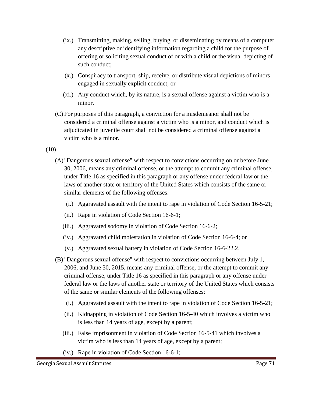- (ix.) Transmitting, making, selling, buying, or disseminating by means of a computer any descriptive or identifying information regarding a child for the purpose of offering or soliciting sexual conduct of or with a child or the visual depicting of such conduct;
- (x.) Conspiracy to transport, ship, receive, or distribute visual depictions of minors engaged in sexually explicit conduct; or
- (xi.) Any conduct which, by its nature, is a sexual offense against a victim who is a minor.
- (C) For purposes of this paragraph, a conviction for a misdemeanor shall not be considered a criminal offense against a victim who is a minor, and conduct which is adjudicated in juvenile court shall not be considered a criminal offense against a victim who is a minor.

#### (10)

- (A) "Dangerous sexual offense" with respect to convictions occurring on or before June 30, 2006, means any criminal offense, or the attempt to commit any criminal offense, under Title 16 as specified in this paragraph or any offense under federal law or the laws of another state or territory of the United States which consists of the same or similar elements of the following offenses:
	- (i.) Aggravated assault with the intent to rape in violation of Code Section 16-5-21;
	- (ii.) Rape in violation of Code Section 16-6-1;
	- (iii.) Aggravated sodomy in violation of Code Section 16-6-2;
	- (iv.) Aggravated child molestation in violation of Code Section 16-6-4; or
	- (v.) Aggravated sexual battery in violation of Code Section 16-6-22.2.
- (B) "Dangerous sexual offense" with respect to convictions occurring between July 1, 2006, and June 30, 2015, means any criminal offense, or the attempt to commit any criminal offense, under Title 16 as specified in this paragraph or any offense under federal law or the laws of another state or territory of the United States which consists of the same or similar elements of the following offenses:
	- (i.) Aggravated assault with the intent to rape in violation of Code Section 16-5-21;
	- (ii.) Kidnapping in violation of Code Section 16-5-40 which involves a victim who is less than 14 years of age, except by a parent;
	- (iii.) False imprisonment in violation of Code Section 16-5-41 which involves a victim who is less than 14 years of age, except by a parent;
	- (iv.) Rape in violation of Code Section 16-6-1;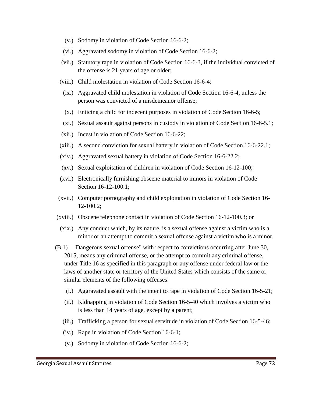- (v.) Sodomy in violation of Code Section 16-6-2;
- (vi.) Aggravated sodomy in violation of Code Section 16-6-2;
- (vii.) Statutory rape in violation of Code Section 16-6-3, if the individual convicted of the offense is 21 years of age or older;
- (viii.) Child molestation in violation of Code Section 16-6-4;
- (ix.) Aggravated child molestation in violation of Code Section 16-6-4, unless the person was convicted of a misdemeanor offense;
- (x.) Enticing a child for indecent purposes in violation of Code Section 16-6-5;
- (xi.) Sexual assault against persons in custody in violation of Code Section 16-6-5.1;
- (xii.) Incest in violation of Code Section 16-6-22;
- (xiii.) A second conviction for sexual battery in violation of Code Section 16-6-22.1;
- (xiv.) Aggravated sexual battery in violation of Code Section 16-6-22.2;
- (xv.) Sexual exploitation of children in violation of Code Section 16-12-100;
- (xvi.) Electronically furnishing obscene material to minors in violation of Code Section 16-12-100.1;
- (xvii.) Computer pornography and child exploitation in violation of Code Section 16- 12-100.2;
- (xviii.) Obscene telephone contact in violation of Code Section 16-12-100.3; or
- (xix.) Any conduct which, by its nature, is a sexual offense against a victim who is a minor or an attempt to commit a sexual offense against a victim who is a minor.
- (B.1) "Dangerous sexual offense" with respect to convictions occurring after June 30, 2015, means any criminal offense, or the attempt to commit any criminal offense, under Title 16 as specified in this paragraph or any offense under federal law or the laws of another state or territory of the United States which consists of the same or similar elements of the following offenses:
	- (i.) Aggravated assault with the intent to rape in violation of Code Section 16-5-21;
	- (ii.) Kidnapping in violation of Code Section 16-5-40 which involves a victim who is less than 14 years of age, except by a parent;
	- (iii.) Trafficking a person for sexual servitude in violation of Code Section 16-5-46;
	- (iv.) Rape in violation of Code Section 16-6-1;
	- (v.) Sodomy in violation of Code Section 16-6-2;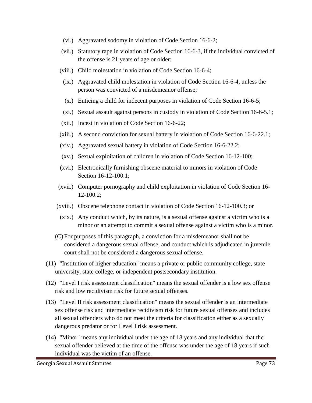- (vi.) Aggravated sodomy in violation of Code Section 16-6-2;
- (vii.) Statutory rape in violation of Code Section 16-6-3, if the individual convicted of the offense is 21 years of age or older;
- (viii.) Child molestation in violation of Code Section 16-6-4;
- (ix.) Aggravated child molestation in violation of Code Section 16-6-4, unless the person was convicted of a misdemeanor offense;
- (x.) Enticing a child for indecent purposes in violation of Code Section 16-6-5;
- (xi.) Sexual assault against persons in custody in violation of Code Section 16-6-5.1;
- (xii.) Incest in violation of Code Section 16-6-22;
- (xiii.) A second conviction for sexual battery in violation of Code Section 16-6-22.1;
- (xiv.) Aggravated sexual battery in violation of Code Section 16-6-22.2;
- (xv.) Sexual exploitation of children in violation of Code Section 16-12-100;
- (xvi.) Electronically furnishing obscene material to minors in violation of Code Section 16-12-100.1;
- (xvii.) Computer pornography and child exploitation in violation of Code Section 16- 12-100.2;
- (xviii.) Obscene telephone contact in violation of Code Section 16-12-100.3; or
	- (xix.) Any conduct which, by its nature, is a sexual offense against a victim who is a minor or an attempt to commit a sexual offense against a victim who is a minor.
- (C) For purposes of this paragraph, a conviction for a misdemeanor shall not be considered a dangerous sexual offense, and conduct which is adjudicated in juvenile court shall not be considered a dangerous sexual offense.
- (11) "Institution of higher education" means a private or public community college, state university, state college, or independent postsecondary institution.
- (12) "Level I risk assessment classification" means the sexual offender is a low sex offense risk and low recidivism risk for future sexual offenses.
- (13) "Level II risk assessment classification" means the sexual offender is an intermediate sex offense risk and intermediate recidivism risk for future sexual offenses and includes all sexual offenders who do not meet the criteria for classification either as a sexually dangerous predator or for Level I risk assessment.
- (14) "Minor" means any individual under the age of 18 years and any individual that the sexual offender believed at the time of the offense was under the age of 18 years if such individual was the victim of an offense.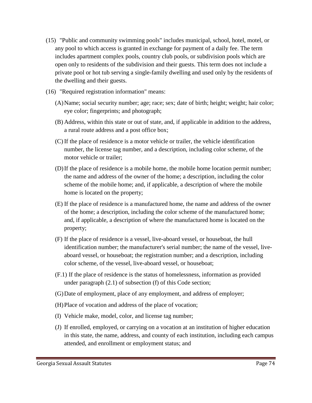- (15) "Public and community swimming pools" includes municipal, school, hotel, motel, or any pool to which access is granted in exchange for payment of a daily fee. The term includes apartment complex pools, country club pools, or subdivision pools which are open only to residents of the subdivision and their guests. This term does not include a private pool or hot tub serving a single-family dwelling and used only by the residents of the dwelling and their guests.
- (16) "Required registration information" means:
	- (A)Name; social security number; age; race; sex; date of birth; height; weight; hair color; eye color; fingerprints; and photograph;
	- (B) Address, within this state or out of state, and, if applicable in addition to the address, a rural route address and a post office box;
	- (C) If the place of residence is a motor vehicle or trailer, the vehicle identification number, the license tag number, and a description, including color scheme, of the motor vehicle or trailer;
	- (D)If the place of residence is a mobile home, the mobile home location permit number; the name and address of the owner of the home; a description, including the color scheme of the mobile home; and, if applicable, a description of where the mobile home is located on the property;
	- (E) If the place of residence is a manufactured home, the name and address of the owner of the home; a description, including the color scheme of the manufactured home; and, if applicable, a description of where the manufactured home is located on the property;
	- (F) If the place of residence is a vessel, live-aboard vessel, or houseboat, the hull identification number; the manufacturer's serial number; the name of the vessel, liveaboard vessel, or houseboat; the registration number; and a description, including color scheme, of the vessel, live-aboard vessel, or houseboat;
	- (F.1) If the place of residence is the status of homelessness, information as provided under paragraph (2.1) of subsection (f) of this Code section;
	- (G)Date of employment, place of any employment, and address of employer;
	- (H)Place of vocation and address of the place of vocation;
	- (I) Vehicle make, model, color, and license tag number;
	- (J) If enrolled, employed, or carrying on a vocation at an institution of higher education in this state, the name, address, and county of each institution, including each campus attended, and enrollment or employment status; and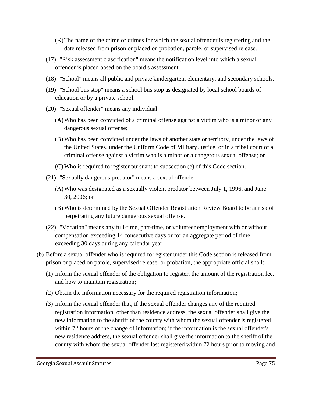- (K)The name of the crime or crimes for which the sexual offender is registering and the date released from prison or placed on probation, parole, or supervised release.
- (17) "Risk assessment classification" means the notification level into which a sexual offender is placed based on the board's assessment.
- (18) "School" means all public and private kindergarten, elementary, and secondary schools.
- (19) "School bus stop" means a school bus stop as designated by local school boards of education or by a private school.
- (20) "Sexual offender" means any individual:
	- (A)Who has been convicted of a criminal offense against a victim who is a minor or any dangerous sexual offense;
	- (B) Who has been convicted under the laws of another state or territory, under the laws of the United States, under the Uniform Code of Military Justice, or in a tribal court of a criminal offense against a victim who is a minor or a dangerous sexual offense; or
	- (C) Who is required to register pursuant to subsection (e) of this Code section.
- (21) "Sexually dangerous predator" means a sexual offender:
	- (A)Who was designated as a sexually violent predator between July 1, 1996, and June 30, 2006; or
	- (B) Who is determined by the Sexual Offender Registration Review Board to be at risk of perpetrating any future dangerous sexual offense.
- (22) "Vocation" means any full-time, part-time, or volunteer employment with or without compensation exceeding 14 consecutive days or for an aggregate period of time exceeding 30 days during any calendar year.
- (b) Before a sexual offender who is required to register under this Code section is released from prison or placed on parole, supervised release, or probation, the appropriate official shall:
	- (1) Inform the sexual offender of the obligation to register, the amount of the registration fee, and how to maintain registration;
	- (2) Obtain the information necessary for the required registration information;
	- (3) Inform the sexual offender that, if the sexual offender changes any of the required registration information, other than residence address, the sexual offender shall give the new information to the sheriff of the county with whom the sexual offender is registered within 72 hours of the change of information; if the information is the sexual offender's new residence address, the sexual offender shall give the information to the sheriff of the county with whom the sexual offender last registered within 72 hours prior to moving and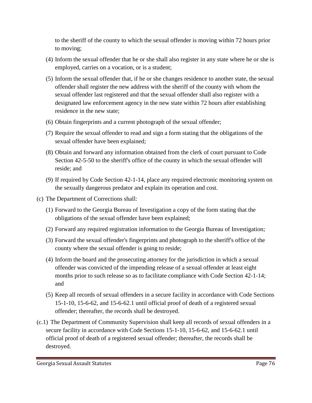to the sheriff of the county to which the sexual offender is moving within 72 hours prior to moving;

- (4) Inform the sexual offender that he or she shall also register in any state where he or she is employed, carries on a vocation, or is a student;
- (5) Inform the sexual offender that, if he or she changes residence to another state, the sexual offender shall register the new address with the sheriff of the county with whom the sexual offender last registered and that the sexual offender shall also register with a designated law enforcement agency in the new state within 72 hours after establishing residence in the new state;
- (6) Obtain fingerprints and a current photograph of the sexual offender;
- (7) Require the sexual offender to read and sign a form stating that the obligations of the sexual offender have been explained;
- (8) Obtain and forward any information obtained from the clerk of court pursuant to Code Section 42-5-50 to the sheriff's office of the county in which the sexual offender will reside; and
- (9) If required by Code Section 42-1-14, place any required electronic monitoring system on the sexually dangerous predator and explain its operation and cost.
- (c) The Department of Corrections shall:
	- (1) Forward to the Georgia Bureau of Investigation a copy of the form stating that the obligations of the sexual offender have been explained;
	- (2) Forward any required registration information to the Georgia Bureau of Investigation;
	- (3) Forward the sexual offender's fingerprints and photograph to the sheriff's office of the county where the sexual offender is going to reside;
	- (4) Inform the board and the prosecuting attorney for the jurisdiction in which a sexual offender was convicted of the impending release of a sexual offender at least eight months prior to such release so as to facilitate compliance with Code Section 42-1-14; and
	- (5) Keep all records of sexual offenders in a secure facility in accordance with Code Sections 15-1-10, 15-6-62, and 15-6-62.1 until official proof of death of a registered sexual offender; thereafter, the records shall be destroyed.
- (c.1) The Department of Community Supervision shall keep all records of sexual offenders in a secure facility in accordance with Code Sections 15-1-10, 15-6-62, and 15-6-62.1 until official proof of death of a registered sexual offender; thereafter, the records shall be destroyed.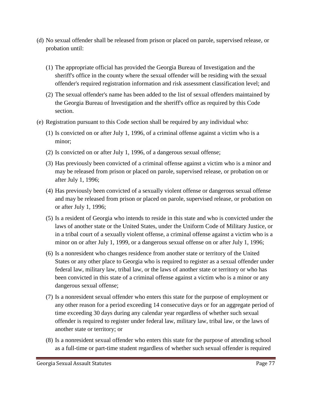- (d) No sexual offender shall be released from prison or placed on parole, supervised release, or probation until:
	- (1) The appropriate official has provided the Georgia Bureau of Investigation and the sheriff's office in the county where the sexual offender will be residing with the sexual offender's required registration information and risk assessment classification level; and
	- (2) The sexual offender's name has been added to the list of sexual offenders maintained by the Georgia Bureau of Investigation and the sheriff's office as required by this Code section.
- (e) Registration pursuant to this Code section shall be required by any individual who:
	- (1) Is convicted on or after July 1, 1996, of a criminal offense against a victim who is a minor;
	- (2) Is convicted on or after July 1, 1996, of a dangerous sexual offense;
	- (3) Has previously been convicted of a criminal offense against a victim who is a minor and may be released from prison or placed on parole, supervised release, or probation on or after July 1, 1996;
	- (4) Has previously been convicted of a sexually violent offense or dangerous sexual offense and may be released from prison or placed on parole, supervised release, or probation on or after July 1, 1996;
	- (5) Is a resident of Georgia who intends to reside in this state and who is convicted under the laws of another state or the United States, under the Uniform Code of Military Justice, or in a tribal court of a sexually violent offense, a criminal offense against a victim who is a minor on or after July 1, 1999, or a dangerous sexual offense on or after July 1, 1996;
	- (6) Is a nonresident who changes residence from another state or territory of the United States or any other place to Georgia who is required to register as a sexual offender under federal law, military law, tribal law, or the laws of another state or territory or who has been convicted in this state of a criminal offense against a victim who is a minor or any dangerous sexual offense;
	- (7) Is a nonresident sexual offender who enters this state for the purpose of employment or any other reason for a period exceeding 14 consecutive days or for an aggregate period of time exceeding 30 days during any calendar year regardless of whether such sexual offender is required to register under federal law, military law, tribal law, or the laws of another state or territory; or
	- (8) Is a nonresident sexual offender who enters this state for the purpose of attending school as a full-time or part-time student regardless of whether such sexual offender is required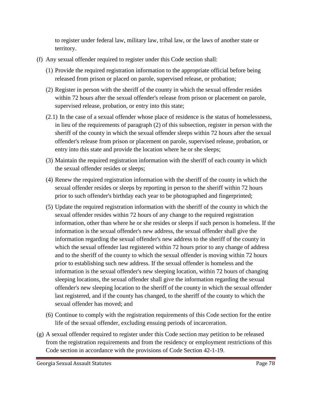to register under federal law, military law, tribal law, or the laws of another state or territory.

- (f) Any sexual offender required to register under this Code section shall:
	- (1) Provide the required registration information to the appropriate official before being released from prison or placed on parole, supervised release, or probation;
	- (2) Register in person with the sheriff of the county in which the sexual offender resides within 72 hours after the sexual offender's release from prison or placement on parole, supervised release, probation, or entry into this state;
	- (2.1) In the case of a sexual offender whose place of residence is the status of homelessness, in lieu of the requirements of paragraph (2) of this subsection, register in person with the sheriff of the county in which the sexual offender sleeps within 72 hours after the sexual offender's release from prison or placement on parole, supervised release, probation, or entry into this state and provide the location where he or she sleeps;
	- (3) Maintain the required registration information with the sheriff of each county in which the sexual offender resides or sleeps;
	- (4) Renew the required registration information with the sheriff of the county in which the sexual offender resides or sleeps by reporting in person to the sheriff within 72 hours prior to such offender's birthday each year to be photographed and fingerprinted;
	- (5) Update the required registration information with the sheriff of the county in which the sexual offender resides within 72 hours of any change to the required registration information, other than where he or she resides or sleeps if such person is homeless. If the information is the sexual offender's new address, the sexual offender shall give the information regarding the sexual offender's new address to the sheriff of the county in which the sexual offender last registered within 72 hours prior to any change of address and to the sheriff of the county to which the sexual offender is moving within 72 hours prior to establishing such new address. If the sexual offender is homeless and the information is the sexual offender's new sleeping location, within 72 hours of changing sleeping locations, the sexual offender shall give the information regarding the sexual offender's new sleeping location to the sheriff of the county in which the sexual offender last registered, and if the county has changed, to the sheriff of the county to which the sexual offender has moved; and
	- (6) Continue to comply with the registration requirements of this Code section for the entire life of the sexual offender, excluding ensuing periods of incarceration.
- (g) A sexual offender required to register under this Code section may petition to be released from the registration requirements and from the residency or employment restrictions of this Code section in accordance with the provisions of Code Section 42-1-19.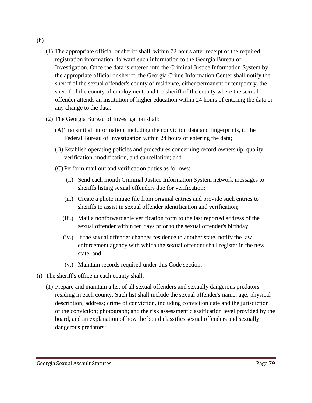- (1) The appropriate official or sheriff shall, within 72 hours after receipt of the required registration information, forward such information to the Georgia Bureau of Investigation. Once the data is entered into the Criminal Justice Information System by the appropriate official or sheriff, the Georgia Crime Information Center shall notify the sheriff of the sexual offender's county of residence, either permanent or temporary, the sheriff of the county of employment, and the sheriff of the county where the sexual offender attends an institution of higher education within 24 hours of entering the data or any change to the data.
- (2) The Georgia Bureau of Investigation shall:
	- (A)Transmit all information, including the conviction data and fingerprints, to the Federal Bureau of Investigation within 24 hours of entering the data;
	- (B) Establish operating policies and procedures concerning record ownership, quality, verification, modification, and cancellation; and
	- (C) Perform mail out and verification duties as follows:
		- (i.) Send each month Criminal Justice Information System network messages to sheriffs listing sexual offenders due for verification;
		- (ii.) Create a photo image file from original entries and provide such entries to sheriffs to assist in sexual offender identification and verification;
		- (iii.) Mail a nonforwardable verification form to the last reported address of the sexual offender within ten days prior to the sexual offender's birthday;
		- (iv.) If the sexual offender changes residence to another state, notify the law enforcement agency with which the sexual offender shall register in the new state; and
		- (v.) Maintain records required under this Code section.
- (i) The sheriff's office in each county shall:
	- (1) Prepare and maintain a list of all sexual offenders and sexually dangerous predators residing in each county. Such list shall include the sexual offender's name; age; physical description; address; crime of conviction, including conviction date and the jurisdiction of the conviction; photograph; and the risk assessment classification level provided by the board, and an explanation of how the board classifies sexual offenders and sexually dangerous predators;

(h)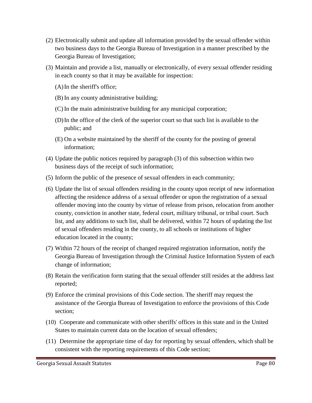- (2) Electronically submit and update all information provided by the sexual offender within two business days to the Georgia Bureau of Investigation in a manner prescribed by the Georgia Bureau of Investigation;
- (3) Maintain and provide a list, manually or electronically, of every sexual offender residing in each county so that it may be available for inspection:
	- (A)In the sheriff's office;
	- (B) In any county administrative building;
	- (C) In the main administrative building for any municipal corporation;
	- (D)In the office of the clerk of the superior court so that such list is available to the public; and
	- (E) On a website maintained by the sheriff of the county for the posting of general information;
- (4) Update the public notices required by paragraph (3) of this subsection within two business days of the receipt of such information;
- (5) Inform the public of the presence of sexual offenders in each community;
- (6) Update the list of sexual offenders residing in the county upon receipt of new information affecting the residence address of a sexual offender or upon the registration of a sexual offender moving into the county by virtue of release from prison, relocation from another county, conviction in another state, federal court, military tribunal, or tribal court. Such list, and any additions to such list, shall be delivered, within 72 hours of updating the list of sexual offenders residing in the county, to all schools or institutions of higher education located in the county;
- (7) Within 72 hours of the receipt of changed required registration information, notify the Georgia Bureau of Investigation through the Criminal Justice Information System of each change of information;
- (8) Retain the verification form stating that the sexual offender still resides at the address last reported;
- (9) Enforce the criminal provisions of this Code section. The sheriff may request the assistance of the Georgia Bureau of Investigation to enforce the provisions of this Code section;
- (10) Cooperate and communicate with other sheriffs' offices in this state and in the United States to maintain current data on the location of sexual offenders;
- (11) Determine the appropriate time of day for reporting by sexual offenders, which shall be consistent with the reporting requirements of this Code section;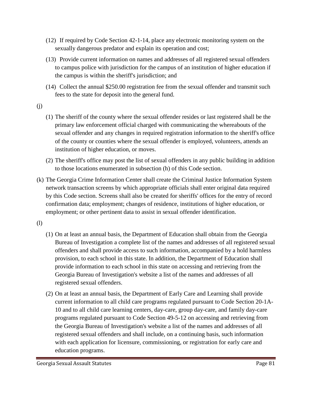- (12) If required by Code Section 42-1-14, place any electronic monitoring system on the sexually dangerous predator and explain its operation and cost;
- (13) Provide current information on names and addresses of all registered sexual offenders to campus police with jurisdiction for the campus of an institution of higher education if the campus is within the sheriff's jurisdiction; and
- (14) Collect the annual \$250.00 registration fee from the sexual offender and transmit such fees to the state for deposit into the general fund.
- (j)
- (1) The sheriff of the county where the sexual offender resides or last registered shall be the primary law enforcement official charged with communicating the whereabouts of the sexual offender and any changes in required registration information to the sheriff's office of the county or counties where the sexual offender is employed, volunteers, attends an institution of higher education, or moves.
- (2) The sheriff's office may post the list of sexual offenders in any public building in addition to those locations enumerated in subsection (h) of this Code section.
- (k) The Georgia Crime Information Center shall create the Criminal Justice Information System network transaction screens by which appropriate officials shall enter original data required by this Code section. Screens shall also be created for sheriffs' offices for the entry of record confirmation data; employment; changes of residence, institutions of higher education, or employment; or other pertinent data to assist in sexual offender identification.
- (l)
- (1) On at least an annual basis, the Department of Education shall obtain from the Georgia Bureau of Investigation a complete list of the names and addresses of all registered sexual offenders and shall provide access to such information, accompanied by a hold harmless provision, to each school in this state. In addition, the Department of Education shall provide information to each school in this state on accessing and retrieving from the Georgia Bureau of Investigation's website a list of the names and addresses of all registered sexual offenders.
- (2) On at least an annual basis, the Department of Early Care and Learning shall provide current information to all child care programs regulated pursuant to Code Section 20-1A-10 and to all child care learning centers, day-care, group day-care, and family day-care programs regulated pursuant to Code Section 49-5-12 on accessing and retrieving from the Georgia Bureau of Investigation's website a list of the names and addresses of all registered sexual offenders and shall include, on a continuing basis, such information with each application for licensure, commissioning, or registration for early care and education programs.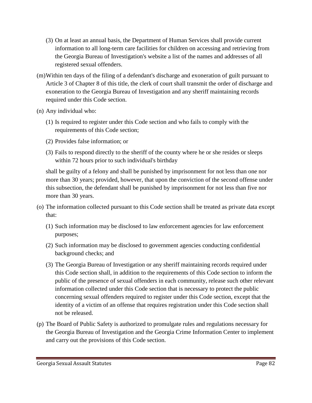- (3) On at least an annual basis, the Department of Human Services shall provide current information to all long-term care facilities for children on accessing and retrieving from the Georgia Bureau of Investigation's website a list of the names and addresses of all registered sexual offenders.
- (m)Within ten days of the filing of a defendant's discharge and exoneration of guilt pursuant to Article 3 of Chapter 8 of this title, the clerk of court shall transmit the order of discharge and exoneration to the Georgia Bureau of Investigation and any sheriff maintaining records required under this Code section.
- (n) Any individual who:
	- (1) Is required to register under this Code section and who fails to comply with the requirements of this Code section;
	- (2) Provides false information; or
	- (3) Fails to respond directly to the sheriff of the county where he or she resides or sleeps within 72 hours prior to such individual's birthday

shall be guilty of a felony and shall be punished by imprisonment for not less than one nor more than 30 years; provided, however, that upon the conviction of the second offense under this subsection, the defendant shall be punished by imprisonment for not less than five nor more than 30 years.

- (o) The information collected pursuant to this Code section shall be treated as private data except that:
	- (1) Such information may be disclosed to law enforcement agencies for law enforcement purposes;
	- (2) Such information may be disclosed to government agencies conducting confidential background checks; and
	- (3) The Georgia Bureau of Investigation or any sheriff maintaining records required under this Code section shall, in addition to the requirements of this Code section to inform the public of the presence of sexual offenders in each community, release such other relevant information collected under this Code section that is necessary to protect the public concerning sexual offenders required to register under this Code section, except that the identity of a victim of an offense that requires registration under this Code section shall not be released.
- (p) The Board of Public Safety is authorized to promulgate rules and regulations necessary for the Georgia Bureau of Investigation and the Georgia Crime Information Center to implement and carry out the provisions of this Code section.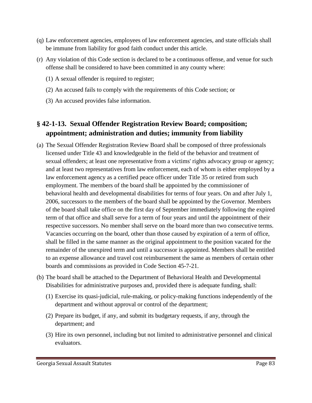- (q) Law enforcement agencies, employees of law enforcement agencies, and state officials shall be immune from liability for good faith conduct under this article.
- (r) Any violation of this Code section is declared to be a continuous offense, and venue for such offense shall be considered to have been committed in any county where:
	- (1) A sexual offender is required to register;
	- (2) An accused fails to comply with the requirements of this Code section; or
	- (3) An accused provides false information.

## **§ 42-1-13. Sexual Offender Registration Review Board; composition; appointment; administration and duties; immunity from liability**

- (a) The Sexual Offender Registration Review Board shall be composed of three professionals licensed under Title 43 and knowledgeable in the field of the behavior and treatment of sexual offenders; at least one representative from a victims' rights advocacy group or agency; and at least two representatives from law enforcement, each of whom is either employed by a law enforcement agency as a certified peace officer under Title 35 or retired from such employment. The members of the board shall be appointed by the commissioner of behavioral health and developmental disabilities for terms of four years. On and after July 1, 2006, successors to the members of the board shall be appointed by the Governor. Members of the board shall take office on the first day of September immediately following the expired term of that office and shall serve for a term of four years and until the appointment of their respective successors. No member shall serve on the board more than two consecutive terms. Vacancies occurring on the board, other than those caused by expiration of a term of office, shall be filled in the same manner as the original appointment to the position vacated for the remainder of the unexpired term and until a successor is appointed. Members shall be entitled to an expense allowance and travel cost reimbursement the same as members of certain other boards and commissions as provided in Code Section 45-7-21.
- (b) The board shall be attached to the Department of Behavioral Health and Developmental Disabilities for administrative purposes and, provided there is adequate funding, shall:
	- (1) Exercise its quasi-judicial, rule-making, or policy-making functions independently of the department and without approval or control of the department;
	- (2) Prepare its budget, if any, and submit its budgetary requests, if any, through the department; and
	- (3) Hire its own personnel, including but not limited to administrative personnel and clinical evaluators.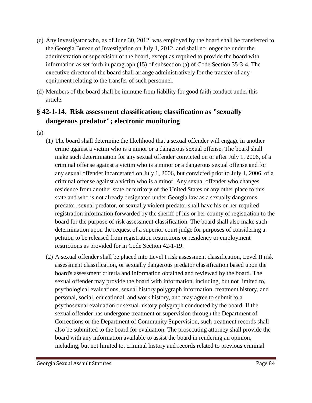- (c) Any investigator who, as of June 30, 2012, was employed by the board shall be transferred to the Georgia Bureau of Investigation on July 1, 2012, and shall no longer be under the administration or supervision of the board, except as required to provide the board with information as set forth in paragraph (15) of subsection (a) of Code Section 35-3-4. The executive director of the board shall arrange administratively for the transfer of any equipment relating to the transfer of such personnel.
- (d) Members of the board shall be immune from liability for good faith conduct under this article.

## **§ 42-1-14. Risk assessment classification; classification as "sexually dangerous predator"; electronic monitoring**

- (a)
	- (1) The board shall determine the likelihood that a sexual offender will engage in another crime against a victim who is a minor or a dangerous sexual offense. The board shall make such determination for any sexual offender convicted on or after July 1, 2006, of a criminal offense against a victim who is a minor or a dangerous sexual offense and for any sexual offender incarcerated on July 1, 2006, but convicted prior to July 1, 2006, of a criminal offense against a victim who is a minor. Any sexual offender who changes residence from another state or territory of the United States or any other place to this state and who is not already designated under Georgia law as a sexually dangerous predator, sexual predator, or sexually violent predator shall have his or her required registration information forwarded by the sheriff of his or her county of registration to the board for the purpose of risk assessment classification. The board shall also make such determination upon the request of a superior court judge for purposes of considering a petition to be released from registration restrictions or residency or employment restrictions as provided for in Code Section 42-1-19.
	- (2) A sexual offender shall be placed into Level I risk assessment classification, Level II risk assessment classification, or sexually dangerous predator classification based upon the board's assessment criteria and information obtained and reviewed by the board. The sexual offender may provide the board with information, including, but not limited to, psychological evaluations, sexual history polygraph information, treatment history, and personal, social, educational, and work history, and may agree to submit to a psychosexual evaluation or sexual history polygraph conducted by the board. If the sexual offender has undergone treatment or supervision through the Department of Corrections or the Department of Community Supervision, such treatment records shall also be submitted to the board for evaluation. The prosecuting attorney shall provide the board with any information available to assist the board in rendering an opinion, including, but not limited to, criminal history and records related to previous criminal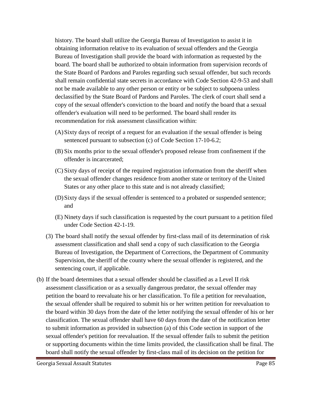history. The board shall utilize the Georgia Bureau of Investigation to assist it in obtaining information relative to its evaluation of sexual offenders and the Georgia Bureau of Investigation shall provide the board with information as requested by the board. The board shall be authorized to obtain information from supervision records of the State Board of Pardons and Paroles regarding such sexual offender, but such records shall remain confidential state secrets in accordance with Code Section 42-9-53 and shall not be made available to any other person or entity or be subject to subpoena unless declassified by the State Board of Pardons and Paroles. The clerk of court shall send a copy of the sexual offender's conviction to the board and notify the board that a sexual offender's evaluation will need to be performed. The board shall render its recommendation for risk assessment classification within:

- (A)Sixty days of receipt of a request for an evaluation if the sexual offender is being sentenced pursuant to subsection (c) of Code Section 17-10-6.2;
- (B) Six months prior to the sexual offender's proposed release from confinement if the offender is incarcerated;
- (C) Sixty days of receipt of the required registration information from the sheriff when the sexual offender changes residence from another state or territory of the United States or any other place to this state and is not already classified;
- (D)Sixty days if the sexual offender is sentenced to a probated or suspended sentence; and
- (E) Ninety days if such classification is requested by the court pursuant to a petition filed under Code Section 42-1-19.
- (3) The board shall notify the sexual offender by first-class mail of its determination of risk assessment classification and shall send a copy of such classification to the Georgia Bureau of Investigation, the Department of Corrections, the Department of Community Supervision, the sheriff of the county where the sexual offender is registered, and the sentencing court, if applicable.
- (b) If the board determines that a sexual offender should be classified as a Level II risk assessment classification or as a sexually dangerous predator, the sexual offender may petition the board to reevaluate his or her classification. To file a petition for reevaluation, the sexual offender shall be required to submit his or her written petition for reevaluation to the board within 30 days from the date of the letter notifying the sexual offender of his or her classification. The sexual offender shall have 60 days from the date of the notification letter to submit information as provided in subsection (a) of this Code section in support of the sexual offender's petition for reevaluation. If the sexual offender fails to submit the petition or supporting documents within the time limits provided, the classification shall be final. The board shall notify the sexual offender by first-class mail of its decision on the petition for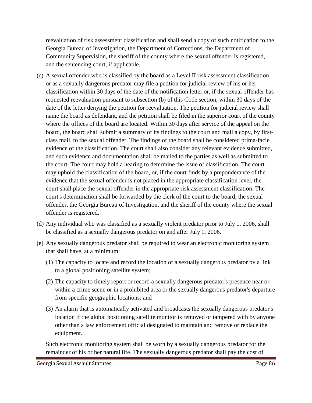reevaluation of risk assessment classification and shall send a copy of such notification to the Georgia Bureau of Investigation, the Department of Corrections, the Department of Community Supervision, the sheriff of the county where the sexual offender is registered, and the sentencing court, if applicable.

- (c) A sexual offender who is classified by the board as a Level II risk assessment classification or as a sexually dangerous predator may file a petition for judicial review of his or her classification within 30 days of the date of the notification letter or, if the sexual offender has requested reevaluation pursuant to subsection (b) of this Code section, within 30 days of the date of the letter denying the petition for reevaluation. The petition for judicial review shall name the board as defendant, and the petition shall be filed in the superior court of the county where the offices of the board are located. Within 30 days after service of the appeal on the board, the board shall submit a summary of its findings to the court and mail a copy, by firstclass mail, to the sexual offender. The findings of the board shall be considered prima-facie evidence of the classification. The court shall also consider any relevant evidence submitted, and such evidence and documentation shall be mailed to the parties as well as submitted to the court. The court may hold a hearing to determine the issue of classification. The court may uphold the classification of the board, or, if the court finds by a preponderance of the evidence that the sexual offender is not placed in the appropriate classification level, the court shall place the sexual offender in the appropriate risk assessment classification. The court's determination shall be forwarded by the clerk of the court to the board, the sexual offender, the Georgia Bureau of Investigation, and the sheriff of the county where the sexual offender is registered.
- (d) Any individual who was classified as a sexually violent predator prior to July 1, 2006, shall be classified as a sexually dangerous predator on and after July 1, 2006.
- (e) Any sexually dangerous predator shall be required to wear an electronic monitoring system that shall have, at a minimum:
	- (1) The capacity to locate and record the location of a sexually dangerous predator by a link to a global positioning satellite system;
	- (2) The capacity to timely report or record a sexually dangerous predator's presence near or within a crime scene or in a prohibited area or the sexually dangerous predator's departure from specific geographic locations; and
	- (3) An alarm that is automatically activated and broadcasts the sexually dangerous predator's location if the global positioning satellite monitor is removed or tampered with by anyone other than a law enforcement official designated to maintain and remove or replace the equipment.

Such electronic monitoring system shall be worn by a sexually dangerous predator for the remainder of his or her natural life. The sexually dangerous predator shall pay the cost of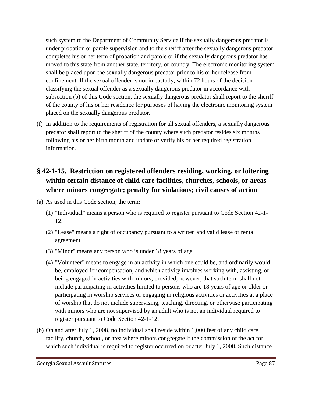such system to the Department of Community Service if the sexually dangerous predator is under probation or parole supervision and to the sheriff after the sexually dangerous predator completes his or her term of probation and parole or if the sexually dangerous predator has moved to this state from another state, territory, or country. The electronic monitoring system shall be placed upon the sexually dangerous predator prior to his or her release from confinement. If the sexual offender is not in custody, within 72 hours of the decision classifying the sexual offender as a sexually dangerous predator in accordance with subsection (b) of this Code section, the sexually dangerous predator shall report to the sheriff of the county of his or her residence for purposes of having the electronic monitoring system placed on the sexually dangerous predator.

(f) In addition to the requirements of registration for all sexual offenders, a sexually dangerous predator shall report to the sheriff of the county where such predator resides six months following his or her birth month and update or verify his or her required registration information.

## **§ 42-1-15. Restriction on registered offenders residing, working, or loitering within certain distance of child care facilities, churches, schools, or areas where minors congregate; penalty for violations; civil causes of action**

- (a) As used in this Code section, the term:
	- (1) "Individual" means a person who is required to register pursuant to Code Section 42-1- 12.
	- (2) "Lease" means a right of occupancy pursuant to a written and valid lease or rental agreement.
	- (3) "Minor" means any person who is under 18 years of age.
	- (4) "Volunteer" means to engage in an activity in which one could be, and ordinarily would be, employed for compensation, and which activity involves working with, assisting, or being engaged in activities with minors; provided, however, that such term shall not include participating in activities limited to persons who are 18 years of age or older or participating in worship services or engaging in religious activities or activities at a place of worship that do not include supervising, teaching, directing, or otherwise participating with minors who are not supervised by an adult who is not an individual required to register pursuant to Code Section 42-1-12.
- (b) On and after July 1, 2008, no individual shall reside within 1,000 feet of any child care facility, church, school, or area where minors congregate if the commission of the act for which such individual is required to register occurred on or after July 1, 2008. Such distance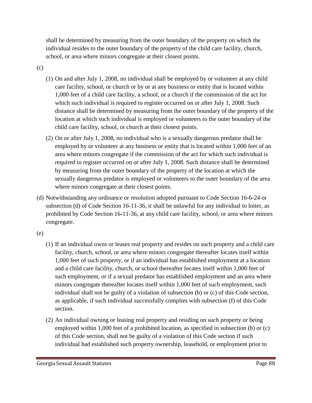shall be determined by measuring from the outer boundary of the property on which the individual resides to the outer boundary of the property of the child care facility, church, school, or area where minors congregate at their closest points.

(c)

- (1) On and after July 1, 2008, no individual shall be employed by or volunteer at any child care facility, school, or church or by or at any business or entity that is located within 1,000 feet of a child care facility, a school, or a church if the commission of the act for which such individual is required to register occurred on or after July 1, 2008. Such distance shall be determined by measuring from the outer boundary of the property of the location at which such individual is employed or volunteers to the outer boundary of the child care facility, school, or church at their closest points.
- (2) On or after July 1, 2008, no individual who is a sexually dangerous predator shall be employed by or volunteer at any business or entity that is located within 1,000 feet of an area where minors congregate if the commission of the act for which such individual is required to register occurred on or after July 1, 2008. Such distance shall be determined by measuring from the outer boundary of the property of the location at which the sexually dangerous predator is employed or volunteers to the outer boundary of the area where minors congregate at their closest points.
- (d) Notwithstanding any ordinance or resolution adopted pursuant to Code Section 16-6-24 or subsection (d) of Code Section 16-11-36, it shall be unlawful for any individual to loiter, as prohibited by Code Section 16-11-36, at any child care facility, school, or area where minors congregate.
- (e)
- (1) If an individual owns or leases real property and resides on such property and a child care facility, church, school, or area where minors congregate thereafter locates itself within 1,000 feet of such property, or if an individual has established employment at a location and a child care facility, church, or school thereafter locates itself within 1,000 feet of such employment, or if a sexual predator has established employment and an area where minors congregate thereafter locates itself within 1,000 feet of such employment, such individual shall not be guilty of a violation of subsection (b) or (c) of this Code section, as applicable, if such individual successfully complies with subsection (f) of this Code section.
- (2) An individual owning or leasing real property and residing on such property or being employed within 1,000 feet of a prohibited location, as specified in subsection (b) or (c) of this Code section, shall not be guilty of a violation of this Code section if such individual had established such property ownership, leasehold, or employment prior to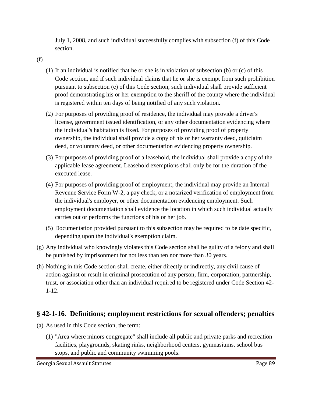July 1, 2008, and such individual successfully complies with subsection (f) of this Code section.

- (f)
- (1) If an individual is notified that he or she is in violation of subsection (b) or (c) of this Code section, and if such individual claims that he or she is exempt from such prohibition pursuant to subsection (e) of this Code section, such individual shall provide sufficient proof demonstrating his or her exemption to the sheriff of the county where the individual is registered within ten days of being notified of any such violation.
- (2) For purposes of providing proof of residence, the individual may provide a driver's license, government issued identification, or any other documentation evidencing where the individual's habitation is fixed. For purposes of providing proof of property ownership, the individual shall provide a copy of his or her warranty deed, quitclaim deed, or voluntary deed, or other documentation evidencing property ownership.
- (3) For purposes of providing proof of a leasehold, the individual shall provide a copy of the applicable lease agreement. Leasehold exemptions shall only be for the duration of the executed lease.
- (4) For purposes of providing proof of employment, the individual may provide an Internal Revenue Service Form W-2, a pay check, or a notarized verification of employment from the individual's employer, or other documentation evidencing employment. Such employment documentation shall evidence the location in which such individual actually carries out or performs the functions of his or her job.
- (5) Documentation provided pursuant to this subsection may be required to be date specific, depending upon the individual's exemption claim.
- (g) Any individual who knowingly violates this Code section shall be guilty of a felony and shall be punished by imprisonment for not less than ten nor more than 30 years.
- (h) Nothing in this Code section shall create, either directly or indirectly, any civil cause of action against or result in criminal prosecution of any person, firm, corporation, partnership, trust, or association other than an individual required to be registered under Code Section 42- 1-12.

### **§ 42-1-16. Definitions; employment restrictions for sexual offenders; penalties**

- (a) As used in this Code section, the term:
	- (1) "Area where minors congregate" shall include all public and private parks and recreation facilities, playgrounds, skating rinks, neighborhood centers, gymnasiums, school bus stops, and public and community swimming pools.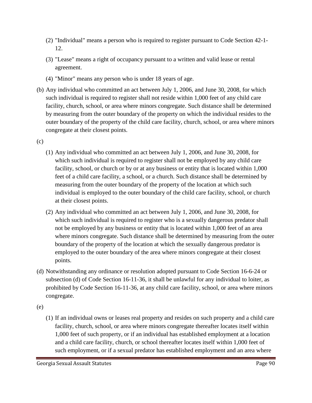- (2) "Individual" means a person who is required to register pursuant to Code Section 42-1- 12.
- (3) "Lease" means a right of occupancy pursuant to a written and valid lease or rental agreement.
- (4) "Minor" means any person who is under 18 years of age.
- (b) Any individual who committed an act between July 1, 2006, and June 30, 2008, for which such individual is required to register shall not reside within 1,000 feet of any child care facility, church, school, or area where minors congregate. Such distance shall be determined by measuring from the outer boundary of the property on which the individual resides to the outer boundary of the property of the child care facility, church, school, or area where minors congregate at their closest points.

(c)

- (1) Any individual who committed an act between July 1, 2006, and June 30, 2008, for which such individual is required to register shall not be employed by any child care facility, school, or church or by or at any business or entity that is located within 1,000 feet of a child care facility, a school, or a church. Such distance shall be determined by measuring from the outer boundary of the property of the location at which such individual is employed to the outer boundary of the child care facility, school, or church at their closest points.
- (2) Any individual who committed an act between July 1, 2006, and June 30, 2008, for which such individual is required to register who is a sexually dangerous predator shall not be employed by any business or entity that is located within 1,000 feet of an area where minors congregate. Such distance shall be determined by measuring from the outer boundary of the property of the location at which the sexually dangerous predator is employed to the outer boundary of the area where minors congregate at their closest points.
- (d) Notwithstanding any ordinance or resolution adopted pursuant to Code Section 16-6-24 or subsection (d) of Code Section 16-11-36, it shall be unlawful for any individual to loiter, as prohibited by Code Section 16-11-36, at any child care facility, school, or area where minors congregate.

(e)

(1) If an individual owns or leases real property and resides on such property and a child care facility, church, school, or area where minors congregate thereafter locates itself within 1,000 feet of such property, or if an individual has established employment at a location and a child care facility, church, or school thereafter locates itself within 1,000 feet of such employment, or if a sexual predator has established employment and an area where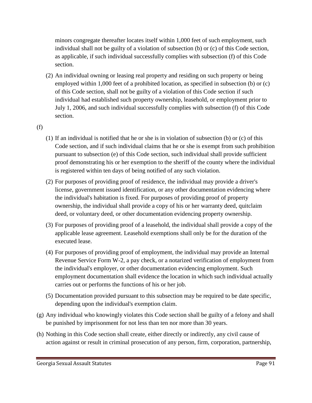minors congregate thereafter locates itself within 1,000 feet of such employment, such individual shall not be guilty of a violation of subsection (b) or (c) of this Code section, as applicable, if such individual successfully complies with subsection (f) of this Code section.

(2) An individual owning or leasing real property and residing on such property or being employed within 1,000 feet of a prohibited location, as specified in subsection (b) or (c) of this Code section, shall not be guilty of a violation of this Code section if such individual had established such property ownership, leasehold, or employment prior to July 1, 2006, and such individual successfully complies with subsection (f) of this Code section.

#### (f)

- (1) If an individual is notified that he or she is in violation of subsection (b) or (c) of this Code section, and if such individual claims that he or she is exempt from such prohibition pursuant to subsection (e) of this Code section, such individual shall provide sufficient proof demonstrating his or her exemption to the sheriff of the county where the individual is registered within ten days of being notified of any such violation.
- (2) For purposes of providing proof of residence, the individual may provide a driver's license, government issued identification, or any other documentation evidencing where the individual's habitation is fixed. For purposes of providing proof of property ownership, the individual shall provide a copy of his or her warranty deed, quitclaim deed, or voluntary deed, or other documentation evidencing property ownership.
- (3) For purposes of providing proof of a leasehold, the individual shall provide a copy of the applicable lease agreement. Leasehold exemptions shall only be for the duration of the executed lease.
- (4) For purposes of providing proof of employment, the individual may provide an Internal Revenue Service Form W-2, a pay check, or a notarized verification of employment from the individual's employer, or other documentation evidencing employment. Such employment documentation shall evidence the location in which such individual actually carries out or performs the functions of his or her job.
- (5) Documentation provided pursuant to this subsection may be required to be date specific, depending upon the individual's exemption claim.
- (g) Any individual who knowingly violates this Code section shall be guilty of a felony and shall be punished by imprisonment for not less than ten nor more than 30 years.
- (h) Nothing in this Code section shall create, either directly or indirectly, any civil cause of action against or result in criminal prosecution of any person, firm, corporation, partnership,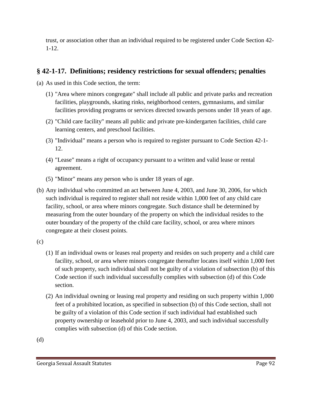trust, or association other than an individual required to be registered under Code Section 42- 1-12.

## **§ 42-1-17. Definitions; residency restrictions for sexual offenders; penalties**

- (a) As used in this Code section, the term:
	- (1) "Area where minors congregate" shall include all public and private parks and recreation facilities, playgrounds, skating rinks, neighborhood centers, gymnasiums, and similar facilities providing programs or services directed towards persons under 18 years of age.
	- (2) "Child care facility" means all public and private pre-kindergarten facilities, child care learning centers, and preschool facilities.
	- (3) "Individual" means a person who is required to register pursuant to Code Section 42-1- 12.
	- (4) "Lease" means a right of occupancy pursuant to a written and valid lease or rental agreement.
	- (5) "Minor" means any person who is under 18 years of age.
- (b) Any individual who committed an act between June 4, 2003, and June 30, 2006, for which such individual is required to register shall not reside within 1,000 feet of any child care facility, school, or area where minors congregate. Such distance shall be determined by measuring from the outer boundary of the property on which the individual resides to the outer boundary of the property of the child care facility, school, or area where minors congregate at their closest points.

- (1) If an individual owns or leases real property and resides on such property and a child care facility, school, or area where minors congregate thereafter locates itself within 1,000 feet of such property, such individual shall not be guilty of a violation of subsection (b) of this Code section if such individual successfully complies with subsection (d) of this Code section.
- (2) An individual owning or leasing real property and residing on such property within 1,000 feet of a prohibited location, as specified in subsection (b) of this Code section, shall not be guilty of a violation of this Code section if such individual had established such property ownership or leasehold prior to June 4, 2003, and such individual successfully complies with subsection (d) of this Code section.

(d)

 $(c)$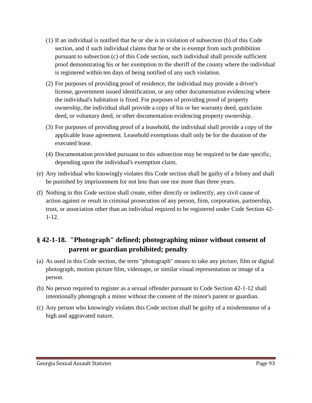- (1) If an individual is notified that he or she is in violation of subsection (b) of this Code section, and if such individual claims that he or she is exempt from such prohibition pursuant to subsection (c) of this Code section, such individual shall provide sufficient proof demonstrating his or her exemption to the sheriff of the county where the individual is registered within ten days of being notified of any such violation.
- (2) For purposes of providing proof of residence, the individual may provide a driver's license, government issued identification, or any other documentation evidencing where the individual's habitation is fixed. For purposes of providing proof of property ownership, the individual shall provide a copy of his or her warranty deed, quitclaim deed, or voluntary deed, or other documentation evidencing property ownership.
- (3) For purposes of providing proof of a leasehold, the individual shall provide a copy of the applicable lease agreement. Leasehold exemptions shall only be for the duration of the executed lease.
- (4) Documentation provided pursuant to this subsection may be required to be date specific, depending upon the individual's exemption claim.
- (e) Any individual who knowingly violates this Code section shall be guilty of a felony and shall be punished by imprisonment for not less than one nor more than three years.
- (f) Nothing in this Code section shall create, either directly or indirectly, any civil cause of action against or result in criminal prosecution of any person, firm, corporation, partnership, trust, or association other than an individual required to be registered under Code Section 42- 1-12.

## **§ 42-1-18. "Photograph" defined; photographing minor without consent of parent or guardian prohibited; penalty**

- (a) As used in this Code section, the term "photograph" means to take any picture, film or digital photograph, motion picture film, videotape, or similar visual representation or image of a person.
- (b) No person required to register as a sexual offender pursuant to Code Section 42-1-12 shall intentionally photograph a minor without the consent of the minor's parent or guardian.
- (c) Any person who knowingly violates this Code section shall be guilty of a misdemeanor of a high and aggravated nature.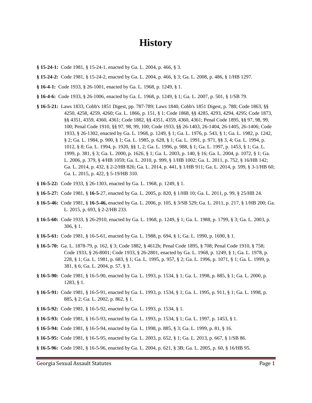## **History**

- **§ 15-24-1:** Code 1981, § 15-24-1, enacted by Ga. L. 2004, p. 466, § 3.
- **§ 15-24-2:** Code 1981, § 15-24-2, enacted by Ga. L. 2004, p. 466, § 3; Ga. L. 2008, p. 486, § 1/HB 1297.
- **§ 16-4-1:** Code 1933, § 26-1001, enacted by Ga. L. 1968, p. 1249, § 1.
- **§ 16-4-6:** Code 1933, § 26-1006, enacted by Ga. L. 1968, p. 1249, § 1; Ga. L. 2007, p. 501, § 1/SB 79.
- **§ 16-5-21:** Laws 1833, Cobb's 1851 Digest, pp. 787-789; Laws 1840, Cobb's 1851 Digest, p. 788; Code 1863, §§ 4250, 4258, 4259, 4260; Ga. L. 1866, p. 151, § 1; Code 1868, §§ 4285, 4293, 4294, 4295; Code 1873, §§ 4351, 4359, 4360, 4361; Code 1882, §§ 4351, 4359, 4360, 4361; Penal Code 1895, §§ 97, 98, 99, 100; Penal Code 1910, §§ 97, 98, 99, 100; Code 1933, §§ 26-1403, 26-1404, 26-1405, 26-1406; Code 1933, § 26-1302, enacted by Ga. L. 1968, p. 1249, § 1; Ga. L. 1976, p. 543, § 1; Ga. L. 1982, p. 1242, § 2; Ga. L. 1984, p. 900, § 1; Ga. L. 1985, p. 628, § 1; Ga. L. 1991, p. 971, §§ 3, 4; Ga. L. 1994, p. 1012, § 8; Ga. L. 1994, p. 1920, §§ 1, 2; Ga. L. 1996, p. 988, § 1; Ga. L. 1997, p. 1453, § 1; Ga. L. 1999, p. 381, § 3; Ga. L. 2000, p. 1626, § 1; Ga. L. 2003, p. 140, § 16; Ga. L. 2004, p. 1072, § 1; Ga. L. 2006, p. 379, § 4/HB 1059; Ga. L. 2010, p. 999, § 1/HB 1002; Ga. L. 2011, p. 752, § 16/HB 142; Ga. L. 2014, p. 432, § 2-2/HB 826; Ga. L. 2014, p. 441, § 1/HB 911; Ga. L. 2014, p. 599, § 3-1/HB 60; Ga. L. 2015, p. 422, § 5-19/HB 310.
- **§ 16-5-22:** Code 1933, § 26-1303, enacted by Ga. L. 1968, p. 1249, § 1.
- **§ 16-5-27:** Code 1981, § **16-5**-27, enacted by Ga. L. 2005, p. 820, § 1/HB 10; Ga. L. 2011, p. 99, § 25/HB 24.
- **§ 16-5-46:** Code 1981, § **16-5-46,** enacted by Ga. L. 2006, p. 105, § 3/SB 529; Ga. L. 2011, p. 217, § 1/HB 200; Ga. L. 2015, p. 693, § 2-2/HB 233.
- **§ 16-5-60:** Code 1933, § 26-2910, enacted by Ga. L. 1968, p. 1249, § 1; Ga. L. 1988, p. 1799, § 3; Ga. L. 2003, p. 306, § 1.
- **§ 16-5-61:** Code 1981, § 16-5-61, enacted by Ga. L. 1988, p. 694, § 1; Ga. L. 1990, p. 1690, § 1.
- **§ 16-5-70:** Ga. L. 1878-79, p. 162, § 3; Code 1882, § 4612h; Penal Code 1895, § 708; Penal Code 1910, § 758; Code 1933, § 26-8001; Code 1933, § 26-2801, enacted by Ga. L. 1968, p. 1249, § 1; Ga. L. 1978, p. 228, § 1; Ga. L. 1981, p. 683, § 1; Ga. L. 1995, p. 957, § 2; Ga. L. 1996, p. 1071, § 1; Ga. L. 1999, p. 381, § 6; Ga. L. 2004, p. 57, § 3.
- **§ 16-5-90:** Code 1981, § 16-5-90, enacted by Ga. L. 1993, p. 1534, § 1; Ga. L. 1998, p. 885, § 1; Ga. L. 2000, p. 1283, § 1.
- **§ 16-5-91:** Code 1981, § 16-5-91, enacted by Ga. L. 1993, p. 1534, § 1; Ga. L. 1995, p. 911, § 1; Ga. L. 1998, p. 885, § 2; Ga. L. 2002, p. 862, § 1.
- **§ 16-5-92:** Code 1981, § 16-5-92, enacted by Ga. L. 1993, p. 1534, § 1.
- **§ 16-5-93:** Code 1981, § 16-5-93, enacted by Ga. L. 1993, p. 1534, § 1; Ga. L. 1997, p. 1453, § 1.
- **§ 16-5-94:** Code 1981, § 16-5-94, enacted by Ga. L. 1998, p. 885, § 3; Ga. L. 1999, p. 81, § 16.
- **§ 16-5-95:** Code 1981, § 16-5-95, enacted by Ga. L. 2003, p. 652, § 1; Ga. L. 2013, p. 667, § 1/SB 86.
- **§ 16-5-96:** Code 1981, § 16-5-96, enacted by Ga. L. 2004, p. 621, § 3B; Ga. L. 2005, p. 60, § 16/HB 95.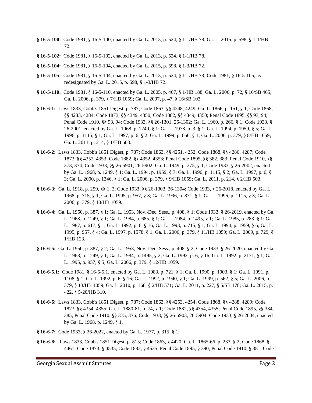- **§ 16-5-100:** Code 1981, § 16-5-100, enacted by Ga. L. 2013, p. 524, § 1-1/HB 78; Ga. L. 2015, p. 598, § 1-1/HB 72.
- **§ 16-5-102:** Code 1981, § 16-5-102, enacted by Ga. L. 2013, p. 524, § 1-1/HB 78.
- **§ 16-5-104:** Code 1981, § 16-5-104, enacted by Ga. L. 2015, p. 598, § 1-3/HB 72.
- **§ 16-5-105:** Code 1981, § 16-5-104, enacted by Ga. L. 2013, p. 524, § 1-1/HB 78; Code 1981, § 16-5-105, as redesignated by Ga. L. 2015, p. 598, § 1-3/HB 72.
- **§ 16-5-110:** Code 1981, § 16-5-110, enacted by Ga. L. 2005, p. 467, § 1/HB 188; Ga. L. 2006, p. 72, § 16/SB 465; Ga. L. 2006, p. 379, § 7/HB 1059; Ga. L. 2007, p. 47, § 16/SB 103.
- **§ 16-6-1:** Laws 1833, Cobb's 1851 Digest, p. 787; Code 1863, §§ 4248, 4249; Ga. L. 1866, p. 151, § 1; Code 1868, §§ 4283, 4284; Code 1873, §§ 4349, 4350; Code 1882, §§ 4349, 4350; Penal Code 1895, §§ 93, 94; Penal Code 1910, §§ 93, 94; Code 1933, §§ 26-1301, 26-1302; Ga. L. 1960, p. 266, § 1; Code 1933, § 26-2001, enacted by Ga. L. 1968, p. 1249, § 1; Ga. L. 1978, p. 3, § 1; Ga. L. 1994, p. 1959, § 5; Ga. L. 1996, p. 1115, § 1; Ga. L. 1997, p. 6, § 2; Ga. L. 1999, p. 666, § 1; Ga. L. 2006, p. 379, § 8/HB 1059; Ga. L. 2011, p. 214, § 1/HB 503.
- **§ 16-6-2:** Laws 1833, Cobb's 1851 Digest, p. 787; Code 1863, §§ 4251, 4252; Code 1868, §§ 4286, 4287; Code 1873, §§ 4352, 4353; Code 1882, §§ 4352, 4353; Penal Code 1895, §§ 382, 383; Penal Code 1910, §§ 373, 374; Code 1933, §§ 26-5901, 26-5902; Ga. L. 1949, p. 275, § 1; Code 1933, § 26-2002, enacted by Ga. L. 1968, p. 1249, § 1; Ga. L. 1994, p. 1959, § 7; Ga. L. 1996, p. 1115, § 2; Ga. L. 1997, p. 6, § 3; Ga. L. 2000, p. 1346, § 1; Ga. L. 2006, p. 379, § 9/HB 1059; Ga. L. 2011, p. 214, § 2/HB 503.
- **§ 16-6-3:** Ga. L. 1918, p. 259, §§ 1, 2; Code 1933, §§ 26-1303, 26-1304; Code 1933, § 26-2018, enacted by Ga. L. 1968, p. 715, § 1; Ga. L. 1995, p. 957, § 3; Ga. L. 1996, p. 871, § 1; Ga. L. 1996, p. 1115, § 3; Ga. L. 2006, p. 379, § 10/HB 1059.
- **§ 16-6-4:** Ga. L. 1950, p. 387, § 1; Ga. L. 1953, Nov.-Dec. Sess., p. 408, § 1; Code 1933, § 26-2019, enacted by Ga. L. 1968, p. 1249, § 1; Ga. L. 1984, p. 685, § 1; Ga. L. 1984, p. 1495, § 1; Ga. L. 1985, p. 283, § 1; Ga. L. 1987, p. 617, § 1; Ga. L. 1992, p. 6, § 16; Ga. L. 1993, p. 715, § 1; Ga. L. 1994, p. 1959, § 6; Ga. L. 1995, p. 957, § 4; Ga. L. 1997, p. 1578, § 1; Ga. L. 2006, p. 379, § 11/HB 1059; Ga. L. 2009, p. 729, § 1/HB 123.
- **§ 16-6-5:** Ga. L. 1950, p. 387, § 2; Ga. L. 1953, Nov.-Dec. Sess., p. 408, § 2; Code 1933, § 26-2020, enacted by Ga. L. 1968, p. 1249, § 1; Ga. L. 1984, p. 1495, § 2; Ga. L. 1992, p. 6, § 16; Ga. L. 1992, p. 2131, § 1; Ga. L. 1995, p. 957, § 5; Ga. L. 2006, p. 379, § 12/HB 1059.
- **§ 16-6-5.1:** Code 1981, § 16-6-5.1, enacted by Ga. L. 1983, p. 721, § 1; Ga. L. 1990, p. 1003, § 1; Ga. L. 1991, p. 1108, § 1; Ga. L. 1992, p. 6, § 16; Ga. L. 1992, p. 1940, § 1; Ga. L. 1999, p. 562, § 5; Ga. L. 2006, p. 379, § 13/HB 1059; Ga. L. 2010, p. 168, § 2/HB 571; Ga. L. 2011, p. 227, § 5/SB 178; Ga. L. 2015, p. 422, § 5-20/HB 310.
- **§ 16-6-6:** Laws 1833, Cobb's 1851 Digest, p. 787; Code 1863, §§ 4253, 4254; Code 1868, §§ 4288, 4289; Code 1873, §§ 4354, 4355; Ga. L. 1880-81, p. 74, § 1; Code 1882, §§ 4354, 4355; Penal Code 1895, §§ 384, 385; Penal Code 1910, §§ 375, 376; Code 1933, §§ 26-5903, 26-5904; Code 1933, § 26-2004, enacted by Ga. L. 1968, p. 1249, § 1.
- **§ 16-6-7:** Code 1933, § 26-2022, enacted by Ga. L. 1977, p. 315, § 1.
- **§ 16-6-8:** Laws 1833, Cobb's 1851 Digest, p. 815; Code 1863, § 4420; Ga. L. 1865-66, p. 233, § 2; Code 1868, § 4461; Code 1873, § 4535; Code 1882, § 4535; Penal Code 1895, § 390; Penal Code 1910, § 381; Code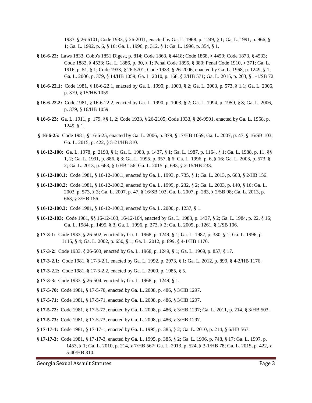1933, § 26-6101; Code 1933, § 26-2011, enacted by Ga. L. 1968, p. 1249, § 1; Ga. L. 1991, p. 966, § 1; Ga. L. 1992, p. 6, § 16; Ga. L. 1996, p. 312, § 1; Ga. L. 1996, p. 354, § 1.

- **§ 16-6-22:** Laws 1833, Cobb's 1851 Digest, p. 814; Code 1863, § 4418; Code 1868, § 4459; Code 1873, § 4533; Code 1882, § 4533; Ga. L. 1886, p. 30, § 1; Penal Code 1895, § 380; Penal Code 1910, § 371; Ga. L. 1916, p. 51, § 1; Code 1933, § 26-5701; Code 1933, § 26-2006, enacted by Ga. L. 1968, p. 1249, § 1; Ga. L. 2006, p. 379, § 14/HB 1059; Ga. L. 2010, p. 168, § 3/HB 571; Ga. L. 2015, p. 203, § 1-1/SB 72.
- **§ 16-6-22.1:** Code 1981, § 16-6-22.1, enacted by Ga. L. 1990, p. 1003, § 2; Ga. L. 2003, p. 573, § 1.1; Ga. L. 2006, p. 379, § 15/HB 1059.
- **§ 16-6-22.2:** Code 1981, § 16-6-22.2, enacted by Ga. L. 1990, p. 1003, § 2; Ga. L. 1994, p. 1959, § 8; Ga. L. 2006, p. 379, § 16/HB 1059.
- **§ 16-6-23:** Ga. L. 1911, p. 179, §§ 1, 2; Code 1933, § 26-2105; Code 1933, § 26-9901, enacted by Ga. L. 1968, p. 1249, § 1.
- **§ 16-6-25:** Code 1981, § 16-6-25, enacted by Ga. L. 2006, p. 379, § 17/HB 1059; Ga. L. 2007, p. 47, § 16/SB 103; Ga. L. 2015, p. 422, § 5-21/HB 310.
- **§ 16-12-100:** Ga. L. 1978, p. 2193, § 1; Ga. L. 1983, p. 1437, § 1; Ga. L. 1987, p. 1164, § 1; Ga. L. 1988, p. 11, §§ 1, 2; Ga. L. 1991, p. 886, § 3; Ga. L. 1995, p. 957, § 6; Ga. L. 1996, p. 6, § 16; Ga. L. 2003, p. 573, § 2; Ga. L. 2013, p. 663, § 1/HB 156; Ga. L. 2015, p. 693, § 2-15/HB 233.
- **§ 16-12-100.1:** Code 1981, § 16-12-100.1, enacted by Ga. L. 1993, p. 735, § 1; Ga. L. 2013, p. 663, § 2/HB 156.
- **§ 16-12-100.2:** Code 1981, § 16-12-100.2, enacted by Ga. L. 1999, p. 232, § 2; Ga. L. 2003, p. 140, § 16; Ga. L. 2003, p. 573, § 3; Ga. L. 2007, p. 47, § 16/SB 103; Ga. L. 2007, p. 283, § 2/SB 98; Ga. L. 2013, p. 663, § 3/HB 156.
- **§ 16-12-100.3:** Code 1981, § 16-12-100.3, enacted by Ga. L. 2000, p. 1237, § 1.
- **§ 16-12-103:** Code 1981, §§ 16-12-103, 16-12-104, enacted by Ga. L. 1983, p. 1437, § 2; Ga. L. 1984, p. 22, § 16; Ga. L. 1984, p. 1495, § 3; Ga. L. 1996, p. 273, § 2; Ga. L. 2005, p. 1261, § 1/SB 106.
- **§ 17-3-1:** Code 1933, § 26-502, enacted by Ga. L. 1968, p. 1249, § 1; Ga. L. 1987, p. 330, § 1; Ga. L. 1996, p. 1115, § 4; Ga. L. 2002, p. 650, § 1; Ga. L. 2012, p. 899, § 4-1/HB 1176.
- **§ 17-3-2:** Code 1933, § 26-503, enacted by Ga. L. 1968, p. 1249, § 1; Ga. L. 1969, p. 857, § 17.
- **§ 17-3-2.1:** Code 1981, § 17-3-2.1, enacted by Ga. L. 1992, p. 2973, § 1; Ga. L. 2012, p. 899, § 4-2/HB 1176.
- **§ 17-3-2.2:** Code 1981, § 17-3-2.2, enacted by Ga. L. 2000, p. 1085, § 5.
- **§ 17-3-3:** Code 1933, § 26-504, enacted by Ga. L. 1968, p. 1249, § 1.
- **§ 17-5-70:** Code 1981, § 17-5-70, enacted by Ga. L. 2008, p. 486, § 3/HB 1297.
- **§ 17-5-71:** Code 1981, § 17-5-71, enacted by Ga. L. 2008, p. 486, § 3/HB 1297.
- **§ 17-5-72:** Code 1981, § 17-5-72, enacted by Ga. L. 2008, p. 486, § 3/HB 1297; Ga. L. 2011, p. 214, § 3/HB 503.
- **§ 17-5-73:** Code 1981, § 17-5-73, enacted by Ga. L. 2008, p. 486, § 3/HB 1297.
- **§ 17-17-1:** Code 1981, § 17-17-1, enacted by Ga. L. 1995, p. 385, § 2; Ga. L. 2010, p. 214, § 6/HB 567.
- **§ 17-17-3:** Code 1981, § 17-17-3, enacted by Ga. L. 1995, p. 385, § 2; Ga. L. 1996, p. 748, § 17; Ga. L. 1997, p. 1453, § 1; Ga. L. 2010, p. 214, § 7/HB 567; Ga. L. 2013, p. 524, § 3-1/HB 78; Ga. L. 2015, p. 422, § 5-40/HB 310.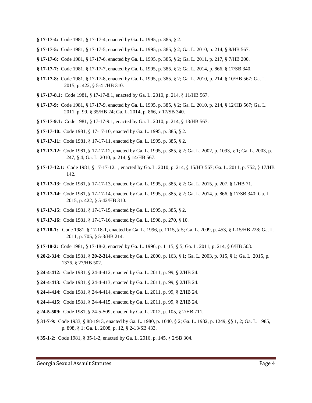- **§ 17-17-4:** Code 1981, § 17-17-4, enacted by Ga. L. 1995, p. 385, § 2.
- **§ 17-17-5:** Code 1981, § 17-17-5, enacted by Ga. L. 1995, p. 385, § 2; Ga. L. 2010, p. 214, § 8/HB 567.
- **§ 17-17-6:** Code 1981, § 17-17-6, enacted by Ga. L. 1995, p. 385, § 2; Ga. L. 2011, p. 217, § 7/HB 200.
- **§ 17-17-7:** Code 1981, § 17-17-7, enacted by Ga. L. 1995, p. 385, § 2; Ga. L. 2014, p. 866, § 17/SB 340.
- **§ 17-17-8:** Code 1981, § 17-17-8, enacted by Ga. L. 1995, p. 385, § 2; Ga. L. 2010, p. 214, § 10/HB 567; Ga. L. 2015, p. 422, § 5-41/HB 310.
- **§ 17-17-8.1:** Code 1981, § 17-17-8.1, enacted by Ga. L. 2010, p. 214, § 11/HB 567.
- **§ 17-17-9:** Code 1981, § 17-17-9, enacted by Ga. L. 1995, p. 385, § 2; Ga. L. 2010, p. 214, § 12/HB 567; Ga. L. 2011, p. 99, § 35/HB 24; Ga. L. 2014, p. 866, § 17/SB 340.
- **§ 17-17-9.1:** Code 1981, § 17-17-9.1, enacted by Ga. L. 2010, p. 214, § 13/HB 567.
- **§ 17-17-10:** Code 1981, § 17-17-10, enacted by Ga. L. 1995, p. 385, § 2.
- **§ 17-17-11:** Code 1981, § 17-17-11, enacted by Ga. L. 1995, p. 385, § 2.
- **§ 17-17-12:** Code 1981, § 17-17-12, enacted by Ga. L. 1995, p. 385, § 2; Ga. L. 2002, p. 1093, § 1; Ga. L. 2003, p. 247, § 4; Ga. L. 2010, p. 214, § 14/HB 567.
- **§ 17-17-12.1:** Code 1981, § 17-17-12.1, enacted by Ga. L. 2010, p. 214, § 15/HB 567; Ga. L. 2011, p. 752, § 17/HB 142.
- **§ 17-17-13:** Code 1981, § 17-17-13, enacted by Ga. L. 1995, p. 385, § 2; Ga. L. 2015, p. 207, § 1/HB 71.
- **§ 17-17-14:** Code 1981, § 17-17-14, enacted by Ga. L. 1995, p. 385, § 2; Ga. L. 2014, p. 866, § 17/SB 340; Ga. L. 2015, p. 422, § 5-42/HB 310.
- **§ 17-17-15:** Code 1981, § 17-17-15, enacted by Ga. L. 1995, p. 385, § 2.
- **§ 17-17-16:** Code 1981, § 17-17-16, enacted by Ga. L. 1998, p. 270, § 10.
- **§ 17-18-1:** Code 1981, § 17-18-1, enacted by Ga. L. 1996, p. 1115, § 5; Ga. L. 2009, p. 453, § 1-15/HB 228; Ga. L. 2011, p. 705, § 5-3/HB 214.
- **§ 17-18-2:** Code 1981, § 17-18-2, enacted by Ga. L. 1996, p. 1115, § 5; Ga. L. 2011, p. 214, § 6/HB 503.
- **§ 20-2-314:** Code 1981, § **20-2-314,** enacted by Ga. L. 2000, p. 163, § 1; Ga. L. 2003, p. 915, § 1; Ga. L. 2015, p. 1376, § 27/HB 502.
- **§ 24-4-412:** Code 1981, § 24-4-412, enacted by Ga. L. 2011, p. 99, § 2/HB 24.
- **§ 24-4-413:** Code 1981, § 24-4-413, enacted by Ga. L. 2011, p. 99, § 2/HB 24.
- **§ 24-4-414:** Code 1981, § 24-4-414, enacted by Ga. L. 2011, p. 99, § 2/HB 24.
- **§ 24-4-415:** Code 1981, § 24-4-415, enacted by Ga. L. 2011, p. 99, § 2/HB 24.
- **§ 24-5-509:** Code 1981, § 24-5-509, enacted by Ga. L. 2012, p. 105, § 2/HB 711.
- **§ 31-7-9:** Code 1933, § 88-1913, enacted by Ga. L. 1980, p. 1040, § 2; Ga. L. 1982, p. 1249, §§ 1, 2; Ga. L. 1985, p. 898, § 1; Ga. L. 2008, p. 12, § 2-13/SB 433.
- **§ 35-1-2:** Code 1981, § 35-1-2, enacted by Ga. L. 2016, p. 145, § 2/SB 304.